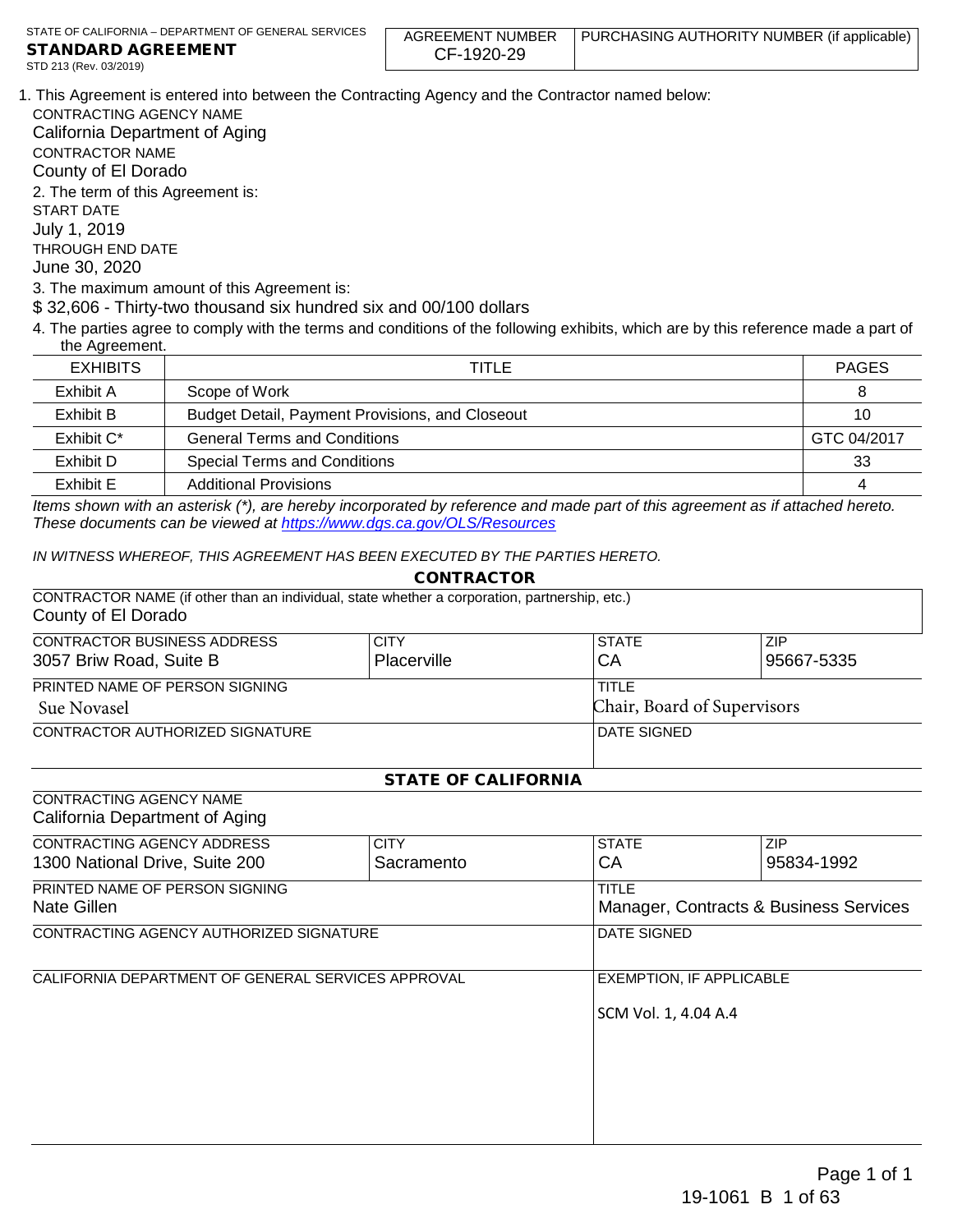AGREEMENT NUMBER CF-1920-29 PURCHASING AUTHORITY NUMBER (if applicable)

1. This Agreement is entered into between the Contracting Agency and the Contractor named below:

CONTRACTING AGENCY NAME California Department of Aging CONTRACTOR NAME County of El Dorado 2. The term of this Agreement is: START DATE July 1, 2019 THROUGH END DATE June 30, 2020

3. The maximum amount of this Agreement is:

\$ 32,606 - Thirty-two thousand six hundred six and 00/100 dollars

4. The parties agree to comply with the terms and conditions of the following exhibits, which are by this reference made a part of the Agreement.

| <b>EXHIBITS</b> | TITLE                                           |             |
|-----------------|-------------------------------------------------|-------------|
| Exhibit A       | Scope of Work                                   | 8           |
| Exhibit B       | Budget Detail, Payment Provisions, and Closeout | 10          |
| Exhibit C*      | <b>General Terms and Conditions</b>             | GTC 04/2017 |
| Exhibit D       | <b>Special Terms and Conditions</b>             | 33          |
| Exhibit E       | <b>Additional Provisions</b>                    | 4           |

*Items shown with an asterisk (\*), are hereby incorporated by reference and made part of this agreement as if attached hereto. These documents can be viewed at<https://www.dgs.ca.gov/OLS/Resources>*

CONTRACTOR

*IN WITNESS WHEREOF, THIS AGREEMENT HAS BEEN EXECUTED BY THE PARTIES HERETO.*

|                                                                                                                      | <b>CONTRACTOR</b>          |                    |                             |  |
|----------------------------------------------------------------------------------------------------------------------|----------------------------|--------------------|-----------------------------|--|
| CONTRACTOR NAME (if other than an individual, state whether a corporation, partnership, etc.)<br>County of El Dorado |                            |                    |                             |  |
| <b>CONTRACTOR BUSINESS ADDRESS</b>                                                                                   | <b>CITY</b>                | <b>STATE</b>       | ZIP                         |  |
| 3057 Briw Road, Suite B                                                                                              | Placerville                | СA                 | 95667-5335                  |  |
| PRINTED NAME OF PERSON SIGNING                                                                                       |                            | <b>TITLE</b>       |                             |  |
| <b>Sue Novasel</b>                                                                                                   |                            |                    | Chair, Board of Supervisors |  |
| CONTRACTOR AUTHORIZED SIGNATURE                                                                                      |                            | <b>DATE SIGNED</b> |                             |  |
|                                                                                                                      | <b>STATE OF CALIFORNIA</b> |                    |                             |  |
| CONTRACTING AGENCY NAME                                                                                              |                            |                    |                             |  |
| California Department of Aging                                                                                       |                            |                    |                             |  |
| CONTRACTING AGENCY ADDRESS                                                                                           | <b>CITY</b>                | <b>STATE</b>       | <b>ZIP</b>                  |  |
| 1300 National Drive, Suite 200                                                                                       | Sacramento                 | CA.                | 95834-1992                  |  |

| 1300 National Drive, Suite 200                     | Sacramento | СA                                                      | 95834-1992 |  |
|----------------------------------------------------|------------|---------------------------------------------------------|------------|--|
| PRINTED NAME OF PERSON SIGNING<br>Nate Gillen      |            | <b>TITLE</b><br>Manager, Contracts & Business Services  |            |  |
| CONTRACTING AGENCY AUTHORIZED SIGNATURE            |            | <b>DATE SIGNED</b>                                      |            |  |
| CALIFORNIA DEPARTMENT OF GENERAL SERVICES APPROVAL |            | <b>EXEMPTION, IF APPLICABLE</b><br>SCM Vol. 1, 4.04 A.4 |            |  |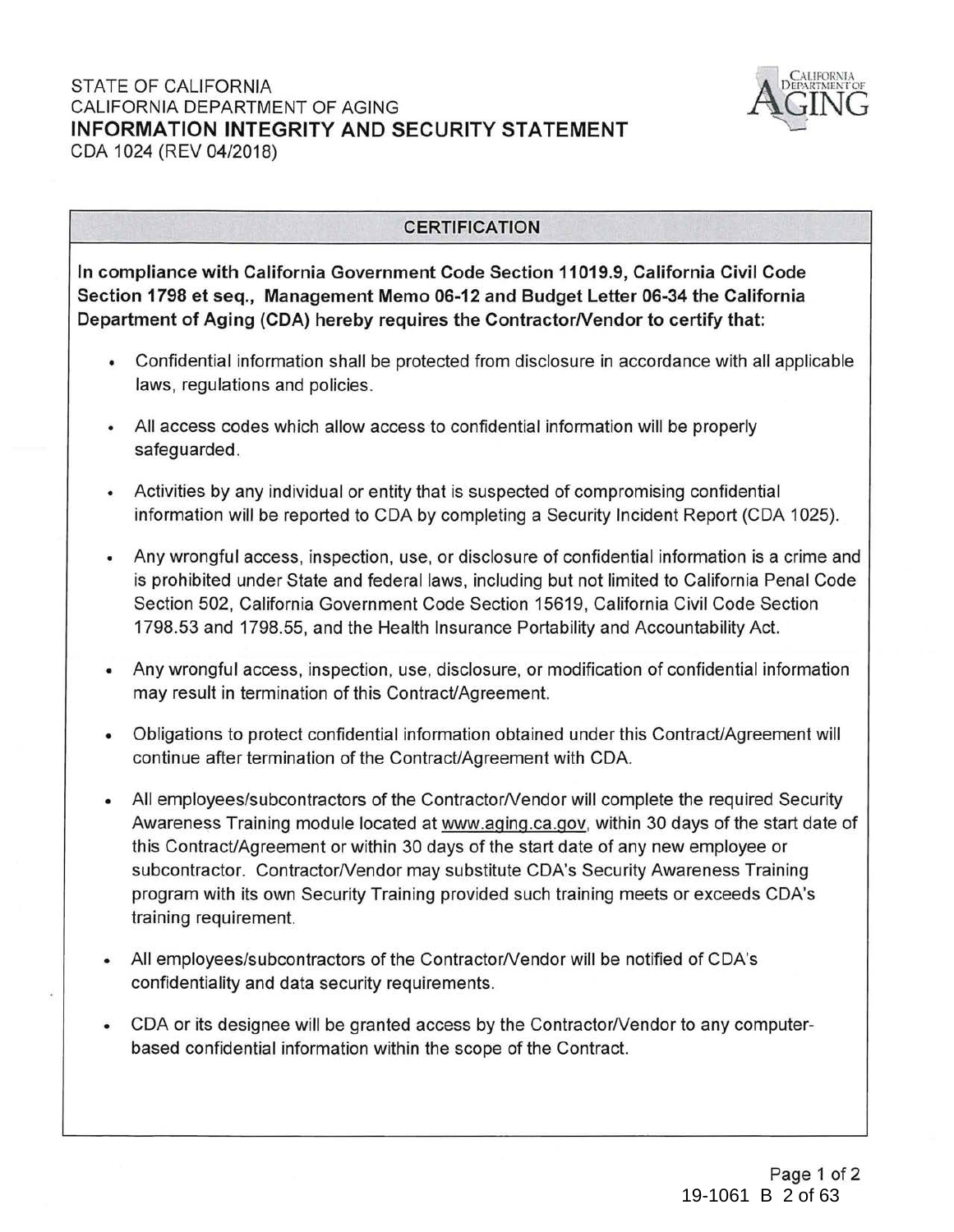### STATE OF CALIFORNIA CALIFORNIA DEPARTMENT OF AGING **INFORMATION INTEGRITY AND SECURITY STATEMENT**  CDA 1024 (REV 04/2018)



# **CERTIFICATION**

**In compliance with California Government Code Section 11019.9, California Civil Code Section 1798 et seq., Management Memo 06-12 and Budget Letter 06-34 the California**  Department of Aging (CDA) hereby requires the Contractor/Vendor to certify that:

- Confidential information shall be protected from disclosure in accordance with all applicable laws, regulations and policies.
- All access codes which allow access to confidential information will be properly safeguarded.
- Activities by any individual or entity that is suspected of compromising confidential information will be reported to CDA by completing a Security Incident Report (CDA 1025).
- Any wrongful access, inspection, use, or disclosure of confidential information is a crime and is prohibited under State and federal laws, including but not limited to California Penal Code Section 502, California Government Code Section 15619, California Civil Code Section 1798.53 and 1798.55, and the Health Insurance Portability and Accountability Act.
- Any wrongful access, inspection, use, disclosure, or modification of confidential information may result in termination of this Contract/Agreement.
- Obligations to protect confidential information obtained under this Contract/Agreement will continue after termination of the Contract/Agreement with CDA.
- All employees/subcontractors of the Contractor/Vendor will complete the required Security Awareness Training module located at www.aging .ca.gov, within 30 days of the start date of this Contract/Agreement or within 30 days of the start date of any new employee or subcontractor. Contractor/Vendor may substitute CDA's Security Awareness Training program with its own Security Training provided such training meets or exceeds CDA's training requirement.
- All employees/subcontractors of the Contractor/Vendor will be notified of CDA's confidentiality and data security requirements.
- CDA or its designee will be granted access by the Contractor/Vendor to any computerbased confidential information within the scope of the Contract.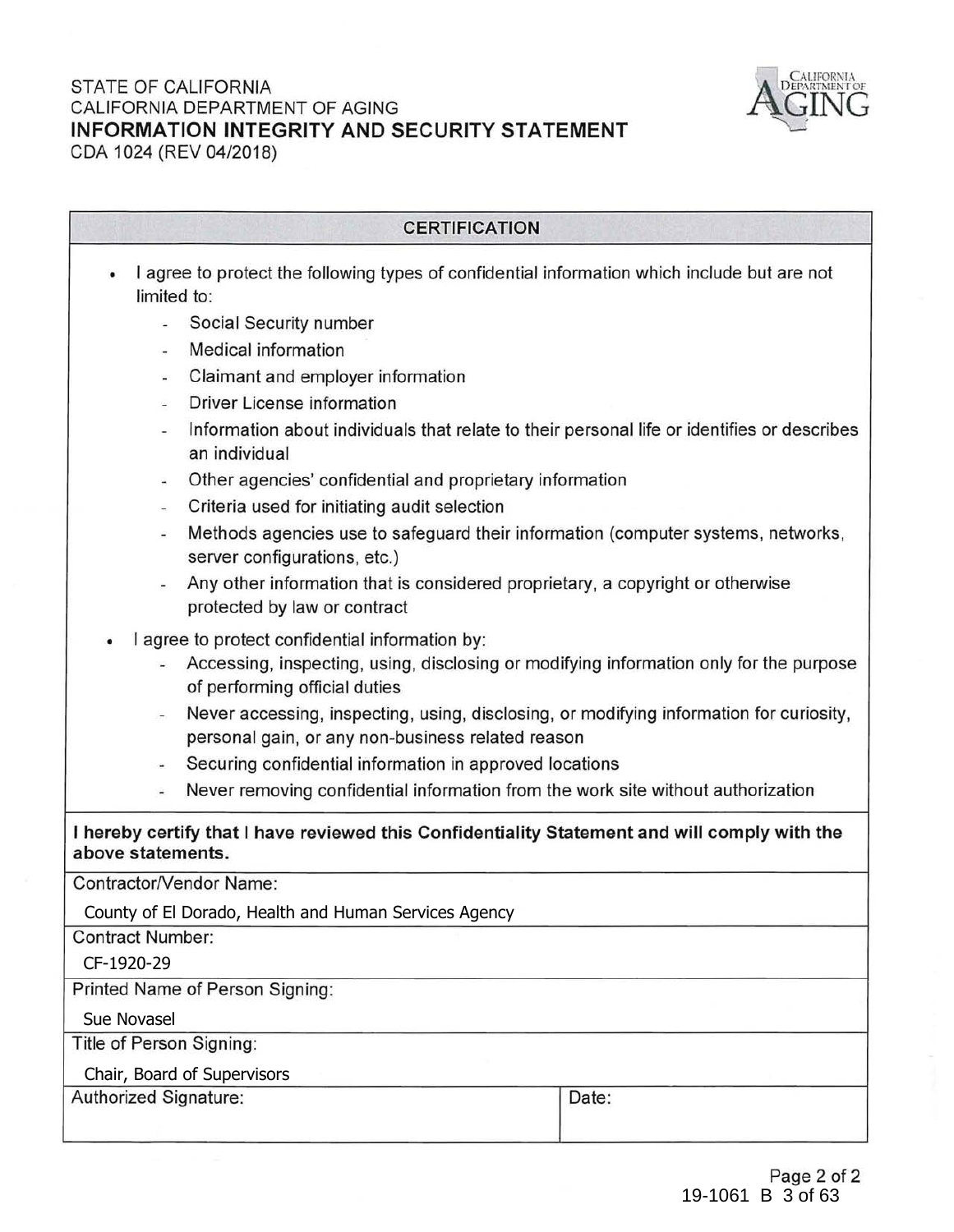# STATE OF CALIFORNIA CALIFORNIA DEPARTMENT OF AGING **INFORMATION INTEGRITY AND SECURITY STATEMENT**  CDA 1024 (REV 04/2018)



### **CERTIFICATION**

- I agree to protect the following types of confidential information which include but are not limited to:
	- Social Security number
	- Medical information
	- Claimant and employer information
	- Driver License information
	- Information about individuals that relate to their personal life or identifies or describes an individual
	- Other agencies' confidential and proprietary information
	- Criteria used for initiating audit selection
	- Methods agencies use to safeguard their information (computer systems, networks, server configurations, etc.)
	- Any other information that is considered proprietary, a copyright or otherwise protected by law or contract
- I agree to protect confidential information by:
	- Accessing, inspecting, using, disclosing or modifying information only for the purpose of performing official duties
	- Never accessing, inspecting, using, disclosing, or modifying information for curiosity, personal gain, or any non-business related reason
	- Securing confidential information in approved locations
	- Never removing confidential information from the work site without authorization

# **I hereby certify that I have reviewed this Confidentiality Statement and will comply with the above statements.**

Contractor/Vendor Name:

County of El Dorado, Health and Human Services Agency

Contract Number:

CF-1920-29

Printed Name of Person Signing:

Sue Novasel

Title of Person Signing:

Chair, Board of Supervisors

Authorized Signature:  $\Box$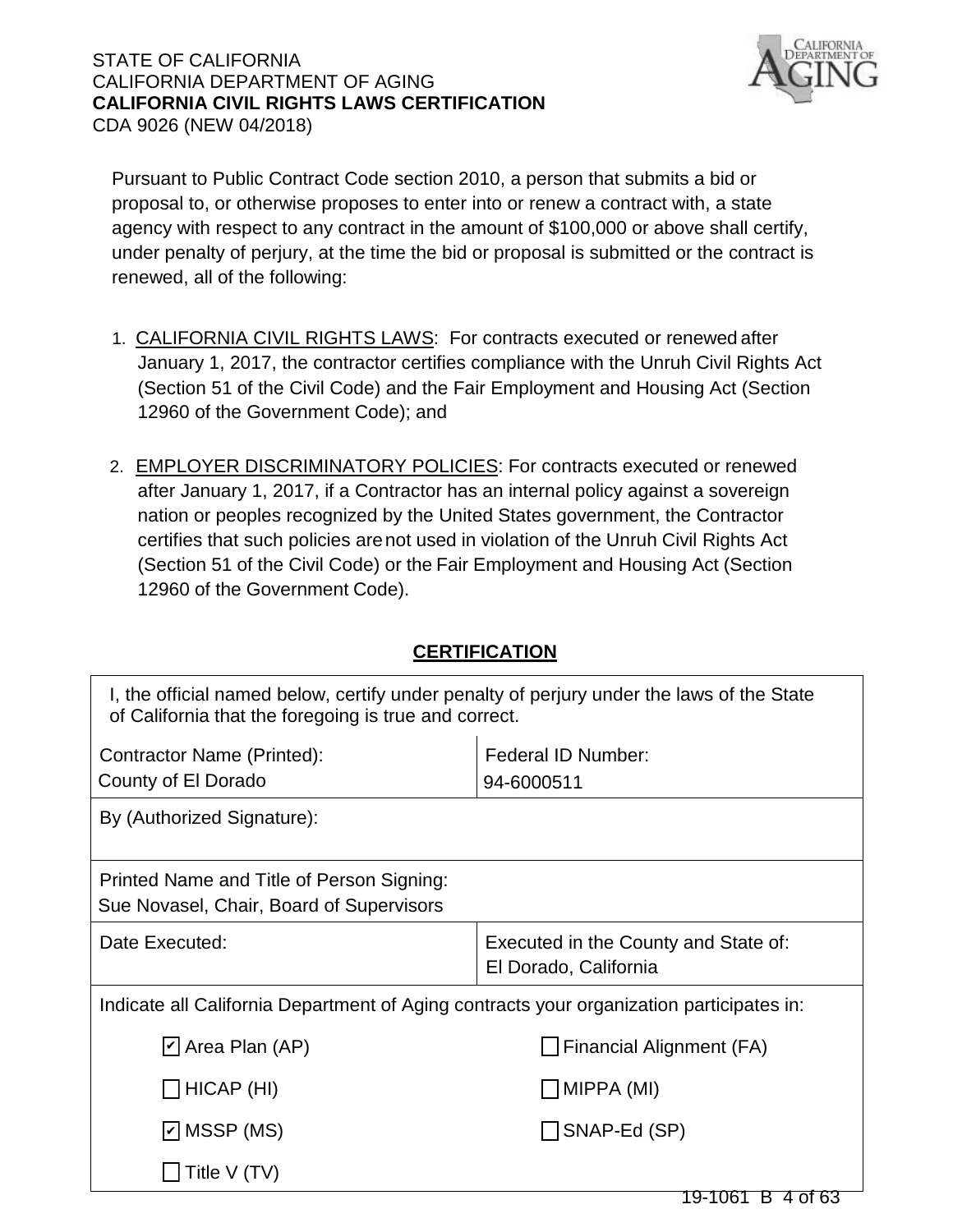# STATE OF CALIFORNIA CALIFORNIA DEPARTMENT OF AGING **CALIFORNIA CIVIL RIGHTS LAWS CERTIFICATION** CDA 9026 (NEW 04/2018)



Pursuant to Public Contract Code section 2010, a person that submits a bid or proposal to, or otherwise proposes to enter into or renew a contract with, a state agency with respect to any contract in the amount of \$100,000 or above shall certify, under penalty of perjury, at the time the bid or proposal is submitted or the contract is renewed, all of the following:

- 1. CALIFORNIA CIVIL RIGHTS LAWS: For contracts executed or renewed after January 1, 2017, the contractor certifies compliance with the Unruh Civil Rights Act (Section 51 of the Civil Code) and the Fair Employment and Housing Act (Section 12960 of the Government Code); and
- 2. EMPLOYER DISCRIMINATORY POLICIES: For contracts executed or renewed after January 1, 2017, if a Contractor has an internal policy against a sovereign nation or peoples recognized by the United States government, the Contractor certifies that such policies arenot used in violation of the Unruh Civil Rights Act (Section 51 of the Civil Code) or the Fair Employment and Housing Act (Section 12960 of the Government Code).

# **CERTIFICATION**

| I, the official named below, certify under penalty of perjury under the laws of the State<br>of California that the foregoing is true and correct. |                                                               |  |  |
|----------------------------------------------------------------------------------------------------------------------------------------------------|---------------------------------------------------------------|--|--|
| Contractor Name (Printed):                                                                                                                         | Federal ID Number:                                            |  |  |
| County of El Dorado                                                                                                                                | 94-6000511                                                    |  |  |
| By (Authorized Signature):                                                                                                                         |                                                               |  |  |
| Printed Name and Title of Person Signing:<br>Sue Novasel, Chair, Board of Supervisors                                                              |                                                               |  |  |
| Date Executed:                                                                                                                                     | Executed in the County and State of:<br>El Dorado, California |  |  |
| Indicate all California Department of Aging contracts your organization participates in:                                                           |                                                               |  |  |
| $\vert \underline{\mathsf{v}} \vert$ Area Plan (AP)                                                                                                | Financial Alignment (FA)                                      |  |  |
| $\Box$ HICAP (HI)<br> MIPPA (MI)                                                                                                                   |                                                               |  |  |
| $\vert$ MSSP (MS)                                                                                                                                  | SNAP-Ed (SP)                                                  |  |  |
| Title V (TV)                                                                                                                                       |                                                               |  |  |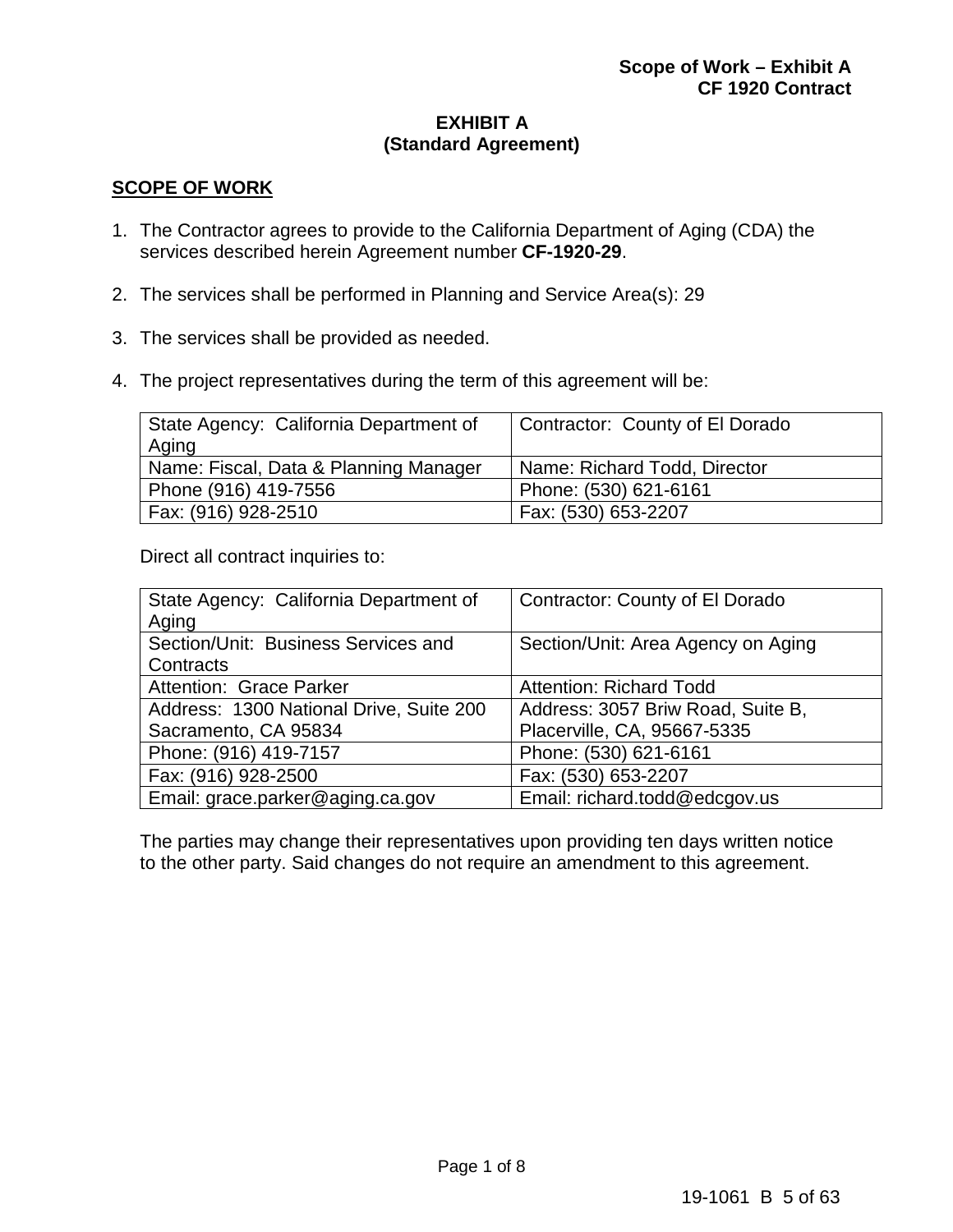# **EXHIBIT A (Standard Agreement)**

# **SCOPE OF WORK**

- 1. The Contractor agrees to provide to the California Department of Aging (CDA) the services described herein Agreement number **CF-1920-29**.
- 2. The services shall be performed in Planning and Service Area(s): 29
- 3. The services shall be provided as needed.
- 4. The project representatives during the term of this agreement will be:

| State Agency: California Department of<br>Aging | Contractor: County of El Dorado |
|-------------------------------------------------|---------------------------------|
| Name: Fiscal, Data & Planning Manager           | Name: Richard Todd, Director    |
| Phone (916) 419-7556                            | Phone: (530) 621-6161           |
| Fax: (916) 928-2510                             | Fax: (530) 653-2207             |

Direct all contract inquiries to:

| State Agency: California Department of  | Contractor: County of El Dorado    |  |
|-----------------------------------------|------------------------------------|--|
| Aging                                   |                                    |  |
| Section/Unit: Business Services and     | Section/Unit: Area Agency on Aging |  |
| Contracts                               |                                    |  |
| Attention: Grace Parker                 | <b>Attention: Richard Todd</b>     |  |
| Address: 1300 National Drive, Suite 200 | Address: 3057 Briw Road, Suite B,  |  |
| Sacramento, CA 95834                    | Placerville, CA, 95667-5335        |  |
| Phone: (916) 419-7157                   | Phone: (530) 621-6161              |  |
| Fax: (916) 928-2500                     | Fax: (530) 653-2207                |  |
| Email: grace.parker@aging.ca.gov        | Email: richard.todd@edcgov.us      |  |

The parties may change their representatives upon providing ten days written notice to the other party. Said changes do not require an amendment to this agreement.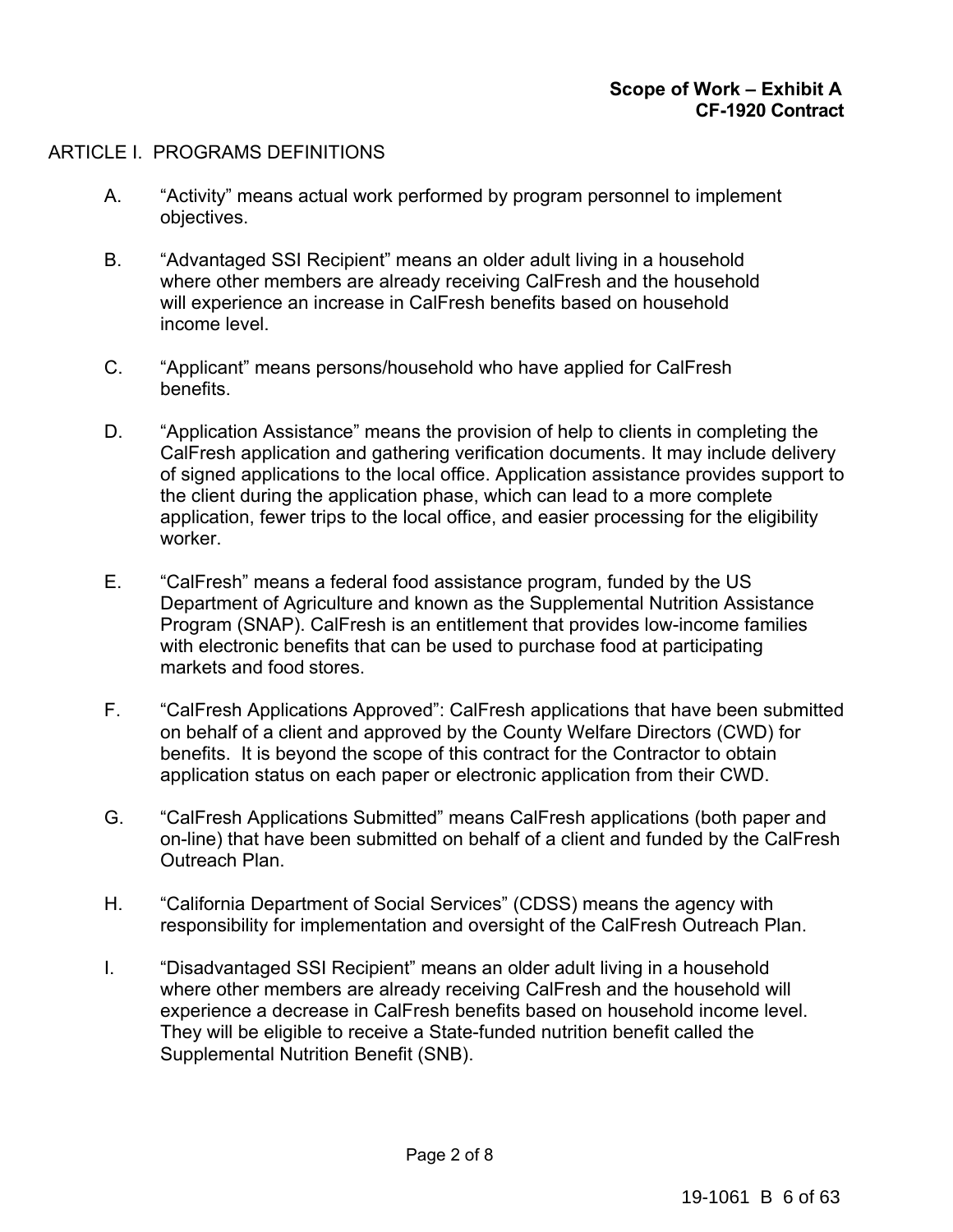# ARTICLE I. PROGRAMS DEFINITIONS

- A. "Activity" means actual work performed by program personnel to implement objectives.
- B. "Advantaged SSI Recipient" means an older adult living in a household where other members are already receiving CalFresh and the household will experience an increase in CalFresh benefits based on household income level.
- C. "Applicant" means persons/household who have applied for CalFresh benefits.
- D. "Application Assistance" means the provision of help to clients in completing the CalFresh application and gathering verification documents. It may include delivery of signed applications to the local office. Application assistance provides support to the client during the application phase, which can lead to a more complete application, fewer trips to the local office, and easier processing for the eligibility worker.
- E. "CalFresh" means a federal food assistance program, funded by the US Department of Agriculture and known as the Supplemental Nutrition Assistance Program (SNAP). CalFresh is an entitlement that provides low-income families with electronic benefits that can be used to purchase food at participating markets and food stores.
- F. "CalFresh Applications Approved": CalFresh applications that have been submitted on behalf of a client and approved by the County Welfare Directors (CWD) for benefits. It is beyond the scope of this contract for the Contractor to obtain application status on each paper or electronic application from their CWD.
- G. "CalFresh Applications Submitted" means CalFresh applications (both paper and on-line) that have been submitted on behalf of a client and funded by the CalFresh Outreach Plan.
- H. "California Department of Social Services" (CDSS) means the agency with responsibility for implementation and oversight of the CalFresh Outreach Plan.
- I. "Disadvantaged SSI Recipient" means an older adult living in a household where other members are already receiving CalFresh and the household will experience a decrease in CalFresh benefits based on household income level. They will be eligible to receive a State-funded nutrition benefit called the Supplemental Nutrition Benefit (SNB).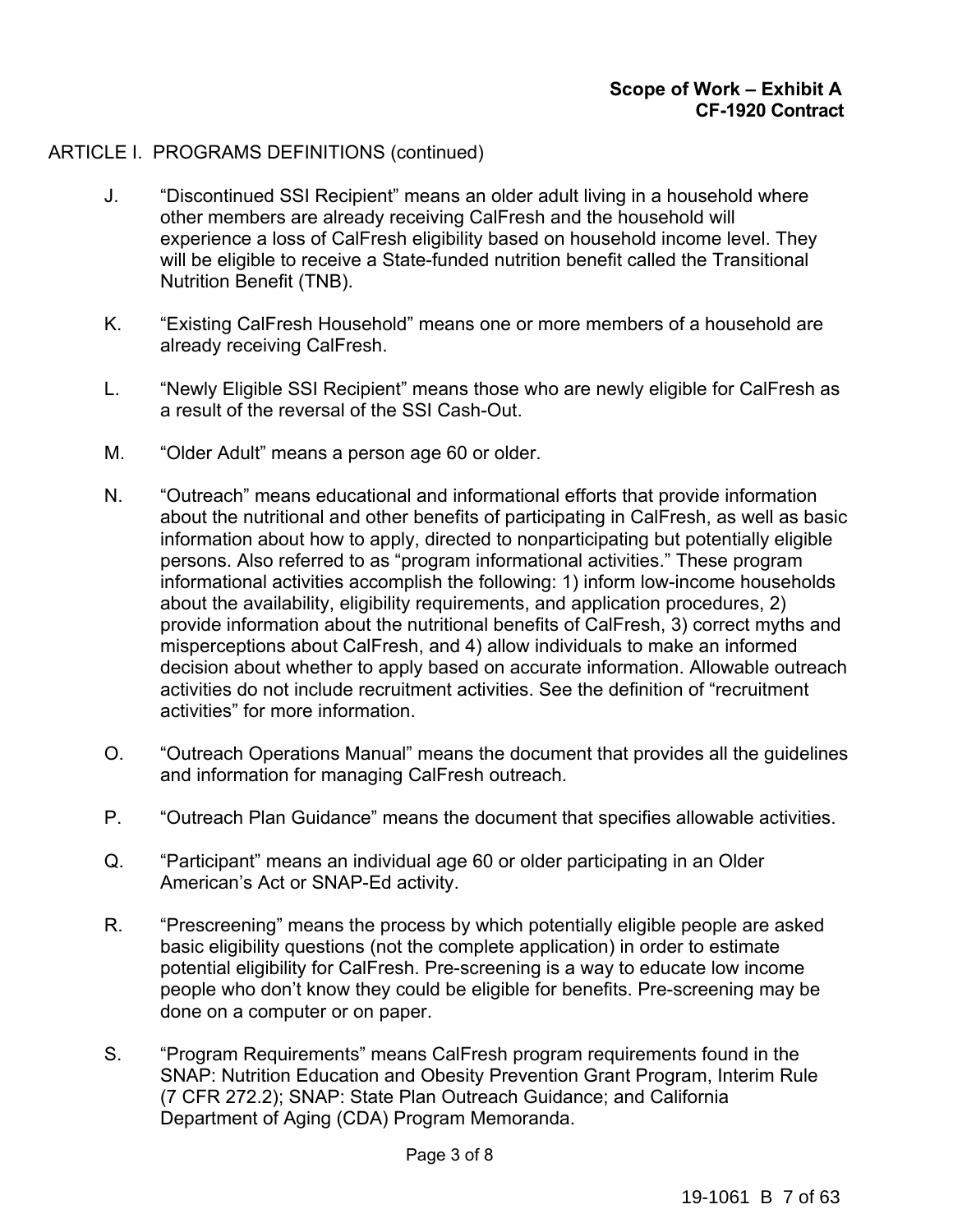# ARTICLE I. PROGRAMS DEFINITIONS (continued)

- J. "Discontinued SSI Recipient" means an older adult living in a household where other members are already receiving CalFresh and the household will experience a loss of CalFresh eligibility based on household income level. They will be eligible to receive a State-funded nutrition benefit called the Transitional Nutrition Benefit (TNB).
- K. "Existing CalFresh Household" means one or more members of a household are already receiving CalFresh.
- L. "Newly Eligible SSI Recipient" means those who are newly eligible for CalFresh as a result of the reversal of the SSI Cash-Out.
- M. "Older Adult" means a person age 60 or older.
- N. "Outreach" means educational and informational efforts that provide information about the nutritional and other benefits of participating in CalFresh, as well as basic information about how to apply, directed to nonparticipating but potentially eligible persons. Also referred to as "program informational activities." These program informational activities accomplish the following: 1) inform low-income households about the availability, eligibility requirements, and application procedures, 2) provide information about the nutritional benefits of CalFresh, 3) correct myths and misperceptions about CalFresh, and 4) allow individuals to make an informed decision about whether to apply based on accurate information. Allowable outreach activities do not include recruitment activities. See the definition of "recruitment activities" for more information.
- O. "Outreach Operations Manual" means the document that provides all the guidelines and information for managing CalFresh outreach.
- P. "Outreach Plan Guidance" means the document that specifies allowable activities.
- Q. "Participant" means an individual age 60 or older participating in an Older American's Act or SNAP-Ed activity.
- R. "Prescreening" means the process by which potentially eligible people are asked basic eligibility questions (not the complete application) in order to estimate potential eligibility for CalFresh. Pre-screening is a way to educate low income people who don't know they could be eligible for benefits. Pre-screening may be done on a computer or on paper.
- S. "Program Requirements" means CalFresh program requirements found in the SNAP: Nutrition Education and Obesity Prevention Grant Program, Interim Rule (7 CFR 272.2); SNAP: State Plan Outreach Guidance; and California Department of Aging (CDA) Program Memoranda.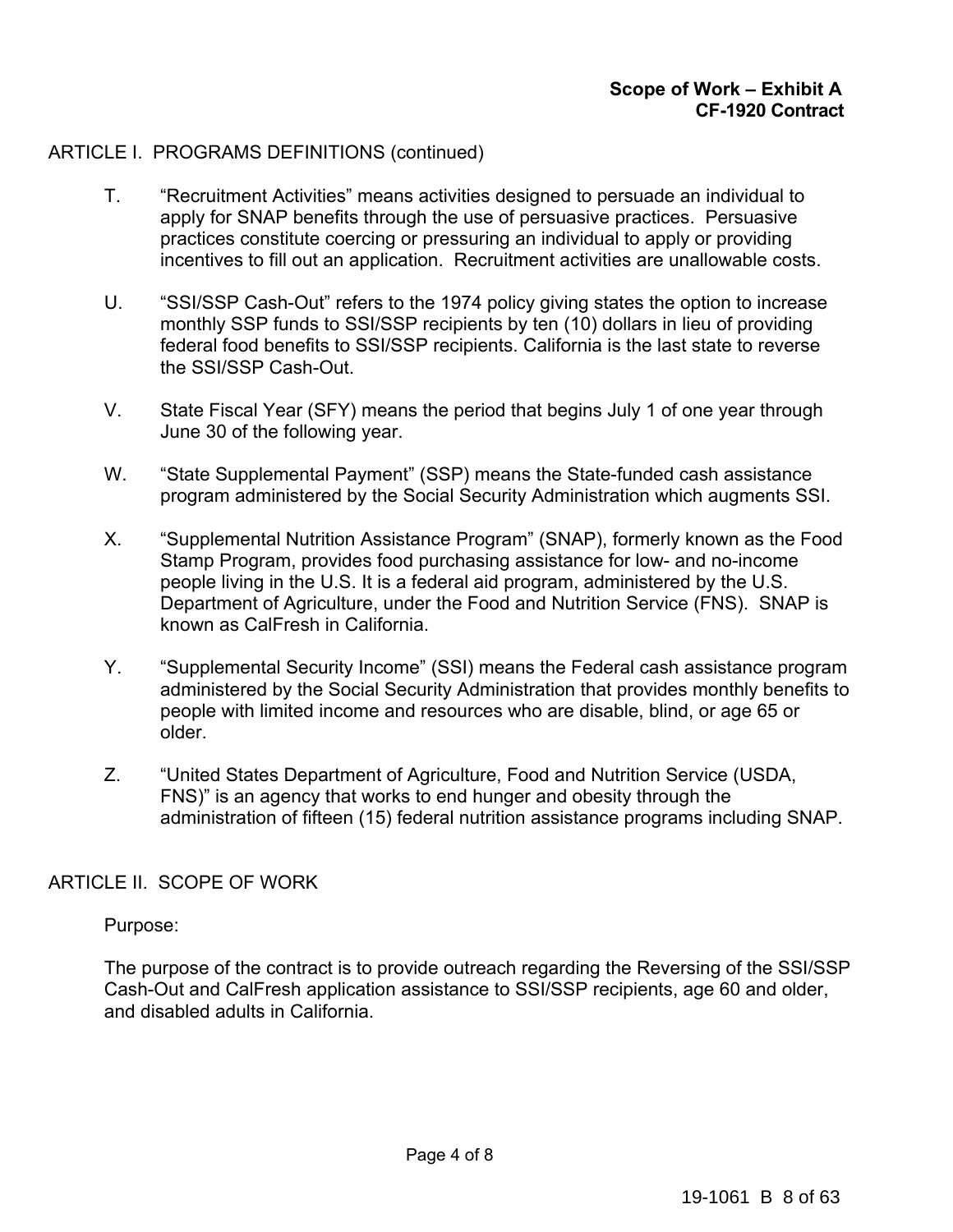# ARTICLE I. PROGRAMS DEFINITIONS (continued)

- T. "Recruitment Activities" means activities designed to persuade an individual to apply for SNAP benefits through the use of persuasive practices. Persuasive practices constitute coercing or pressuring an individual to apply or providing incentives to fill out an application. Recruitment activities are unallowable costs.
- U. "SSI/SSP Cash-Out" refers to the 1974 policy giving states the option to increase monthly SSP funds to SSI/SSP recipients by ten (10) dollars in lieu of providing federal food benefits to SSI/SSP recipients. California is the last state to reverse the SSI/SSP Cash-Out.
- V. State Fiscal Year (SFY) means the period that begins July 1 of one year through June 30 of the following year.
- W. "State Supplemental Payment" (SSP) means the State-funded cash assistance program administered by the Social Security Administration which augments SSI.
- X. "Supplemental Nutrition Assistance Program" (SNAP), formerly known as the Food Stamp Program, provides food purchasing assistance for low- and no-income people living in the U.S. It is a federal aid program, administered by the U.S. Department of Agriculture, under the Food and Nutrition Service (FNS). SNAP is known as CalFresh in California.
- Y. "Supplemental Security Income" (SSI) means the Federal cash assistance program administered by the Social Security Administration that provides monthly benefits to people with limited income and resources who are disable, blind, or age 65 or older.
- Z. "United States Department of Agriculture, Food and Nutrition Service (USDA, FNS)" is an agency that works to end hunger and obesity through the administration of fifteen (15) federal nutrition assistance programs including SNAP.

# ARTICLE II. SCOPE OF WORK

### Purpose:

The purpose of the contract is to provide outreach regarding the Reversing of the SSI/SSP Cash-Out and CalFresh application assistance to SSI/SSP recipients, age 60 and older, and disabled adults in California.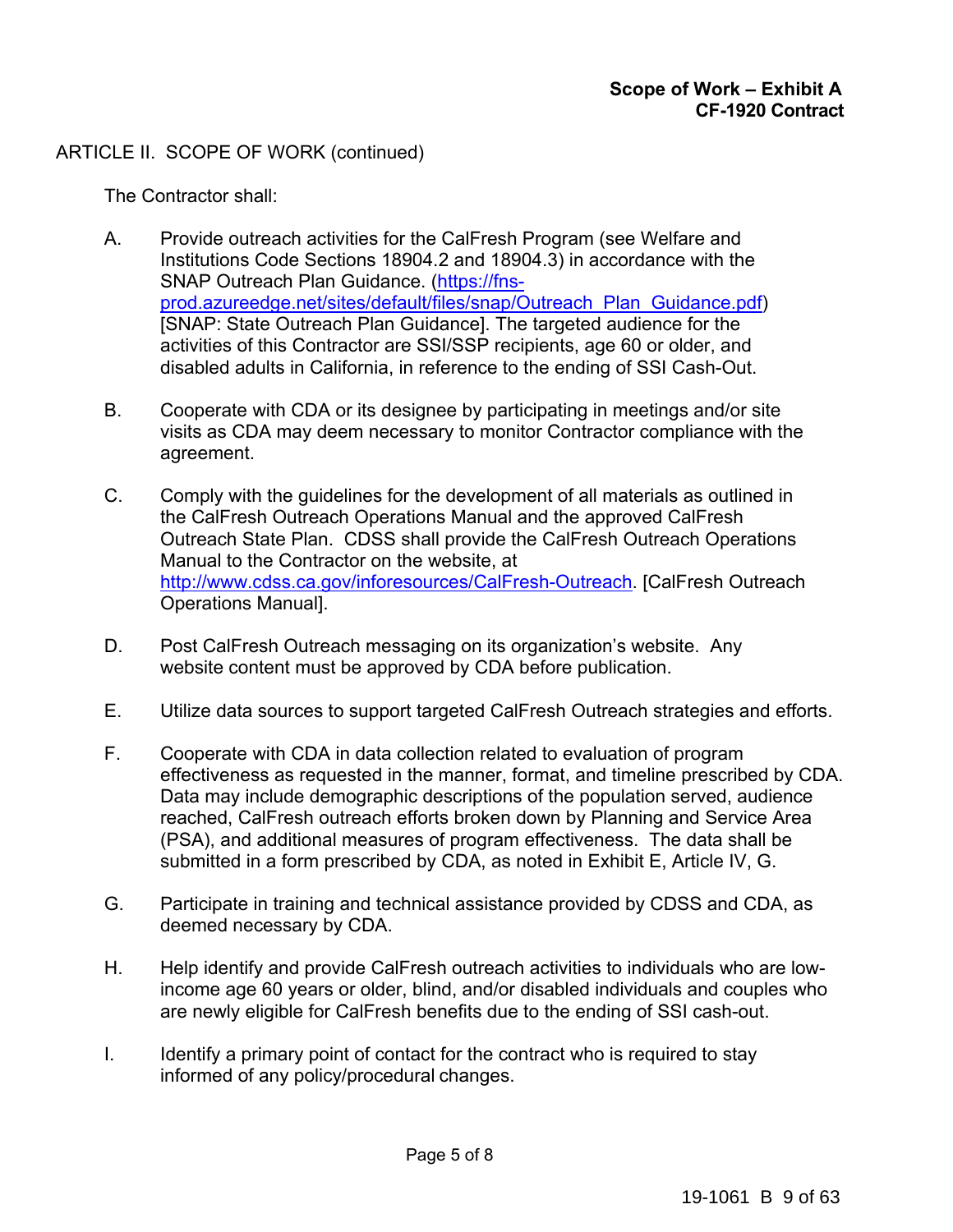# ARTICLE II. SCOPE OF WORK (continued)

The Contractor shall:

- A. Provide outreach activities for the CalFresh Program (see Welfare and Institutions Code Sections 18904.2 and 18904.3) in accordance with the SNAP Outreach Plan Guidance. (https://fnsprod.azureedge.net/sites/default/files/snap/Outreach\_Plan\_Guidance.pdf) [SNAP: State Outreach Plan Guidance]. The targeted audience for the activities of this Contractor are SSI/SSP recipients, age 60 or older, and disabled adults in California, in reference to the ending of SSI Cash-Out.
- B. Cooperate with CDA or its designee by participating in meetings and/or site visits as CDA may deem necessary to monitor Contractor compliance with the agreement.
- C. Comply with the guidelines for the development of all materials as outlined in the CalFresh Outreach Operations Manual and the approved CalFresh Outreach State Plan. CDSS shall provide the CalFresh Outreach Operations Manual to the Contractor on the website, at http://www.cdss.ca.gov/inforesources/CalFresh-Outreach. [CalFresh Outreach Operations Manual].
- D. Post CalFresh Outreach messaging on its organization's website. Any website content must be approved by CDA before publication.
- E. Utilize data sources to support targeted CalFresh Outreach strategies and efforts.
- F. Cooperate with CDA in data collection related to evaluation of program effectiveness as requested in the manner, format, and timeline prescribed by CDA. Data may include demographic descriptions of the population served, audience reached, CalFresh outreach efforts broken down by Planning and Service Area (PSA), and additional measures of program effectiveness. The data shall be submitted in a form prescribed by CDA, as noted in Exhibit E, Article IV, G.
- G. Participate in training and technical assistance provided by CDSS and CDA, as deemed necessary by CDA.
- H. Help identify and provide CalFresh outreach activities to individuals who are lowincome age 60 years or older, blind, and/or disabled individuals and couples who are newly eligible for CalFresh benefits due to the ending of SSI cash-out.
- $I.$  Identify a primary point of contact for the contract who is required to stay informed of any policy/procedural changes.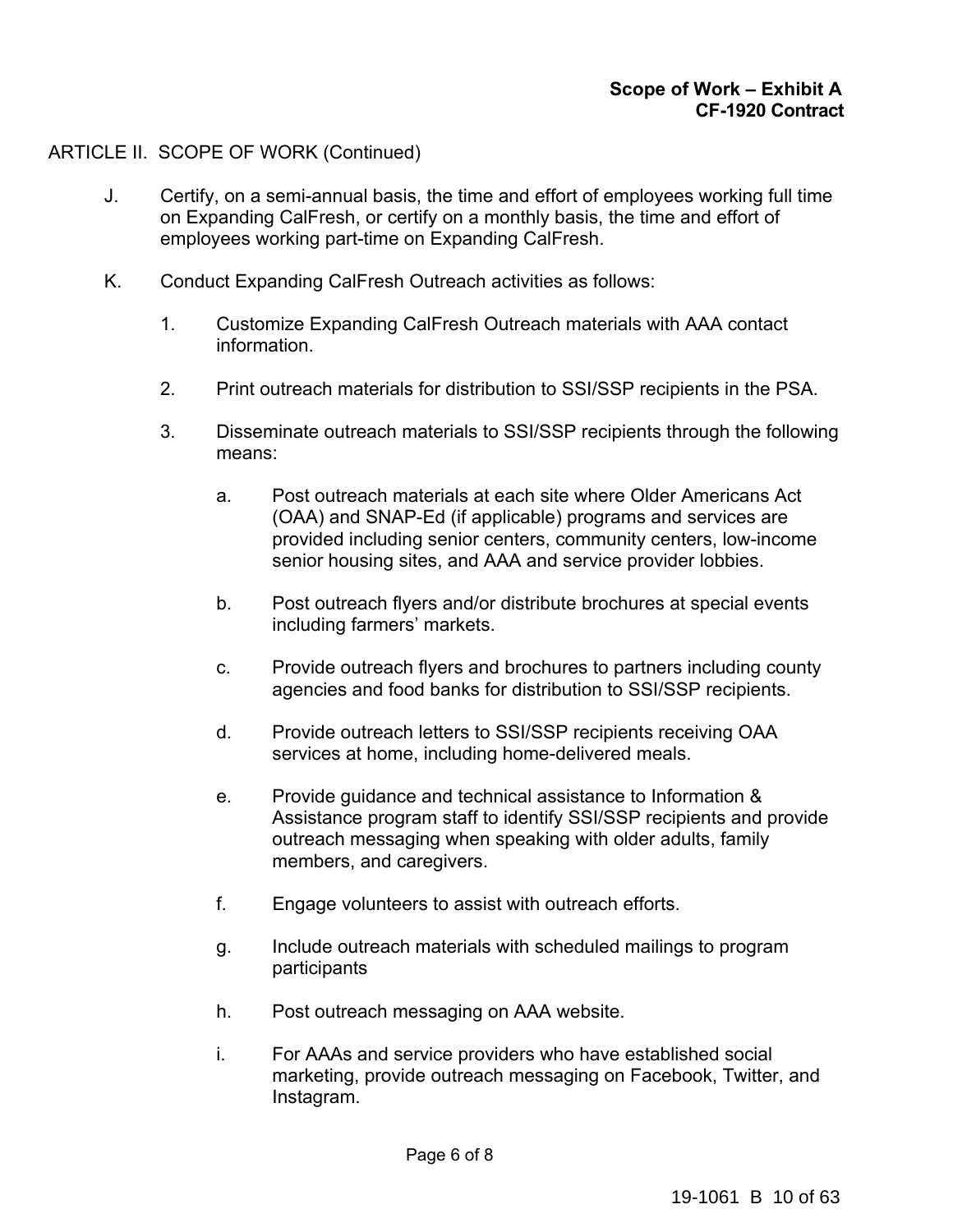# ARTICLE II. SCOPE OF WORK (Continued)

- J. Certify, on a semi-annual basis, the time and effort of employees working full time on Expanding CalFresh, or certify on a monthly basis, the time and effort of employees working part-time on Expanding CalFresh.
- K. Conduct Expanding CalFresh Outreach activities as follows:
	- 1. Customize Expanding CalFresh Outreach materials with AAA contact information.
	- 2. Print outreach materials for distribution to SSI/SSP recipients in the PSA.
	- 3. Disseminate outreach materials to SSI/SSP recipients through the following means:
		- a. Post outreach materials at each site where Older Americans Act (OAA) and SNAP-Ed (if applicable) programs and services are provided including senior centers, community centers, low-income senior housing sites, and AAA and service provider lobbies.
		- b. Post outreach flyers and/or distribute brochures at special events including farmers' markets.
		- c. Provide outreach flyers and brochures to partners including county agencies and food banks for distribution to SSI/SSP recipients.
		- d. Provide outreach letters to SSI/SSP recipients receiving OAA services at home, including home-delivered meals.
		- e. Provide guidance and technical assistance to Information & Assistance program staff to identify SSI/SSP recipients and provide outreach messaging when speaking with older adults, family members, and caregivers.
		- f. Engage volunteers to assist with outreach efforts.
		- g. Include outreach materials with scheduled mailings to program participants
		- h. Post outreach messaging on AAA website.
		- i. For AAAs and service providers who have established social marketing, provide outreach messaging on Facebook, Twitter, and Instagram.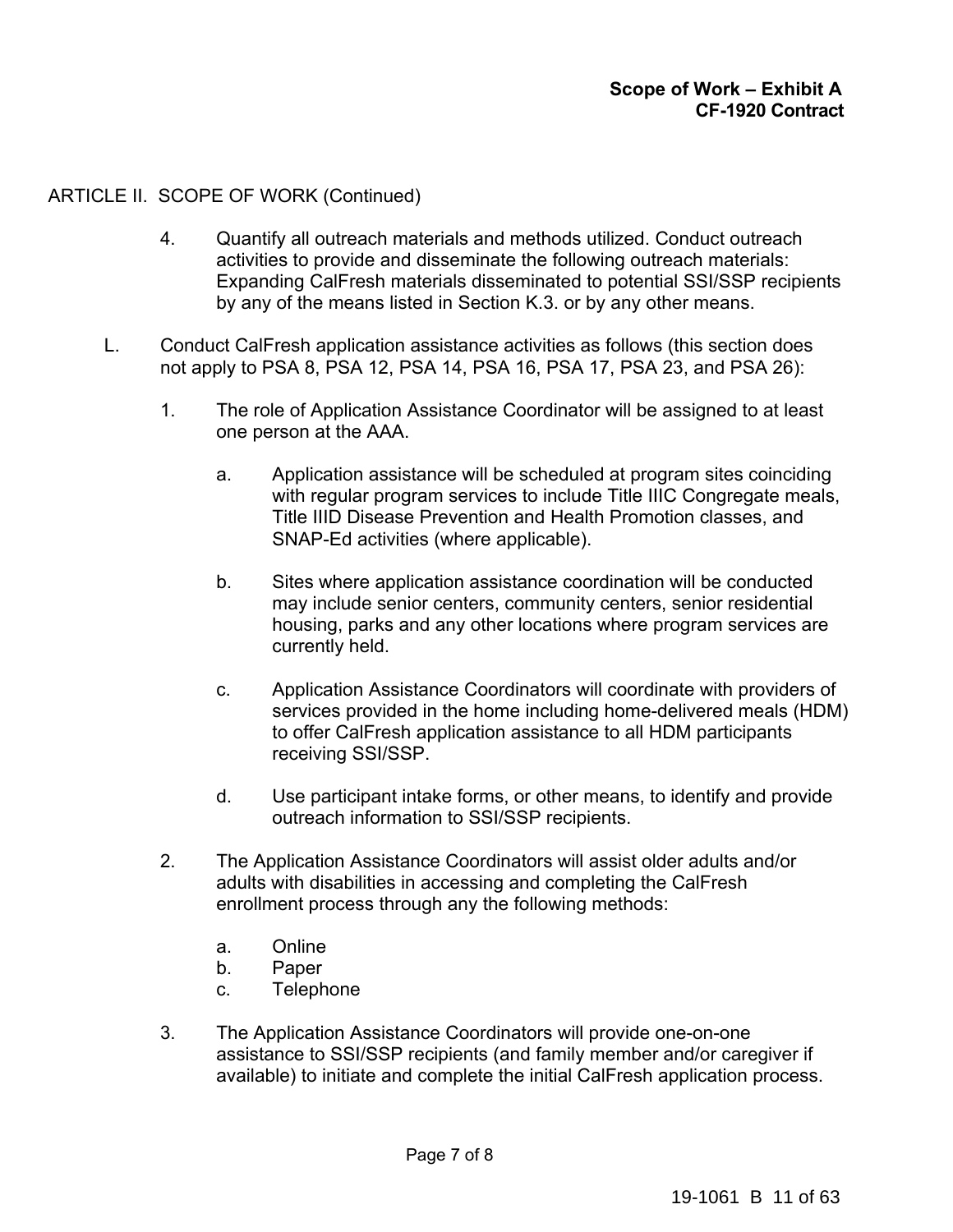# ARTICLE II. SCOPE OF WORK (Continued)

- 4. Quantify all outreach materials and methods utilized. Conduct outreach activities to provide and disseminate the following outreach materials: Expanding CalFresh materials disseminated to potential SSI/SSP recipients by any of the means listed in Section K.3. or by any other means.
- L. Conduct CalFresh application assistance activities as follows (this section does not apply to PSA 8, PSA 12, PSA 14, PSA 16, PSA 17, PSA 23, and PSA 26):
	- 1. The role of Application Assistance Coordinator will be assigned to at least one person at the AAA.
		- a. Application assistance will be scheduled at program sites coinciding with regular program services to include Title IIIC Congregate meals, Title IIID Disease Prevention and Health Promotion classes, and SNAP-Ed activities (where applicable).
		- b. Sites where application assistance coordination will be conducted may include senior centers, community centers, senior residential housing, parks and any other locations where program services are currently held.
		- c. Application Assistance Coordinators will coordinate with providers of services provided in the home including home-delivered meals (HDM) to offer CalFresh application assistance to all HDM participants receiving SSI/SSP.
		- d. Use participant intake forms, or other means, to identify and provide outreach information to SSI/SSP recipients.
	- 2. The Application Assistance Coordinators will assist older adults and/or adults with disabilities in accessing and completing the CalFresh enrollment process through any the following methods:
		- a. Online
		- b. Paper
		- c. Telephone
	- 3. The Application Assistance Coordinators will provide one-on-one assistance to SSI/SSP recipients (and family member and/or caregiver if available) to initiate and complete the initial CalFresh application process.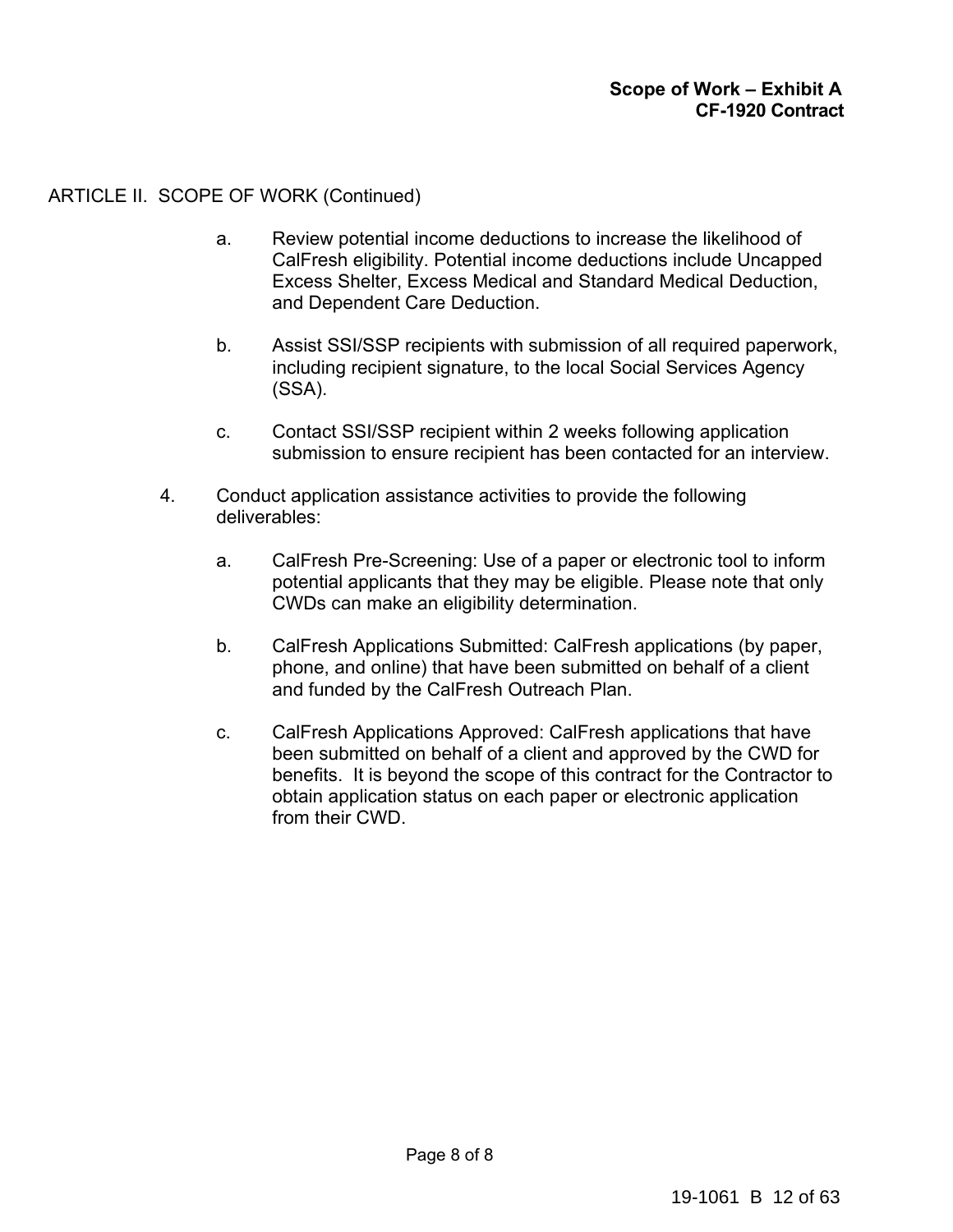# ARTICLE II. SCOPE OF WORK (Continued)

- a. Review potential income deductions to increase the likelihood of CalFresh eligibility. Potential income deductions include Uncapped Excess Shelter, Excess Medical and Standard Medical Deduction, and Dependent Care Deduction.
- b. Assist SSI/SSP recipients with submission of all required paperwork, including recipient signature, to the local Social Services Agency (SSA).
- c. Contact SSI/SSP recipient within 2 weeks following application submission to ensure recipient has been contacted for an interview.
- 4. Conduct application assistance activities to provide the following deliverables:
	- a. CalFresh Pre-Screening: Use of a paper or electronic tool to inform potential applicants that they may be eligible. Please note that only CWDs can make an eligibility determination.
	- b. CalFresh Applications Submitted: CalFresh applications (by paper, phone, and online) that have been submitted on behalf of a client and funded by the CalFresh Outreach Plan.
	- c. CalFresh Applications Approved: CalFresh applications that have been submitted on behalf of a client and approved by the CWD for benefits. It is beyond the scope of this contract for the Contractor to obtain application status on each paper or electronic application from their CWD.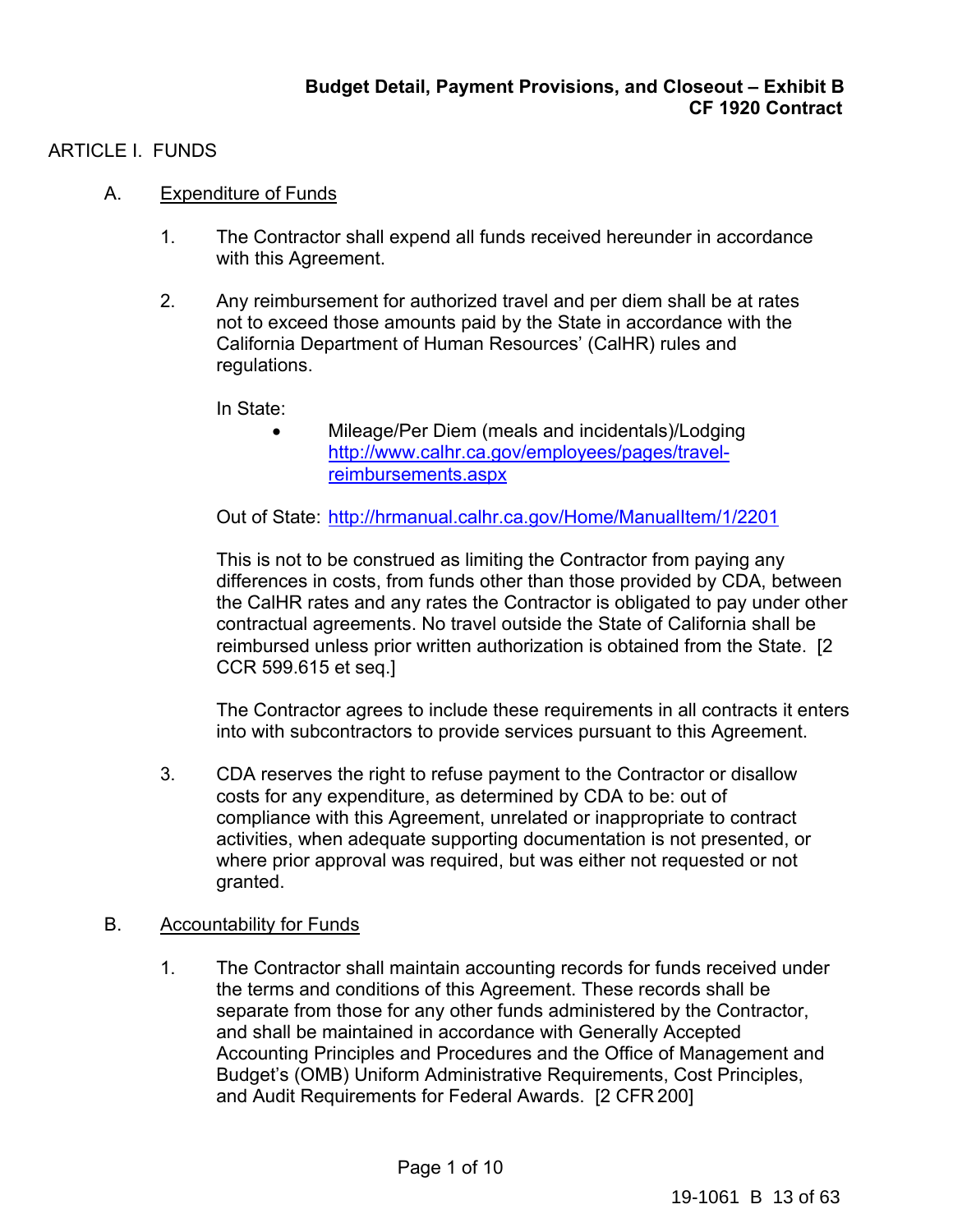# ARTICLE I. FUNDS

# A. Expenditure of Funds

- 1. The Contractor shall expend all funds received hereunder in accordance with this Agreement.
- 2. Any reimbursement for authorized travel and per diem shall be at rates not to exceed those amounts paid by the State in accordance with the California Department of Human Resources' (CalHR) rules and regulations.

In State:

• Mileage/Per Diem (meals and incidentals)/Lodging http://www.calhr.ca.gov/employees/pages/travelreimbursements.aspx

Out of State: http://hrmanual.calhr.ca.gov/Home/ManualItem/1/2201

This is not to be construed as limiting the Contractor from paying any differences in costs, from funds other than those provided by CDA, between the CalHR rates and any rates the Contractor is obligated to pay under other contractual agreements. No travel outside the State of California shall be reimbursed unless prior written authorization is obtained from the State. [2 CCR 599.615 et seq.]

The Contractor agrees to include these requirements in all contracts it enters into with subcontractors to provide services pursuant to this Agreement.

3. CDA reserves the right to refuse payment to the Contractor or disallow costs for any expenditure, as determined by CDA to be: out of compliance with this Agreement, unrelated or inappropriate to contract activities, when adequate supporting documentation is not presented, or where prior approval was required, but was either not requested or not granted.

# B. Accountability for Funds

1. The Contractor shall maintain accounting records for funds received under the terms and conditions of this Agreement. These records shall be separate from those for any other funds administered by the Contractor, and shall be maintained in accordance with Generally Accepted Accounting Principles and Procedures and the Office of Management and Budget's (OMB) Uniform Administrative Requirements, Cost Principles, and Audit Requirements for Federal Awards. [2 CFR 200]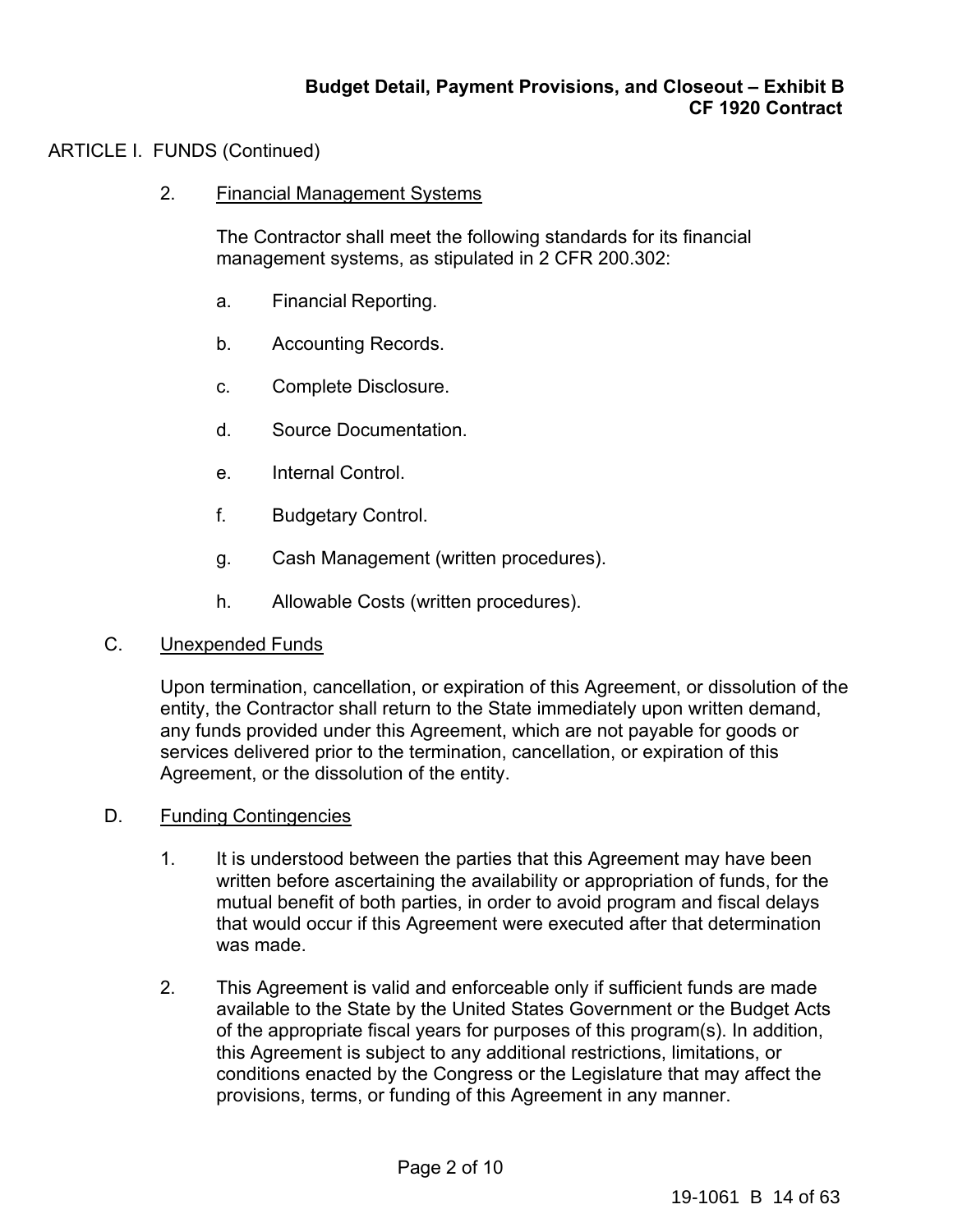# ARTICLE I. FUNDS (Continued)

2. Financial Management Systems

The Contractor shall meet the following standards for its financial management systems, as stipulated in 2 CFR 200.302:

- a. Financial Reporting.
- b. Accounting Records.
- c. Complete Disclosure.
- d. Source Documentation.
- e. Internal Control.
- f. Budgetary Control.
- g. Cash Management (written procedures).
- h. Allowable Costs (written procedures).

# C. Unexpended Funds

Upon termination, cancellation, or expiration of this Agreement, or dissolution of the entity, the Contractor shall return to the State immediately upon written demand, any funds provided under this Agreement, which are not payable for goods or services delivered prior to the termination, cancellation, or expiration of this Agreement, or the dissolution of the entity.

# D. Funding Contingencies

- 1. It is understood between the parties that this Agreement may have been written before ascertaining the availability or appropriation of funds, for the mutual benefit of both parties, in order to avoid program and fiscal delays that would occur if this Agreement were executed after that determination was made.
- 2. This Agreement is valid and enforceable only if sufficient funds are made available to the State by the United States Government or the Budget Acts of the appropriate fiscal years for purposes of this program(s). In addition, this Agreement is subject to any additional restrictions, limitations, or conditions enacted by the Congress or the Legislature that may affect the provisions, terms, or funding of this Agreement in any manner.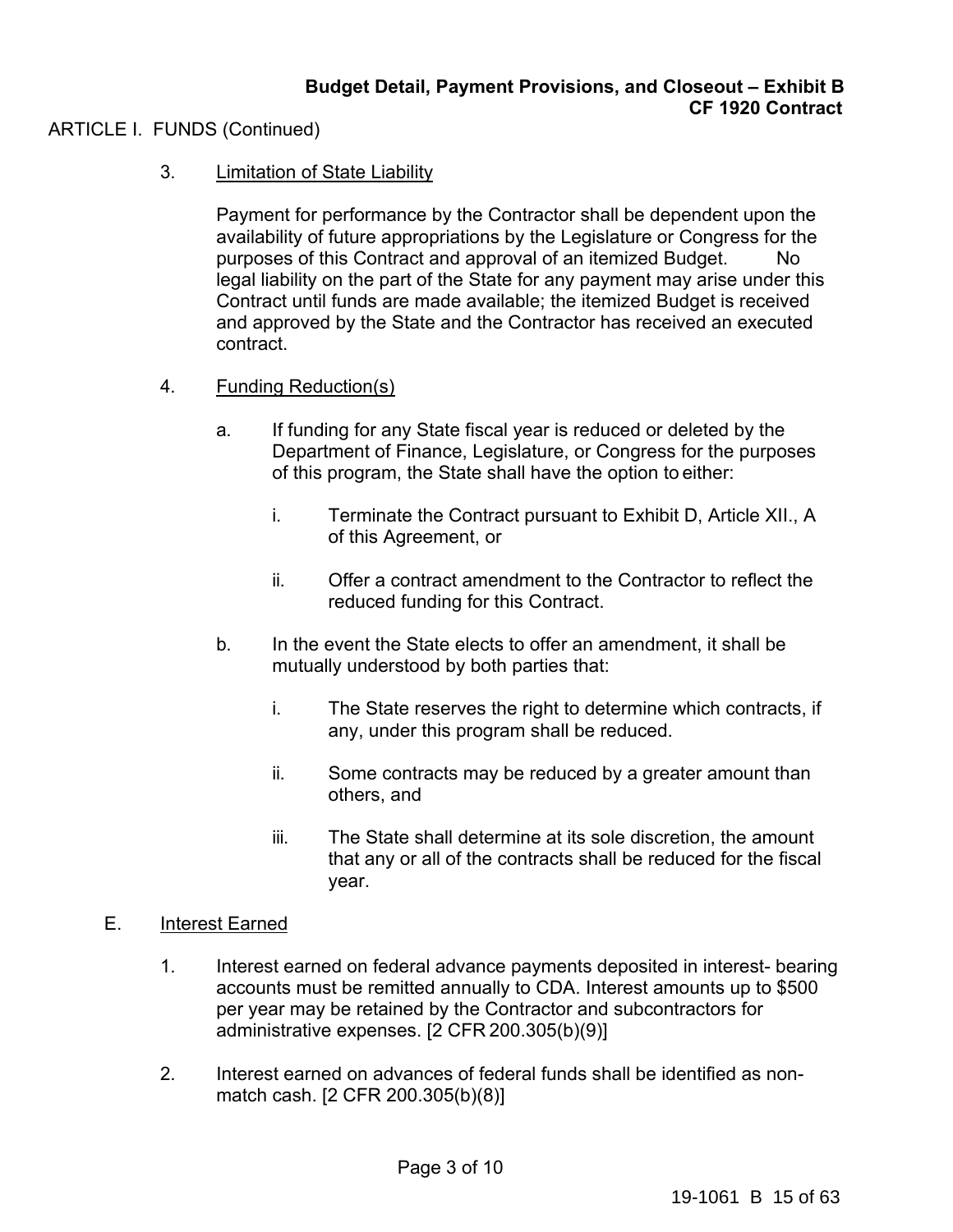# ARTICLE I. FUNDS (Continued)

3. Limitation of State Liability

Payment for performance by the Contractor shall be dependent upon the availability of future appropriations by the Legislature or Congress for the purposes of this Contract and approval of an itemized Budget. No legal liability on the part of the State for any payment may arise under this Contract until funds are made available; the itemized Budget is received and approved by the State and the Contractor has received an executed contract.

- 4. Funding Reduction(s)
	- a. If funding for any State fiscal year is reduced or deleted by the Department of Finance, Legislature, or Congress for the purposes of this program, the State shall have the option to either:
		- i. Terminate the Contract pursuant to Exhibit D, Article XII., A of this Agreement, or
		- ii. Offer a contract amendment to the Contractor to reflect the reduced funding for this Contract.
	- b. In the event the State elects to offer an amendment, it shall be mutually understood by both parties that:
		- i. The State reserves the right to determine which contracts, if any, under this program shall be reduced.
		- ii. Some contracts may be reduced by a greater amount than others, and
		- iii. The State shall determine at its sole discretion, the amount that any or all of the contracts shall be reduced for the fiscal year.

# E. **Interest Earned**

- 1. Interest earned on federal advance payments deposited in interest- bearing accounts must be remitted annually to CDA. Interest amounts up to \$500 per year may be retained by the Contractor and subcontractors for administrative expenses. [2 CFR 200.305(b)(9)]
- 2. Interest earned on advances of federal funds shall be identified as nonmatch cash. [2 CFR 200.305(b)(8)]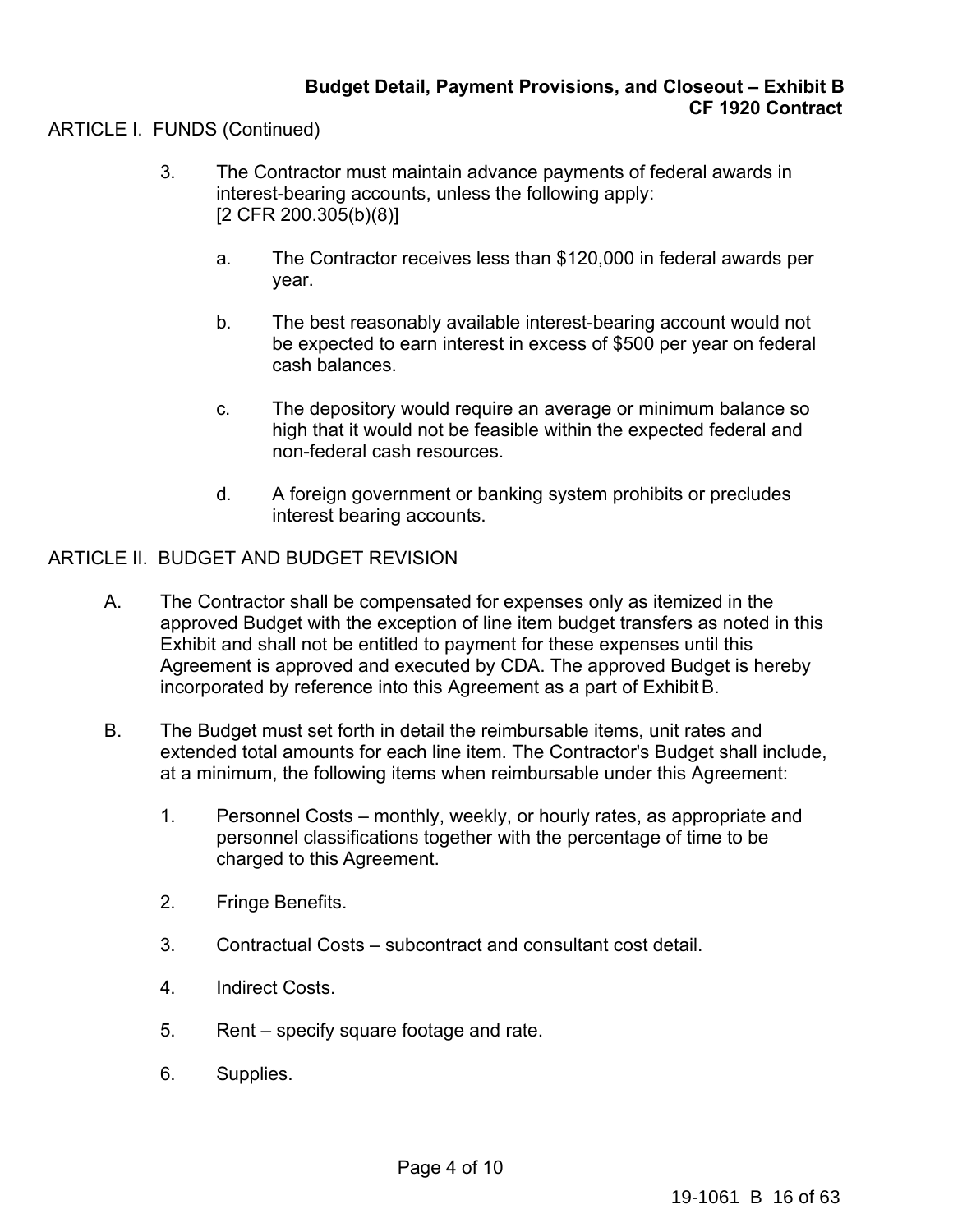# ARTICLE I. FUNDS (Continued)

- 3. The Contractor must maintain advance payments of federal awards in interest-bearing accounts, unless the following apply: [2 CFR 200.305(b)(8)]
	- a. The Contractor receives less than \$120,000 in federal awards per year.
	- b. The best reasonably available interest-bearing account would not be expected to earn interest in excess of \$500 per year on federal cash balances.
	- c. The depository would require an average or minimum balance so high that it would not be feasible within the expected federal and non-federal cash resources.
	- d. A foreign government or banking system prohibits or precludes interest bearing accounts.

# ARTICLE II. BUDGET AND BUDGET REVISION

- A. The Contractor shall be compensated for expenses only as itemized in the approved Budget with the exception of line item budget transfers as noted in this Exhibit and shall not be entitled to payment for these expenses until this Agreement is approved and executed by CDA. The approved Budget is hereby incorporated by reference into this Agreement as a part of Exhibit B.
- B. The Budget must set forth in detail the reimbursable items, unit rates and extended total amounts for each line item. The Contractor's Budget shall include, at a minimum, the following items when reimbursable under this Agreement:
	- 1. Personnel Costs monthly, weekly, or hourly rates, as appropriate and personnel classifications together with the percentage of time to be charged to this Agreement.
	- 2. Fringe Benefits.
	- 3. Contractual Costs subcontract and consultant cost detail.
	- 4. Indirect Costs.
	- 5. Rent specify square footage and rate.
	- 6. Supplies.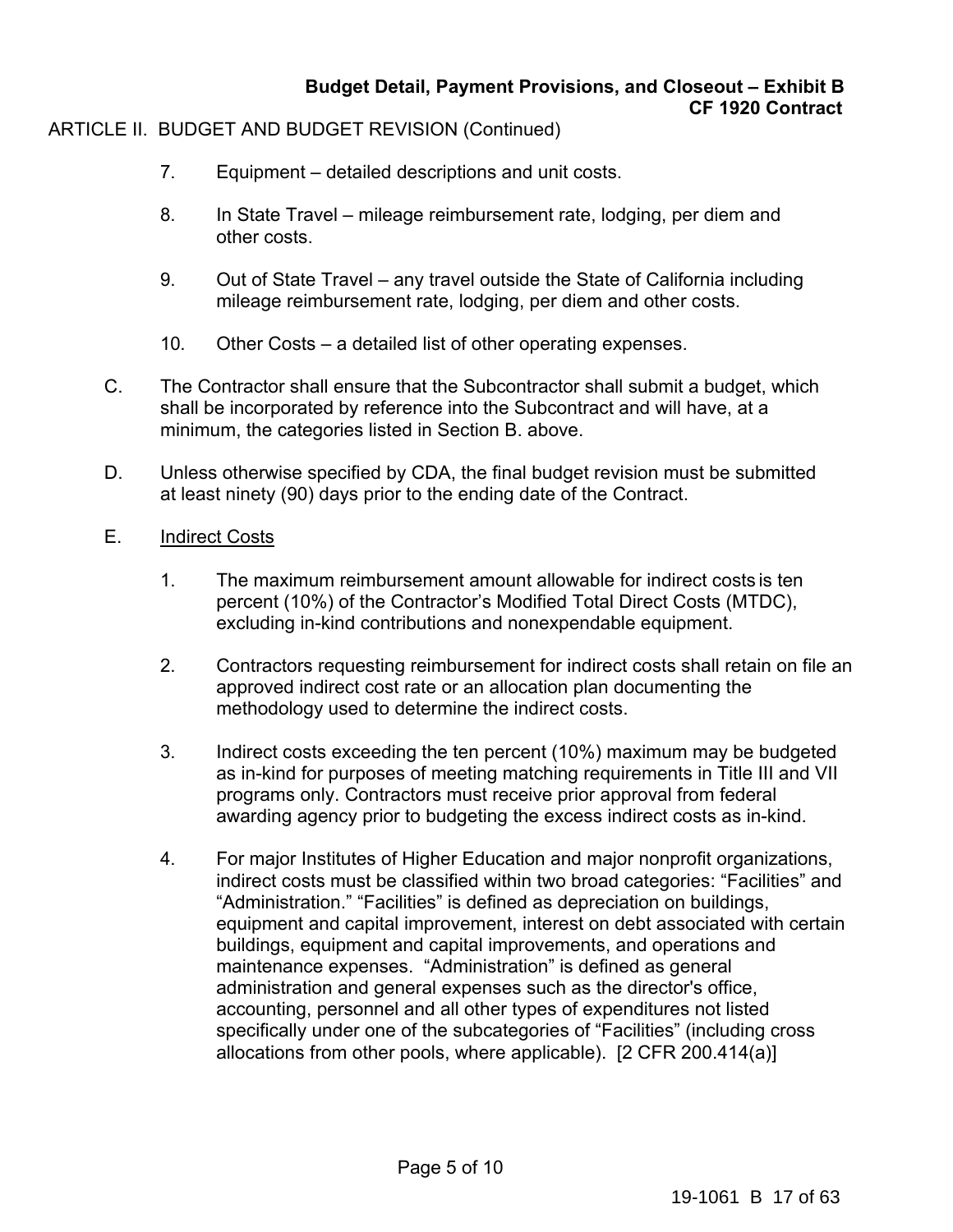# **Budget Detail, Payment Provisions, and Closeout – Exhibit B CF 1920 Contract**

# ARTICLE II. BUDGET AND BUDGET REVISION (Continued)

- 7. Equipment detailed descriptions and unit costs.
- 8. In State Travel mileage reimbursement rate, lodging, per diem and other costs.
- 9. Out of State Travel any travel outside the State of California including mileage reimbursement rate, lodging, per diem and other costs.
- 10. Other Costs a detailed list of other operating expenses.
- C. The Contractor shall ensure that the Subcontractor shall submit a budget, which shall be incorporated by reference into the Subcontract and will have, at a minimum, the categories listed in Section B. above.
- D. Unless otherwise specified by CDA, the final budget revision must be submitted at least ninety (90) days prior to the ending date of the Contract.
- E. Indirect Costs
	- 1. The maximum reimbursement amount allowable for indirect costs is ten percent (10%) of the Contractor's Modified Total Direct Costs (MTDC), excluding in-kind contributions and nonexpendable equipment.
	- 2. Contractors requesting reimbursement for indirect costs shall retain on file an approved indirect cost rate or an allocation plan documenting the methodology used to determine the indirect costs.
	- 3. Indirect costs exceeding the ten percent (10%) maximum may be budgeted as in-kind for purposes of meeting matching requirements in Title III and VII programs only. Contractors must receive prior approval from federal awarding agency prior to budgeting the excess indirect costs as in-kind.
	- 4. For major Institutes of Higher Education and major nonprofit organizations, indirect costs must be classified within two broad categories: "Facilities" and "Administration." "Facilities" is defined as depreciation on buildings, equipment and capital improvement, interest on debt associated with certain buildings, equipment and capital improvements, and operations and maintenance expenses. "Administration" is defined as general administration and general expenses such as the director's office, accounting, personnel and all other types of expenditures not listed specifically under one of the subcategories of "Facilities" (including cross allocations from other pools, where applicable). [2 CFR 200.414(a)]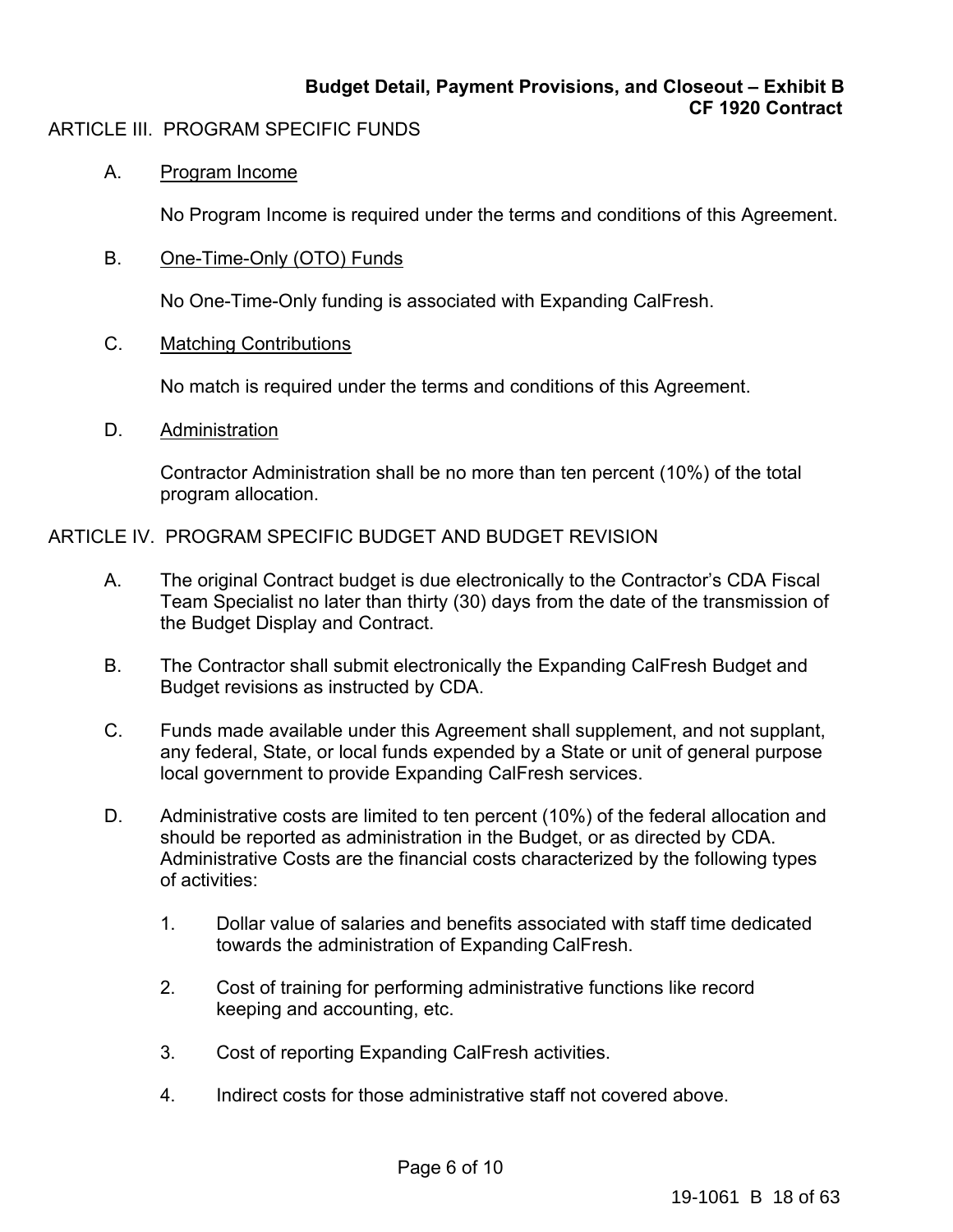# **Budget Detail, Payment Provisions, and Closeout – Exhibit B CF 1920 Contract**

# ARTICLE III. PROGRAM SPECIFIC FUNDS

# A. Program Income

No Program Income is required under the terms and conditions of this Agreement.

B. One-Time-Only (OTO) Funds

No One-Time-Only funding is associated with Expanding CalFresh.

C. Matching Contributions

No match is required under the terms and conditions of this Agreement.

D. Administration

Contractor Administration shall be no more than ten percent (10%) of the total program allocation.

# ARTICLE IV. PROGRAM SPECIFIC BUDGET AND BUDGET REVISION

- A. The original Contract budget is due electronically to the Contractor's CDA Fiscal Team Specialist no later than thirty (30) days from the date of the transmission of the Budget Display and Contract.
- B. The Contractor shall submit electronically the Expanding CalFresh Budget and Budget revisions as instructed by CDA.
- C. Funds made available under this Agreement shall supplement, and not supplant, any federal, State, or local funds expended by a State or unit of general purpose local government to provide Expanding CalFresh services.
- D. Administrative costs are limited to ten percent (10%) of the federal allocation and should be reported as administration in the Budget, or as directed by CDA. Administrative Costs are the financial costs characterized by the following types of activities:
	- 1. Dollar value of salaries and benefits associated with staff time dedicated towards the administration of Expanding CalFresh.
	- 2. Cost of training for performing administrative functions like record keeping and accounting, etc.
	- 3. Cost of reporting Expanding CalFresh activities.
	- 4. Indirect costs for those administrative staff not covered above.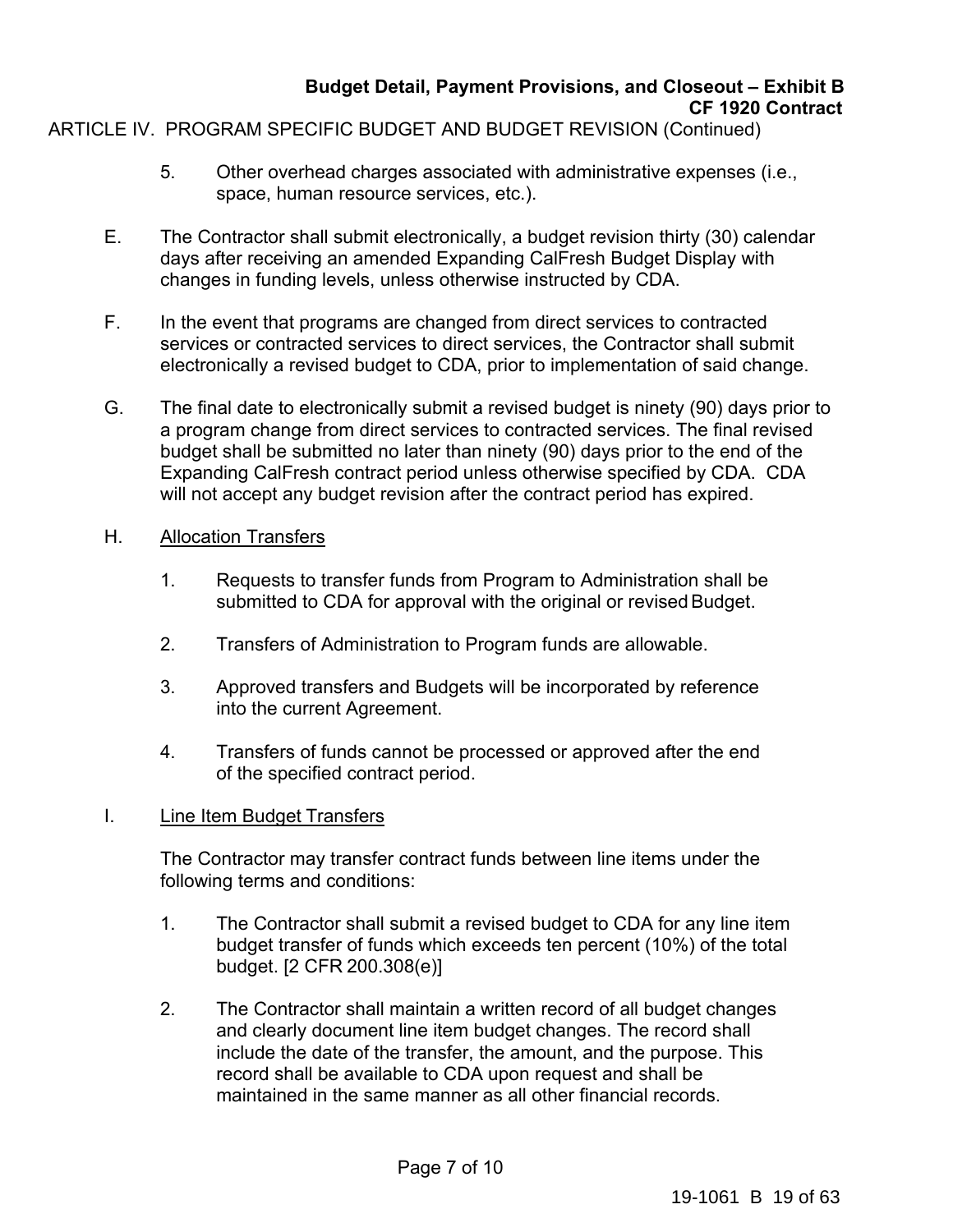# **Budget Detail, Payment Provisions, and Closeout – Exhibit B CF 1920 Contract**

# ARTICLE IV. PROGRAM SPECIFIC BUDGET AND BUDGET REVISION (Continued)

- 5. Other overhead charges associated with administrative expenses (i.e., space, human resource services, etc.).
- E. The Contractor shall submit electronically, a budget revision thirty (30) calendar days after receiving an amended Expanding CalFresh Budget Display with changes in funding levels, unless otherwise instructed by CDA.
- F. In the event that programs are changed from direct services to contracted services or contracted services to direct services, the Contractor shall submit electronically a revised budget to CDA, prior to implementation of said change.
- G. The final date to electronically submit a revised budget is ninety (90) days prior to a program change from direct services to contracted services. The final revised budget shall be submitted no later than ninety (90) days prior to the end of the Expanding CalFresh contract period unless otherwise specified by CDA. CDA will not accept any budget revision after the contract period has expired.

# H. Allocation Transfers

- 1. Requests to transfer funds from Program to Administration shall be submitted to CDA for approval with the original or revised Budget.
- 2. Transfers of Administration to Program funds are allowable.
- 3. Approved transfers and Budgets will be incorporated by reference into the current Agreement.
- 4. Transfers of funds cannot be processed or approved after the end of the specified contract period.

# I. Line Item Budget Transfers

The Contractor may transfer contract funds between line items under the following terms and conditions:

- 1. The Contractor shall submit a revised budget to CDA for any line item budget transfer of funds which exceeds ten percent (10%) of the total budget. [2 CFR 200.308(e)]
- 2. The Contractor shall maintain a written record of all budget changes and clearly document line item budget changes. The record shall include the date of the transfer, the amount, and the purpose. This record shall be available to CDA upon request and shall be maintained in the same manner as all other financial records.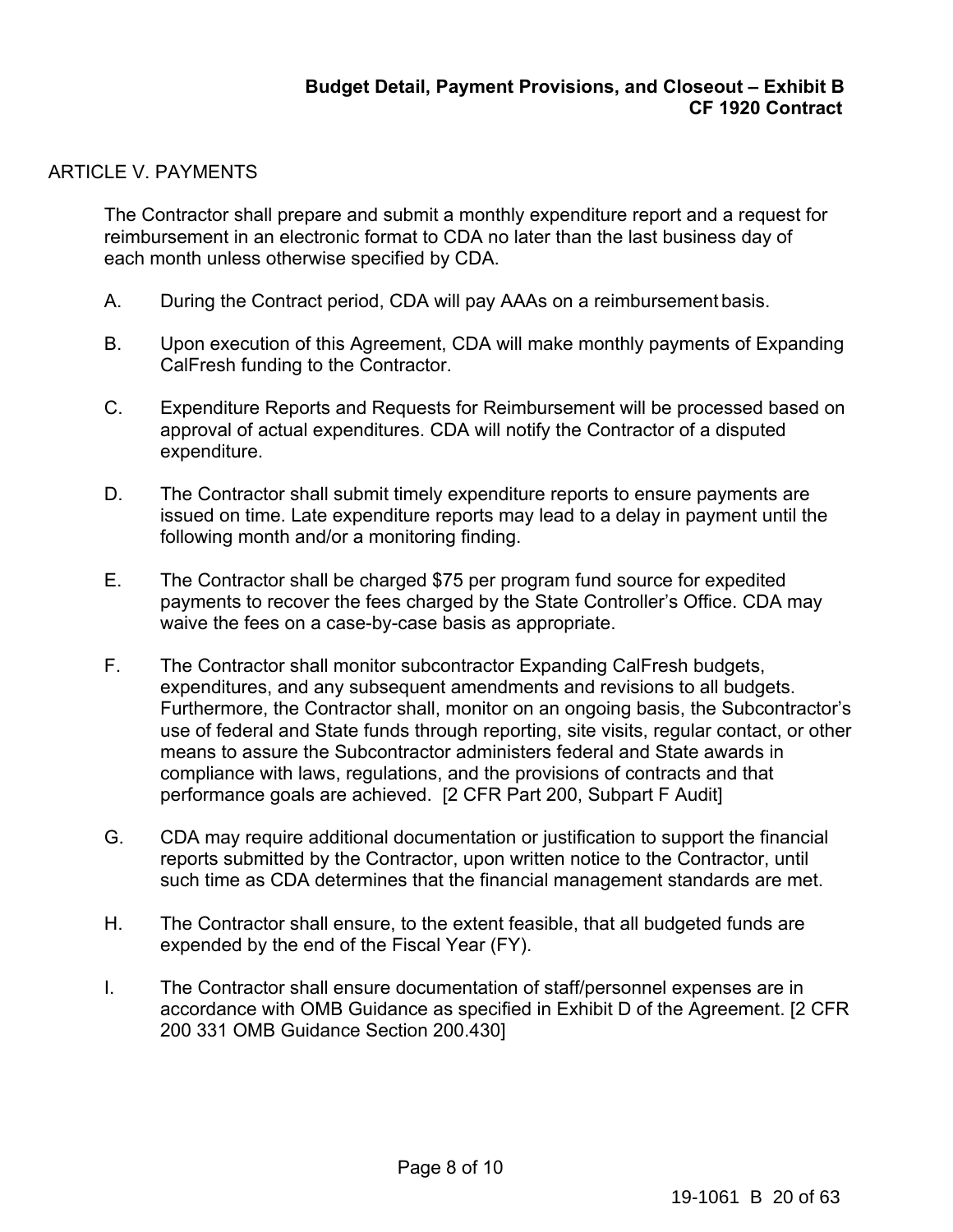# ARTICLE V. PAYMENTS

The Contractor shall prepare and submit a monthly expenditure report and a request for reimbursement in an electronic format to CDA no later than the last business day of each month unless otherwise specified by CDA.

- A. During the Contract period, CDA will pay AAAs on a reimbursement basis.
- B. Upon execution of this Agreement, CDA will make monthly payments of Expanding CalFresh funding to the Contractor.
- C. Expenditure Reports and Requests for Reimbursement will be processed based on approval of actual expenditures. CDA will notify the Contractor of a disputed expenditure.
- D. The Contractor shall submit timely expenditure reports to ensure payments are issued on time. Late expenditure reports may lead to a delay in payment until the following month and/or a monitoring finding.
- E. The Contractor shall be charged \$75 per program fund source for expedited payments to recover the fees charged by the State Controller's Office. CDA may waive the fees on a case-by-case basis as appropriate.
- F. The Contractor shall monitor subcontractor Expanding CalFresh budgets, expenditures, and any subsequent amendments and revisions to all budgets. Furthermore, the Contractor shall, monitor on an ongoing basis, the Subcontractor's use of federal and State funds through reporting, site visits, regular contact, or other means to assure the Subcontractor administers federal and State awards in compliance with laws, regulations, and the provisions of contracts and that performance goals are achieved. [2 CFR Part 200, Subpart F Audit]
- G. CDA may require additional documentation or justification to support the financial reports submitted by the Contractor, upon written notice to the Contractor, until such time as CDA determines that the financial management standards are met.
- H. The Contractor shall ensure, to the extent feasible, that all budgeted funds are expended by the end of the Fiscal Year (FY).
- I. The Contractor shall ensure documentation of staff/personnel expenses are in accordance with OMB Guidance as specified in Exhibit D of the Agreement. [2 CFR 200 331 OMB Guidance Section 200.430]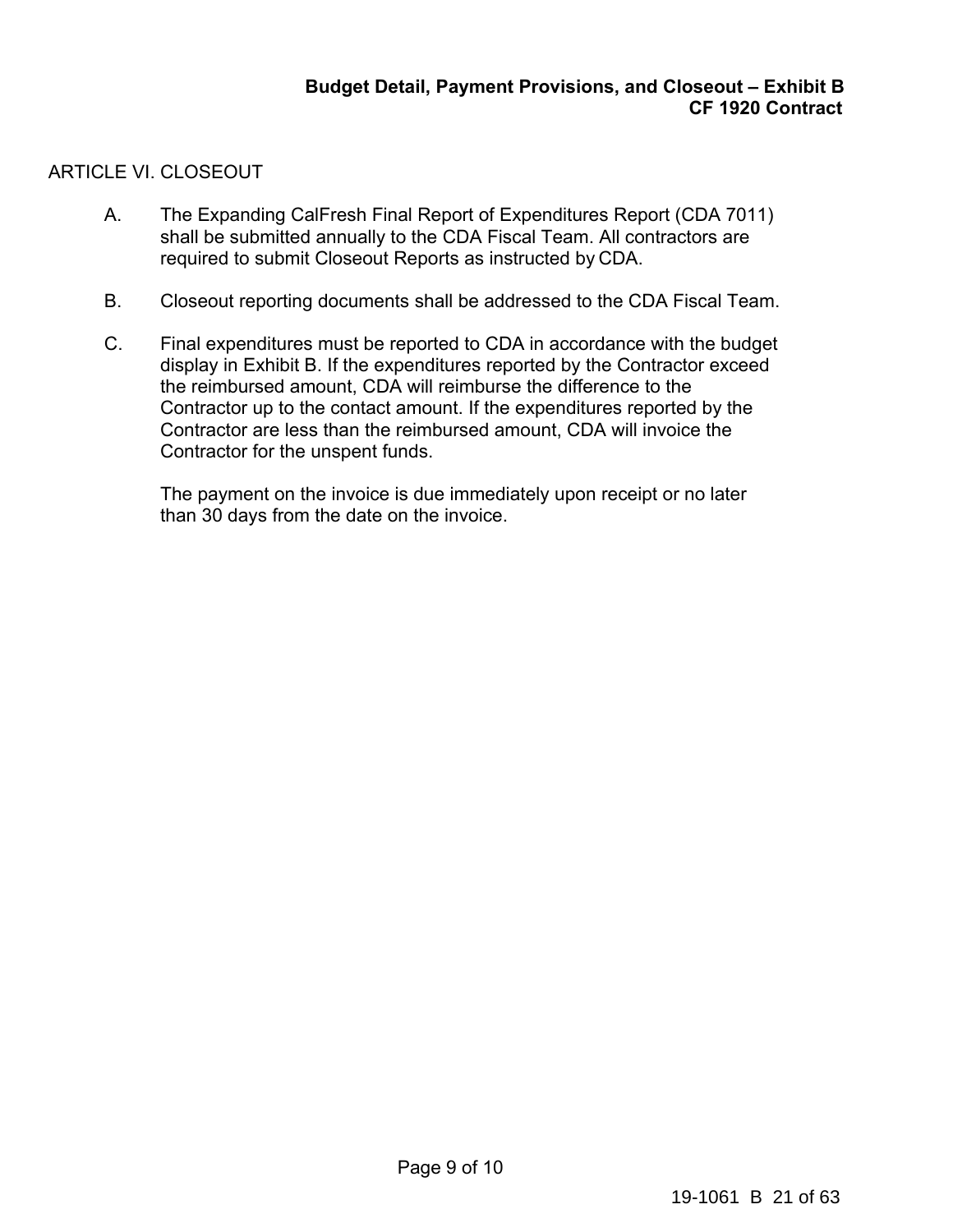# ARTICLE VI. CLOSEOUT

- A. The Expanding CalFresh Final Report of Expenditures Report (CDA 7011) shall be submitted annually to the CDA Fiscal Team. All contractors are required to submit Closeout Reports as instructed by CDA.
- B. Closeout reporting documents shall be addressed to the CDA Fiscal Team.
- C. Final expenditures must be reported to CDA in accordance with the budget display in Exhibit B. If the expenditures reported by the Contractor exceed the reimbursed amount, CDA will reimburse the difference to the Contractor up to the contact amount. If the expenditures reported by the Contractor are less than the reimbursed amount, CDA will invoice the Contractor for the unspent funds.

The payment on the invoice is due immediately upon receipt or no later than 30 days from the date on the invoice.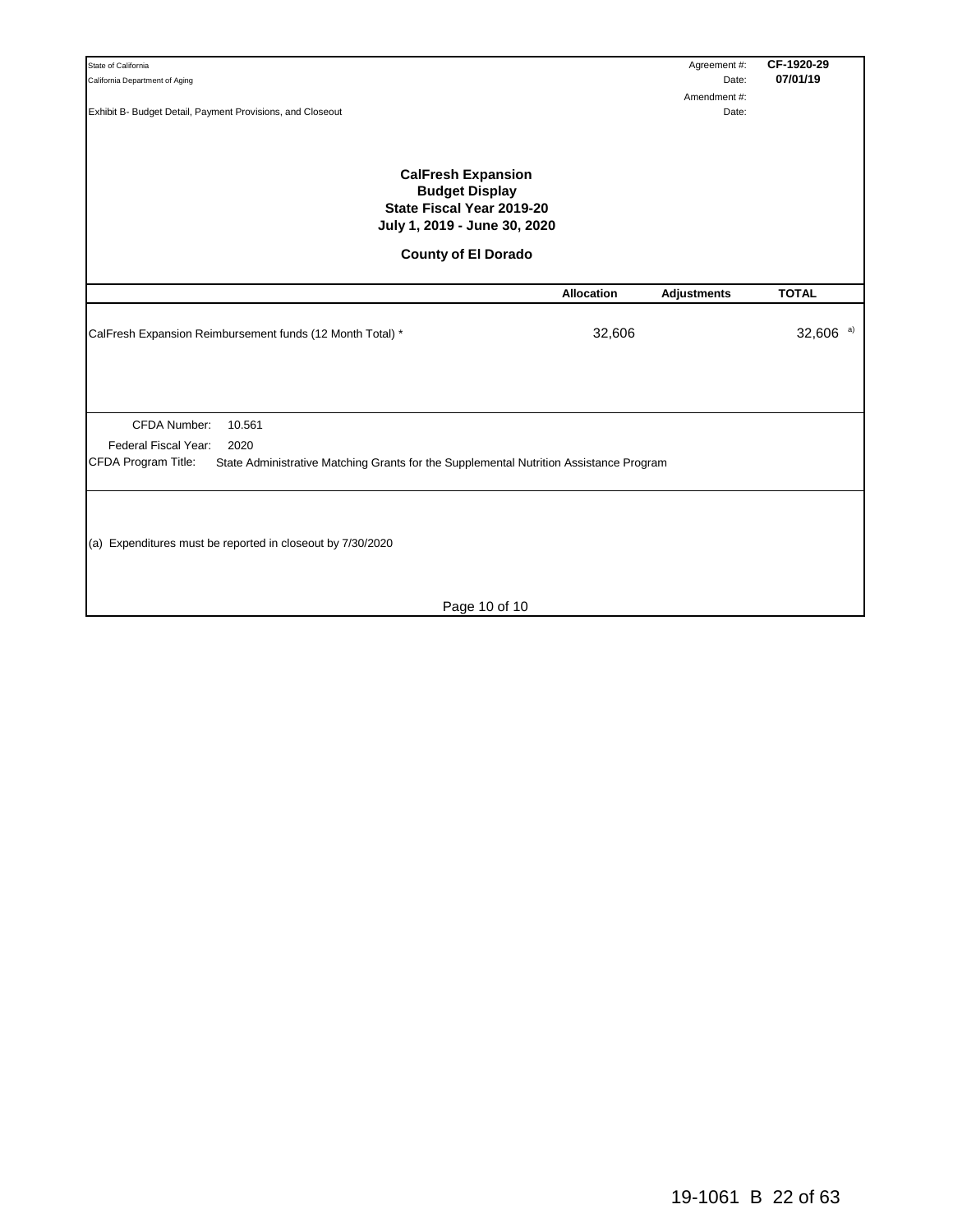| State of California                                                                                             |                   | Agreement #:       | CF-1920-29     |
|-----------------------------------------------------------------------------------------------------------------|-------------------|--------------------|----------------|
| California Department of Aging                                                                                  |                   | Date:              | 07/01/19       |
|                                                                                                                 |                   | Amendment#:        |                |
| Exhibit B- Budget Detail, Payment Provisions, and Closeout                                                      |                   | Date:              |                |
|                                                                                                                 |                   |                    |                |
|                                                                                                                 |                   |                    |                |
| <b>CalFresh Expansion</b><br><b>Budget Display</b><br>State Fiscal Year 2019-20<br>July 1, 2019 - June 30, 2020 |                   |                    |                |
| <b>County of El Dorado</b>                                                                                      |                   |                    |                |
|                                                                                                                 | <b>Allocation</b> | <b>Adjustments</b> | <b>TOTAL</b>   |
|                                                                                                                 |                   |                    |                |
| CalFresh Expansion Reimbursement funds (12 Month Total) *                                                       | 32,606            |                    | 32,606 $^{a)}$ |
|                                                                                                                 |                   |                    |                |
|                                                                                                                 |                   |                    |                |
|                                                                                                                 |                   |                    |                |
|                                                                                                                 |                   |                    |                |
|                                                                                                                 |                   |                    |                |
| CFDA Number:<br>10.561                                                                                          |                   |                    |                |
| Federal Fiscal Year:<br>2020                                                                                    |                   |                    |                |
| CFDA Program Title:<br>State Administrative Matching Grants for the Supplemental Nutrition Assistance Program   |                   |                    |                |
|                                                                                                                 |                   |                    |                |
|                                                                                                                 |                   |                    |                |
|                                                                                                                 |                   |                    |                |
|                                                                                                                 |                   |                    |                |
| (a) Expenditures must be reported in closeout by 7/30/2020                                                      |                   |                    |                |
|                                                                                                                 |                   |                    |                |
|                                                                                                                 |                   |                    |                |
|                                                                                                                 |                   |                    |                |
| Page 10 of 10                                                                                                   |                   |                    |                |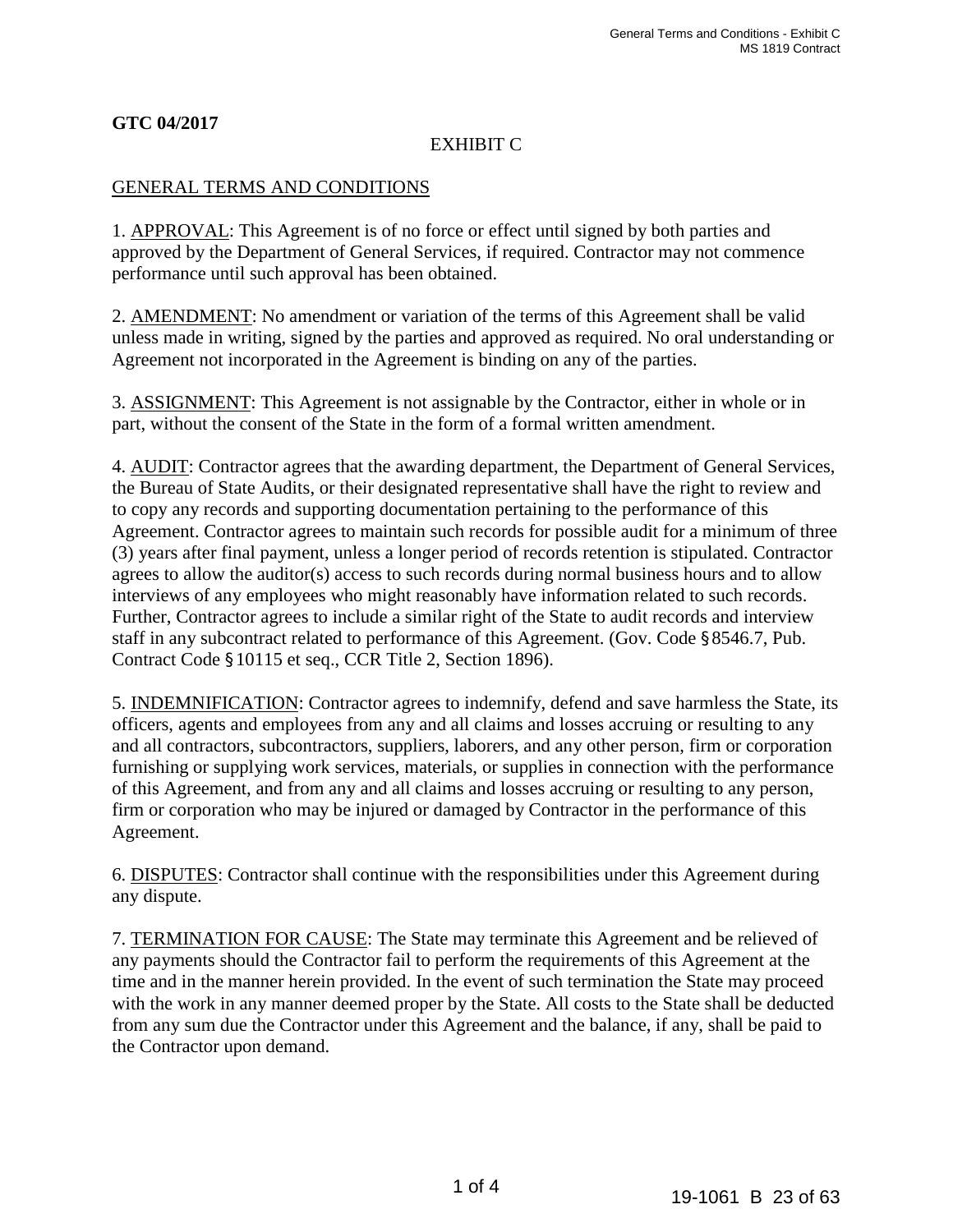# **GTC 04/2017**

# EXHIBIT C

#### GENERAL TERMS AND CONDITIONS

1. APPROVAL: This Agreement is of no force or effect until signed by both parties and approved by the Department of General Services, if required. Contractor may not commence performance until such approval has been obtained.

2. AMENDMENT: No amendment or variation of the terms of this Agreement shall be valid unless made in writing, signed by the parties and approved as required. No oral understanding or Agreement not incorporated in the Agreement is binding on any of the parties.

3. ASSIGNMENT: This Agreement is not assignable by the Contractor, either in whole or in part, without the consent of the State in the form of a formal written amendment.

4. AUDIT: Contractor agrees that the awarding department, the Department of General Services, the Bureau of State Audits, or their designated representative shall have the right to review and to copy any records and supporting documentation pertaining to the performance of this Agreement. Contractor agrees to maintain such records for possible audit for a minimum of three (3) years after final payment, unless a longer period of records retention is stipulated. Contractor agrees to allow the auditor(s) access to such records during normal business hours and to allow interviews of any employees who might reasonably have information related to such records. Further, Contractor agrees to include a similar right of the State to audit records and interview staff in any subcontract related to performance of this Agreement. (Gov. Code §8546.7, Pub. Contract Code §10115 et seq., CCR Title 2, Section 1896).

5. INDEMNIFICATION: Contractor agrees to indemnify, defend and save harmless the State, its officers, agents and employees from any and all claims and losses accruing or resulting to any and all contractors, subcontractors, suppliers, laborers, and any other person, firm or corporation furnishing or supplying work services, materials, or supplies in connection with the performance of this Agreement, and from any and all claims and losses accruing or resulting to any person, firm or corporation who may be injured or damaged by Contractor in the performance of this Agreement.

6. DISPUTES: Contractor shall continue with the responsibilities under this Agreement during any dispute.

7. TERMINATION FOR CAUSE: The State may terminate this Agreement and be relieved of any payments should the Contractor fail to perform the requirements of this Agreement at the time and in the manner herein provided. In the event of such termination the State may proceed with the work in any manner deemed proper by the State. All costs to the State shall be deducted from any sum due the Contractor under this Agreement and the balance, if any, shall be paid to the Contractor upon demand.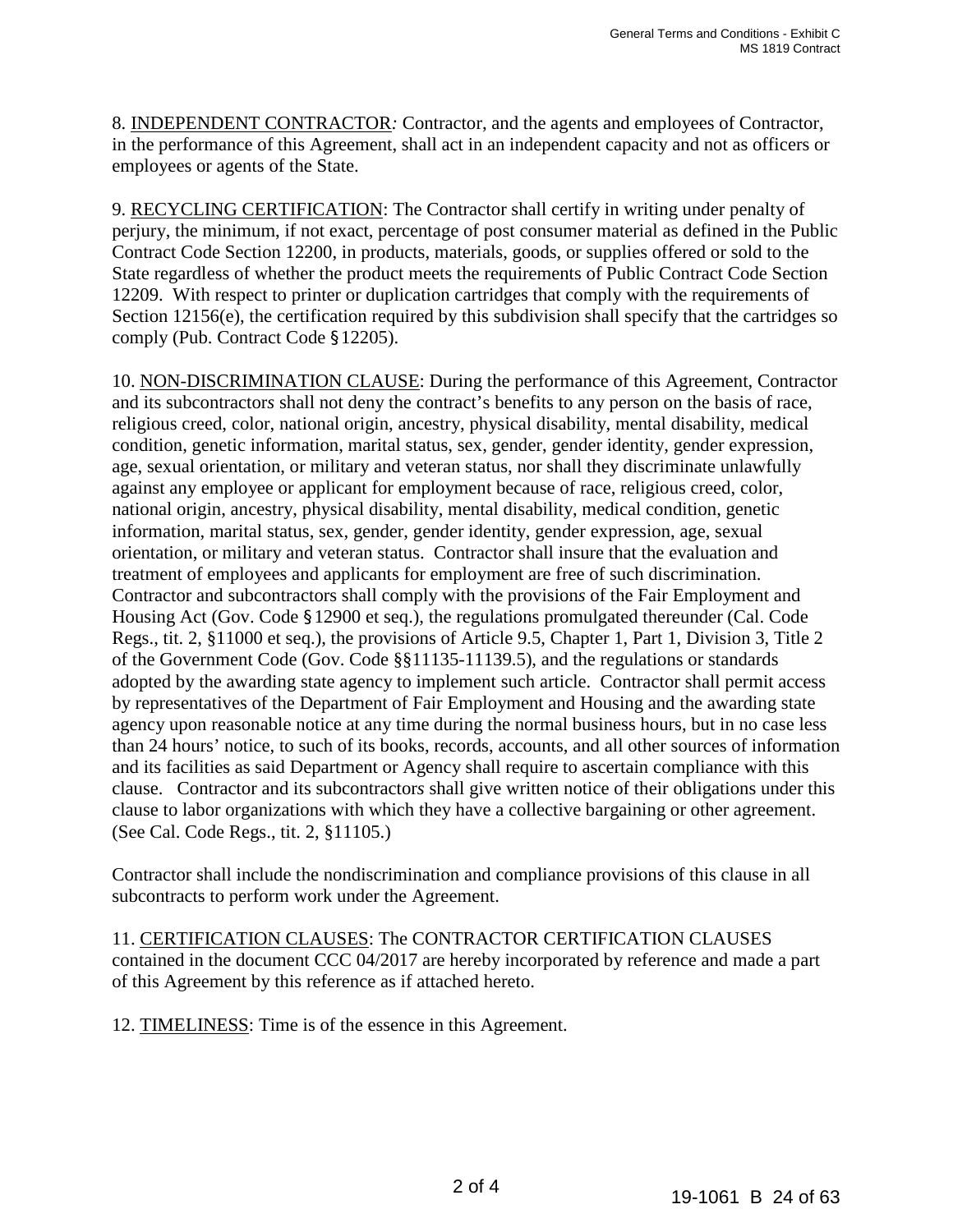8. INDEPENDENT CONTRACTOR*:* Contractor, and the agents and employees of Contractor, in the performance of this Agreement, shall act in an independent capacity and not as officers or employees or agents of the State.

9. RECYCLING CERTIFICATION: The Contractor shall certify in writing under penalty of perjury, the minimum, if not exact, percentage of post consumer material as defined in the Public Contract Code Section 12200, in products, materials, goods, or supplies offered or sold to the State regardless of whether the product meets the requirements of Public Contract Code Section 12209. With respect to printer or duplication cartridges that comply with the requirements of Section 12156(e), the certification required by this subdivision shall specify that the cartridges so comply (Pub. Contract Code §12205).

10. NON-DISCRIMINATION CLAUSE: During the performance of this Agreement, Contractor and its subcontractors shall not deny the contract's benefits to any person on the basis of race, religious creed, color, national origin, ancestry, physical disability, mental disability, medical condition, genetic information, marital status, sex, gender, gender identity, gender expression, age, sexual orientation, or military and veteran status, nor shall they discriminate unlawfully against any employee or applicant for employment because of race, religious creed, color, national origin, ancestry, physical disability, mental disability, medical condition, genetic information, marital status, sex, gender, gender identity, gender expression, age, sexual orientation, or military and veteran status. Contractor shall insure that the evaluation and treatment of employees and applicants for employment are free of such discrimination. Contractor and subcontractors shall comply with the provision*s* of the Fair Employment and Housing Act (Gov. Code §12900 et seq.), the regulations promulgated thereunder (Cal. Code Regs., tit. 2, §11000 et seq.), the provisions of Article 9.5, Chapter 1, Part 1, Division 3, Title 2 of the Government Code (Gov. Code §§11135-11139.5), and the regulations or standards adopted by the awarding state agency to implement such article. Contractor shall permit access by representatives of the Department of Fair Employment and Housing and the awarding state agency upon reasonable notice at any time during the normal business hours, but in no case less than 24 hours' notice, to such of its books, records, accounts, and all other sources of information and its facilities as said Department or Agency shall require to ascertain compliance with this clause. Contractor and its subcontractor*s* shall give written notice of their obligations under this clause to labor organizations with which they have a collective bargaining or other agreement. (See Cal. Code Regs., tit. 2, §11105.)

Contractor shall include the nondiscrimination and compliance provisions of this clause in all subcontracts to perform work under the Agreement.

11. CERTIFICATION CLAUSES: The CONTRACTOR CERTIFICATION CLAUSES contained in the document CCC 04/2017 are hereby incorporated by reference and made a part of this Agreement by this reference as if attached hereto.

12. TIMELINESS: Time is of the essence in this Agreement.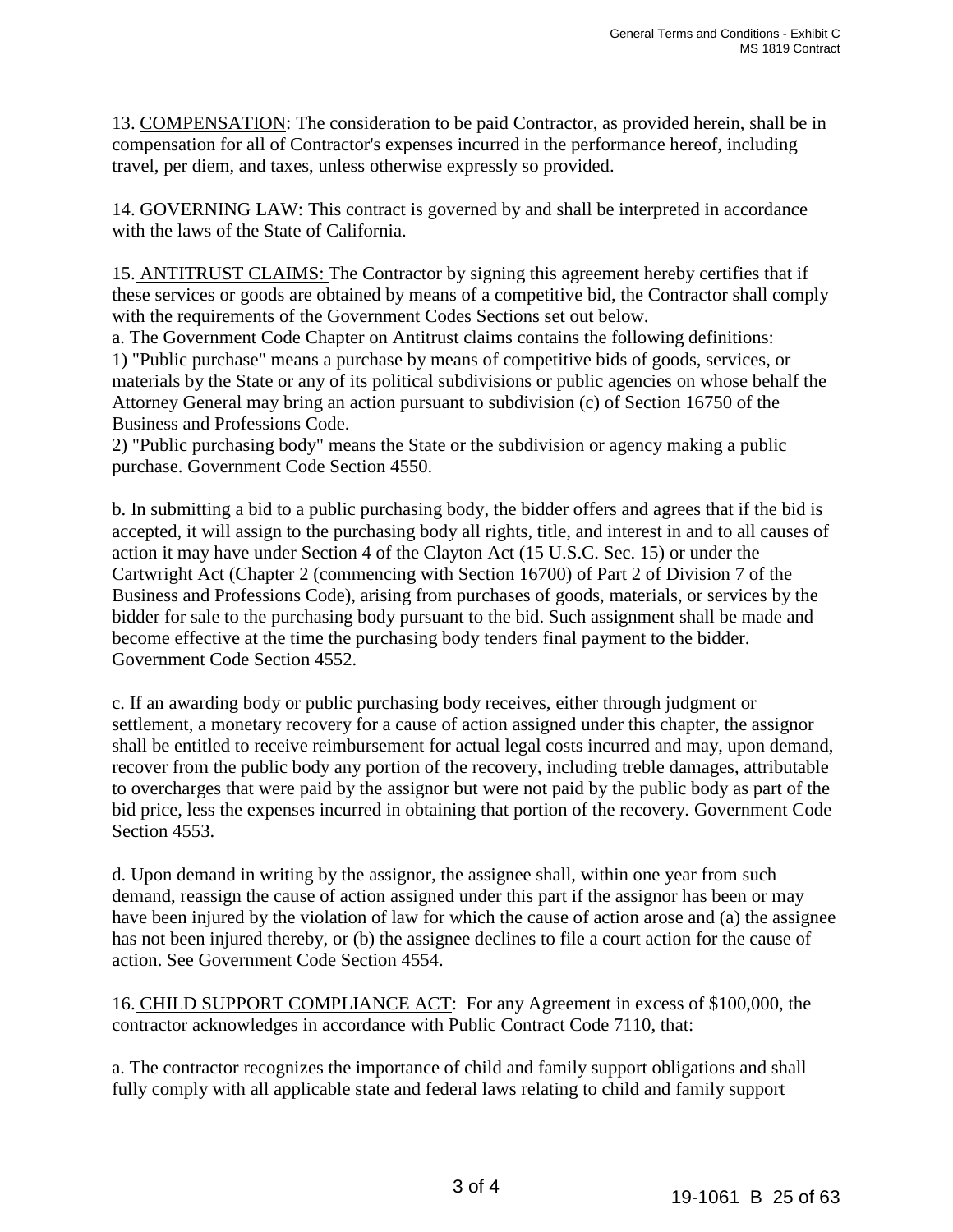13. COMPENSATION: The consideration to be paid Contractor, as provided herein, shall be in compensation for all of Contractor's expenses incurred in the performance hereof, including travel, per diem, and taxes, unless otherwise expressly so provided.

14. GOVERNING LAW: This contract is governed by and shall be interpreted in accordance with the laws of the State of California.

15. ANTITRUST CLAIMS: The Contractor by signing this agreement hereby certifies that if these services or goods are obtained by means of a competitive bid, the Contractor shall comply with the requirements of the Government Codes Sections set out below.

a. The Government Code Chapter on Antitrust claims contains the following definitions: 1) "Public purchase" means a purchase by means of competitive bids of goods, services, or materials by the State or any of its political subdivisions or public agencies on whose behalf the Attorney General may bring an action pursuant to subdivision (c) of Section 16750 of the Business and Professions Code.

2) "Public purchasing body" means the State or the subdivision or agency making a public purchase. Government Code Section 4550.

b. In submitting a bid to a public purchasing body, the bidder offers and agrees that if the bid is accepted, it will assign to the purchasing body all rights, title, and interest in and to all causes of action it may have under Section 4 of the Clayton Act (15 U.S.C. Sec. 15) or under the Cartwright Act (Chapter 2 (commencing with Section 16700) of Part 2 of Division 7 of the Business and Professions Code), arising from purchases of goods, materials, or services by the bidder for sale to the purchasing body pursuant to the bid. Such assignment shall be made and become effective at the time the purchasing body tenders final payment to the bidder. Government Code Section 4552.

c. If an awarding body or public purchasing body receives, either through judgment or settlement, a monetary recovery for a cause of action assigned under this chapter, the assignor shall be entitled to receive reimbursement for actual legal costs incurred and may, upon demand, recover from the public body any portion of the recovery, including treble damages, attributable to overcharges that were paid by the assignor but were not paid by the public body as part of the bid price, less the expenses incurred in obtaining that portion of the recovery. Government Code Section 4553.

d. Upon demand in writing by the assignor, the assignee shall, within one year from such demand, reassign the cause of action assigned under this part if the assignor has been or may have been injured by the violation of law for which the cause of action arose and (a) the assignee has not been injured thereby, or (b) the assignee declines to file a court action for the cause of action. See Government Code Section 4554.

16. CHILD SUPPORT COMPLIANCE ACT:For any Agreement in excess of \$100,000, the contractor acknowledges in accordance with Public Contract Code 7110, that:

a. The contractor recognizes the importance of child and family support obligations and shall fully comply with all applicable state and federal laws relating to child and family support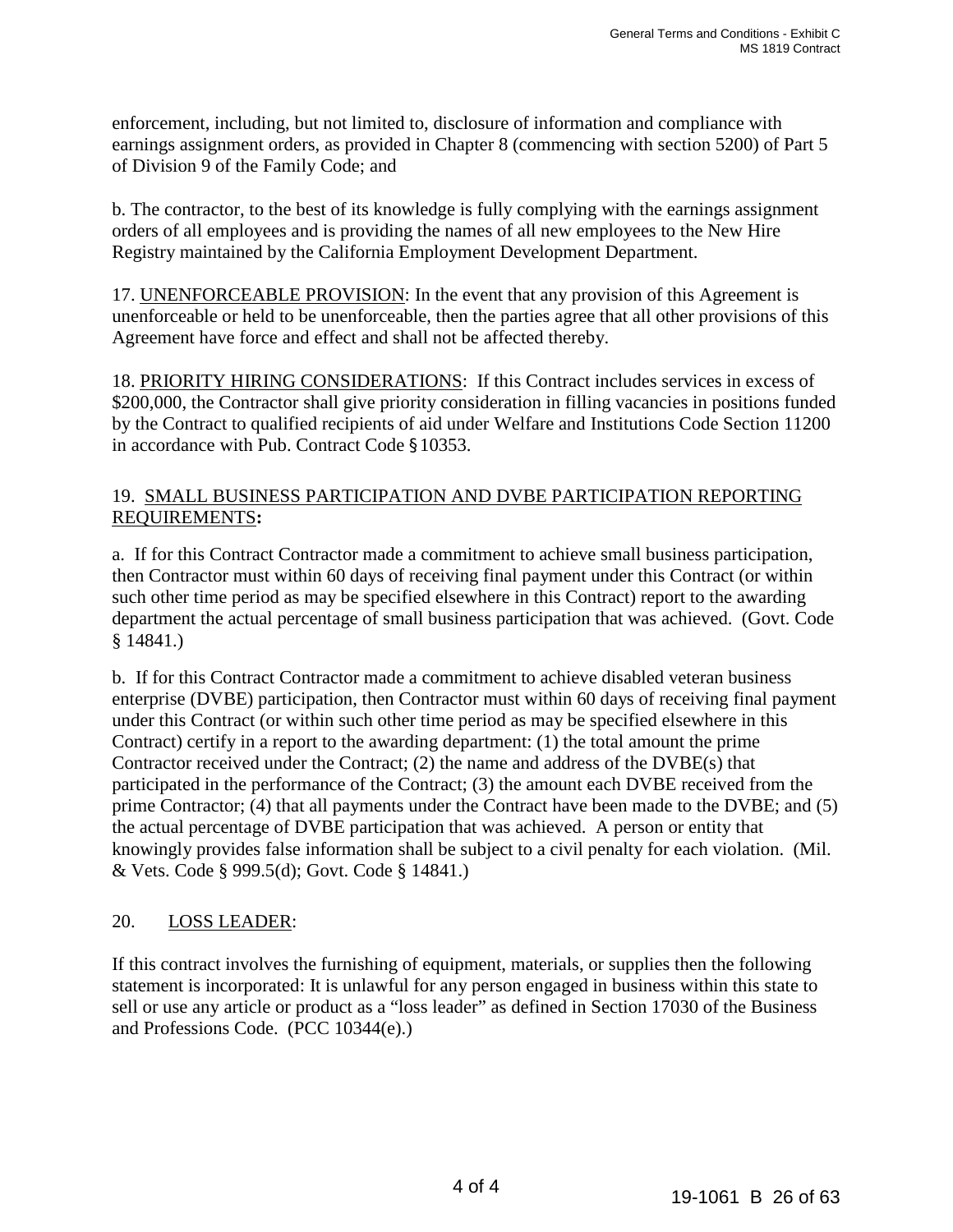enforcement, including, but not limited to, disclosure of information and compliance with earnings assignment orders, as provided in Chapter 8 (commencing with section 5200) of Part 5 of Division 9 of the Family Code; and

b. The contractor, to the best of its knowledge is fully complying with the earnings assignment orders of all employees and is providing the names of all new employees to the New Hire Registry maintained by the California Employment Development Department.

17. UNENFORCEABLE PROVISION: In the event that any provision of this Agreement is unenforceable or held to be unenforceable, then the parties agree that all other provisions of this Agreement have force and effect and shall not be affected thereby.

18. PRIORITY HIRING CONSIDERATIONS: If this Contract includes services in excess of \$200,000, the Contractor shall give priority consideration in filling vacancies in positions funded by the Contract to qualified recipients of aid under Welfare and Institutions Code Section 11200 in accordance with Pub. Contract Code §10353.

# 19. SMALL BUSINESS PARTICIPATION AND DVBE PARTICIPATION REPORTING REQUIREMENTS**:**

a. If for this Contract Contractor made a commitment to achieve small business participation, then Contractor must within 60 days of receiving final payment under this Contract (or within such other time period as may be specified elsewhere in this Contract) report to the awarding department the actual percentage of small business participation that was achieved. (Govt. Code § 14841.)

b. If for this Contract Contractor made a commitment to achieve disabled veteran business enterprise (DVBE) participation, then Contractor must within 60 days of receiving final payment under this Contract (or within such other time period as may be specified elsewhere in this Contract) certify in a report to the awarding department: (1) the total amount the prime Contractor received under the Contract; (2) the name and address of the DVBE(s) that participated in the performance of the Contract; (3) the amount each DVBE received from the prime Contractor; (4) that all payments under the Contract have been made to the DVBE; and (5) the actual percentage of DVBE participation that was achieved. A person or entity that knowingly provides false information shall be subject to a civil penalty for each violation. (Mil. & Vets. Code § 999.5(d); Govt. Code § 14841.)

# 20. LOSS LEADER:

If this contract involves the furnishing of equipment, materials, or supplies then the following statement is incorporated: It is unlawful for any person engaged in business within this state to sell or use any article or product as a "loss leader" as defined in Section 17030 of the Business and Professions Code. (PCC 10344(e).)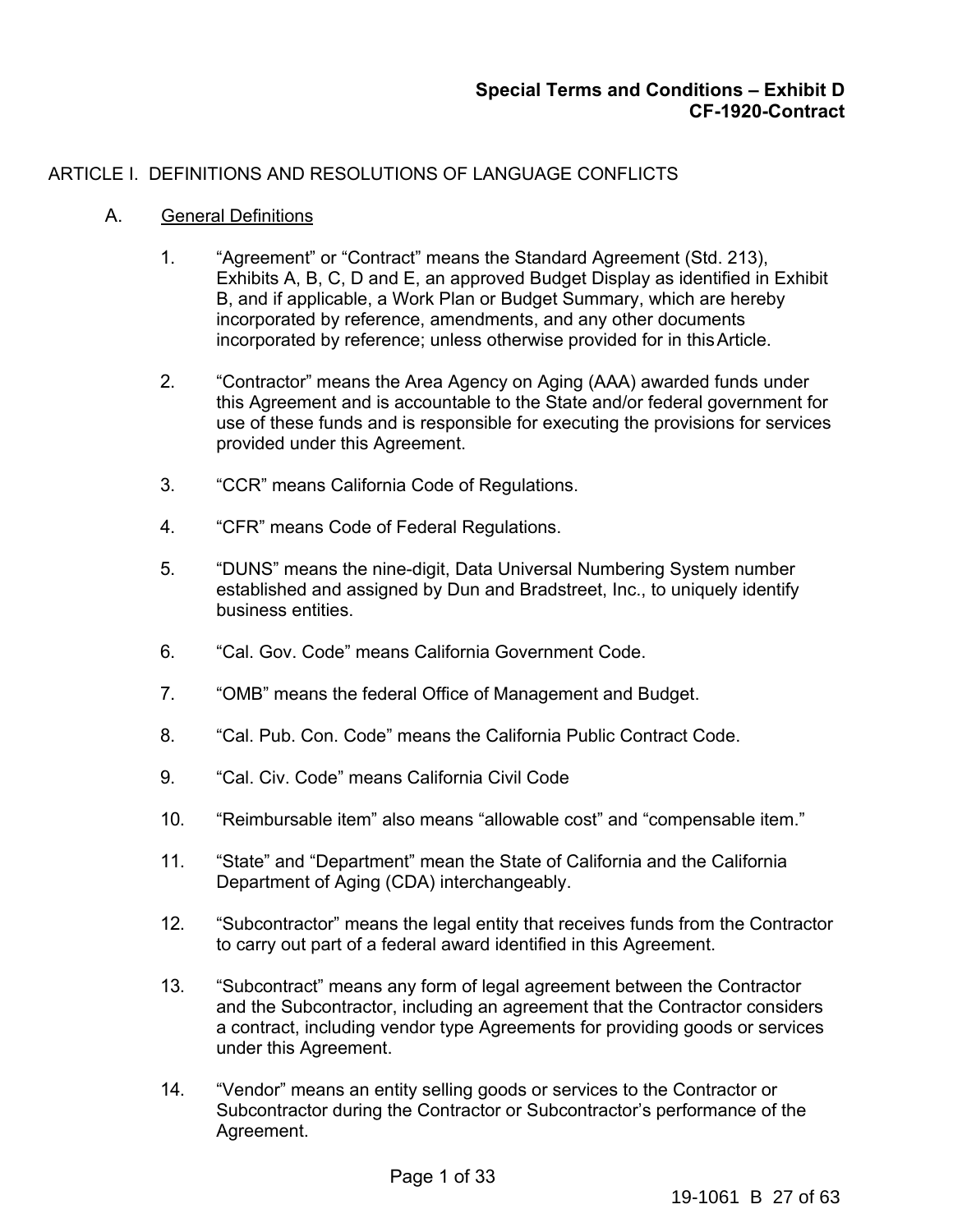# ARTICLE I. DEFINITIONS AND RESOLUTIONS OF LANGUAGE CONFLICTS

### A. General Definitions

- 1. "Agreement" or "Contract" means the Standard Agreement (Std. 213), Exhibits A, B, C, D and E, an approved Budget Display as identified in Exhibit B, and if applicable, a Work Plan or Budget Summary, which are hereby incorporated by reference, amendments, and any other documents incorporated by reference; unless otherwise provided for in this Article.
- 2. "Contractor" means the Area Agency on Aging (AAA) awarded funds under this Agreement and is accountable to the State and/or federal government for use of these funds and is responsible for executing the provisions for services provided under this Agreement.
- 3. "CCR" means California Code of Regulations.
- 4. "CFR" means Code of Federal Regulations.
- 5. "DUNS" means the nine-digit, Data Universal Numbering System number established and assigned by Dun and Bradstreet, Inc., to uniquely identify business entities.
- 6. "Cal. Gov. Code" means California Government Code.
- 7. "OMB" means the federal Office of Management and Budget.
- 8. "Cal. Pub. Con. Code" means the California Public Contract Code.
- 9. "Cal. Civ. Code" means California Civil Code
- 10. "Reimbursable item" also means "allowable cost" and "compensable item."
- 11. "State" and "Department" mean the State of California and the California Department of Aging (CDA) interchangeably.
- 12. "Subcontractor" means the legal entity that receives funds from the Contractor to carry out part of a federal award identified in this Agreement.
- 13. "Subcontract" means any form of legal agreement between the Contractor and the Subcontractor, including an agreement that the Contractor considers a contract, including vendor type Agreements for providing goods or services under this Agreement.
- 14. "Vendor" means an entity selling goods or services to the Contractor or Subcontractor during the Contractor or Subcontractor's performance of the Agreement.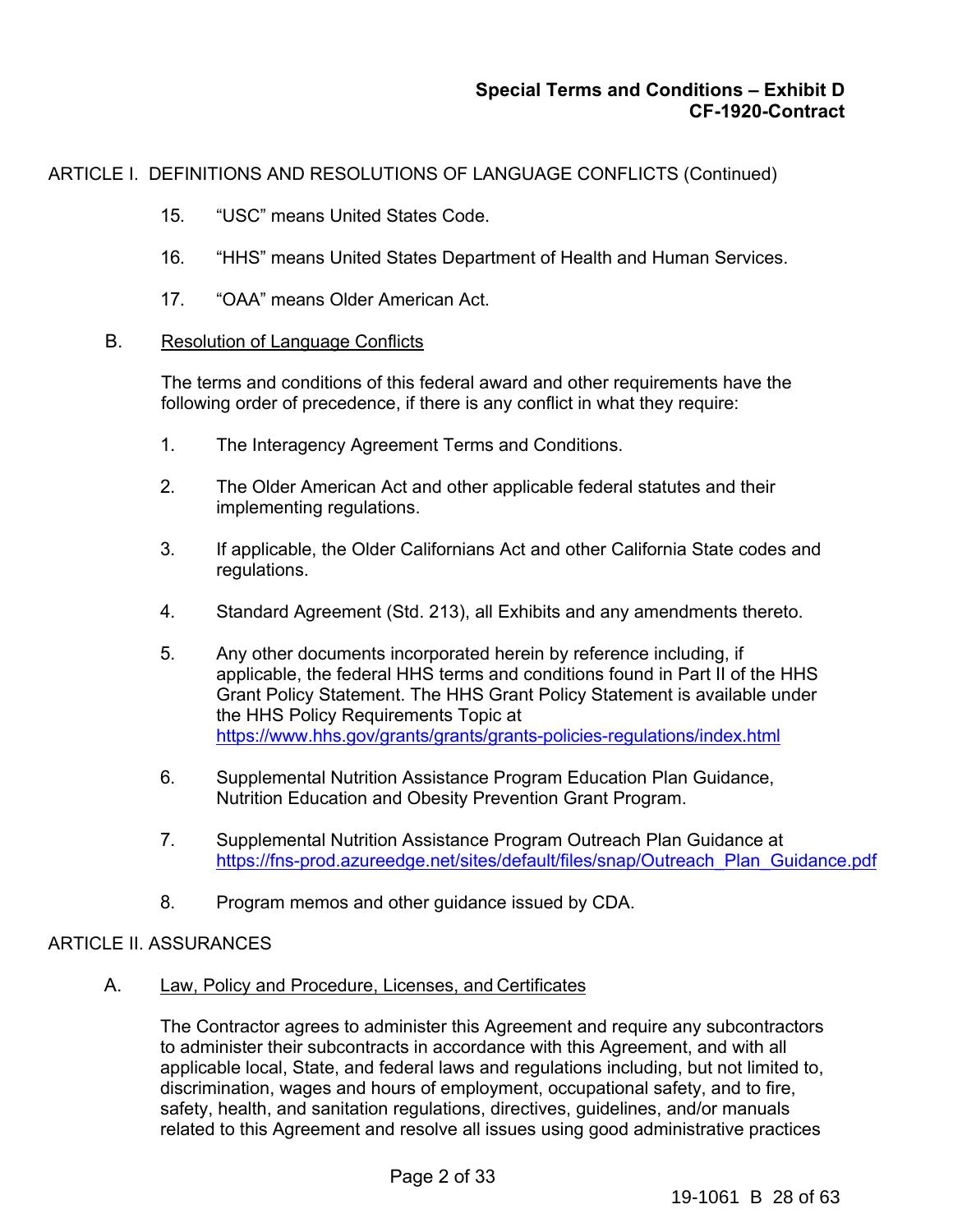ARTICLE I. DEFINITIONS AND RESOLUTIONS OF LANGUAGE CONFLICTS (Continued)

- 15. "USC" means United States Code.
- 16. "HHS" means United States Department of Health and Human Services.
- 17. "OAA" means Older American Act.

### B. Resolution of Language Conflicts

The terms and conditions of this federal award and other requirements have the following order of precedence, if there is any conflict in what they require:

- 1. The Interagency Agreement Terms and Conditions.
- 2. The Older American Act and other applicable federal statutes and their implementing regulations.
- 3. If applicable, the Older Californians Act and other California State codes and regulations.
- 4. Standard Agreement (Std. 213), all Exhibits and any amendments thereto.
- 5. Any other documents incorporated herein by reference including, if applicable, the federal HHS terms and conditions found in Part II of the HHS Grant Policy Statement. The HHS Grant Policy Statement is available under the HHS Policy Requirements Topic at https://www.hhs.gov/grants/grants/grants-policies-regulations/index.html
- 6. Supplemental Nutrition Assistance Program Education Plan Guidance, Nutrition Education and Obesity Prevention Grant Program.
- 7. Supplemental Nutrition Assistance Program Outreach Plan Guidance at https://fns-prod.azureedge.net/sites/default/files/snap/Outreach\_Plan\_Guidance.pdf
- 8. Program memos and other guidance issued by CDA.

### ARTICLE II. ASSURANCES

A. Law, Policy and Procedure, Licenses, and Certificates

The Contractor agrees to administer this Agreement and require any subcontractors to administer their subcontracts in accordance with this Agreement, and with all applicable local, State, and federal laws and regulations including, but not limited to, discrimination, wages and hours of employment, occupational safety, and to fire, safety, health, and sanitation regulations, directives, guidelines, and/or manuals related to this Agreement and resolve all issues using good administrative practices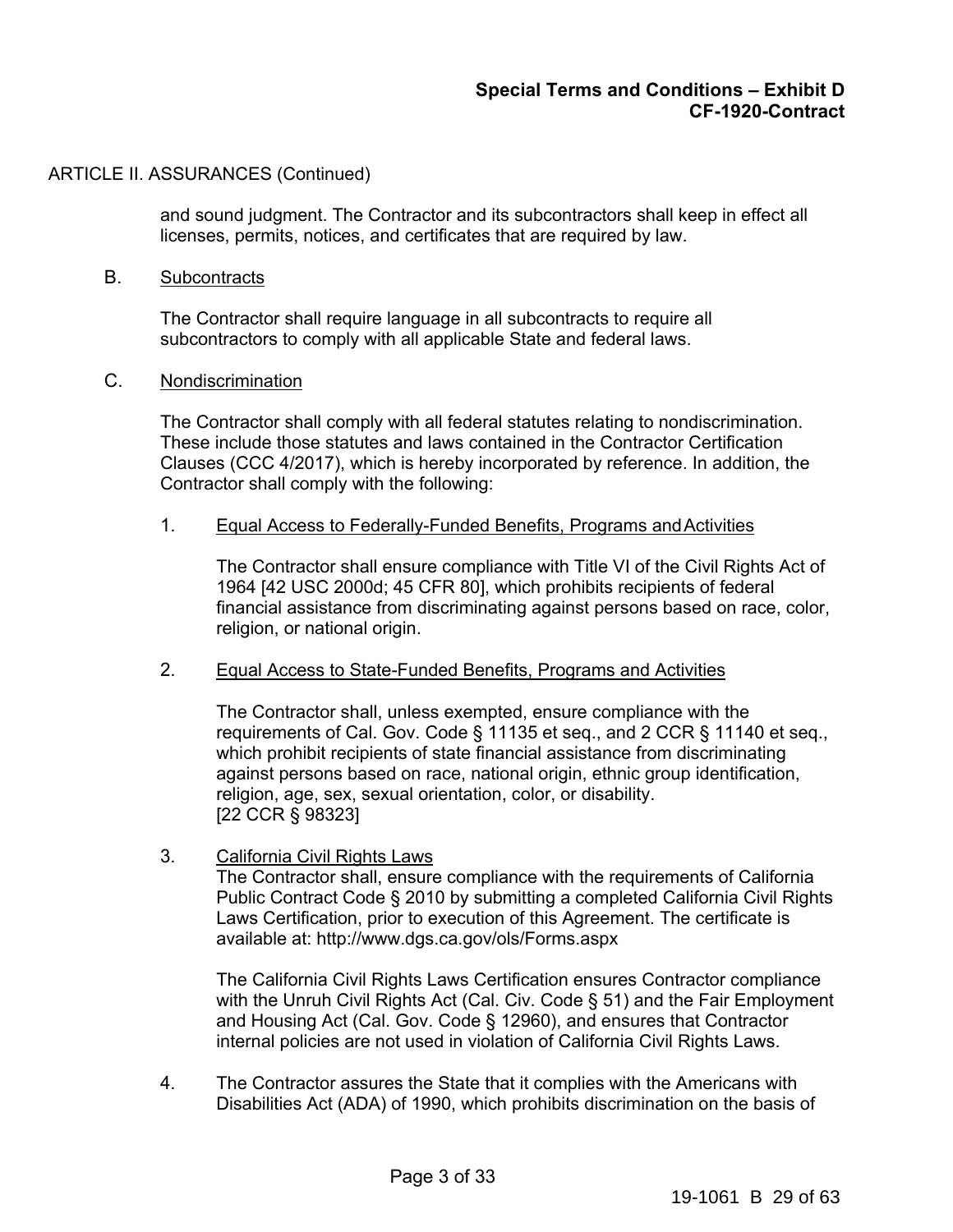and sound judgment. The Contractor and its subcontractors shall keep in effect all licenses, permits, notices, and certificates that are required by law.

#### B. Subcontracts

The Contractor shall require language in all subcontracts to require all subcontractors to comply with all applicable State and federal laws.

#### C. Nondiscrimination

The Contractor shall comply with all federal statutes relating to nondiscrimination. These include those statutes and laws contained in the Contractor Certification Clauses (CCC 4/2017), which is hereby incorporated by reference. In addition, the Contractor shall comply with the following:

#### 1. Equal Access to Federally-Funded Benefits, Programs and Activities

The Contractor shall ensure compliance with Title VI of the Civil Rights Act of 1964 [42 USC 2000d; 45 CFR 80], which prohibits recipients of federal financial assistance from discriminating against persons based on race, color, religion, or national origin.

#### 2. Equal Access to State-Funded Benefits, Programs and Activities

The Contractor shall, unless exempted, ensure compliance with the requirements of Cal. Gov. Code § 11135 et seq., and 2 CCR § 11140 et seq., which prohibit recipients of state financial assistance from discriminating against persons based on race, national origin, ethnic group identification, religion, age, sex, sexual orientation, color, or disability. [22 CCR § 98323]

### 3. California Civil Rights Laws

The Contractor shall, ensure compliance with the requirements of California Public Contract Code § 2010 by submitting a completed California Civil Rights Laws Certification, prior to execution of this Agreement. The certificate is available at: http://www.dgs.ca.gov/ols/Forms.aspx

The California Civil Rights Laws Certification ensures Contractor compliance with the Unruh Civil Rights Act (Cal. Civ. Code § 51) and the Fair Employment and Housing Act (Cal. Gov. Code § 12960), and ensures that Contractor internal policies are not used in violation of California Civil Rights Laws.

4. The Contractor assures the State that it complies with the Americans with Disabilities Act (ADA) of 1990, which prohibits discrimination on the basis of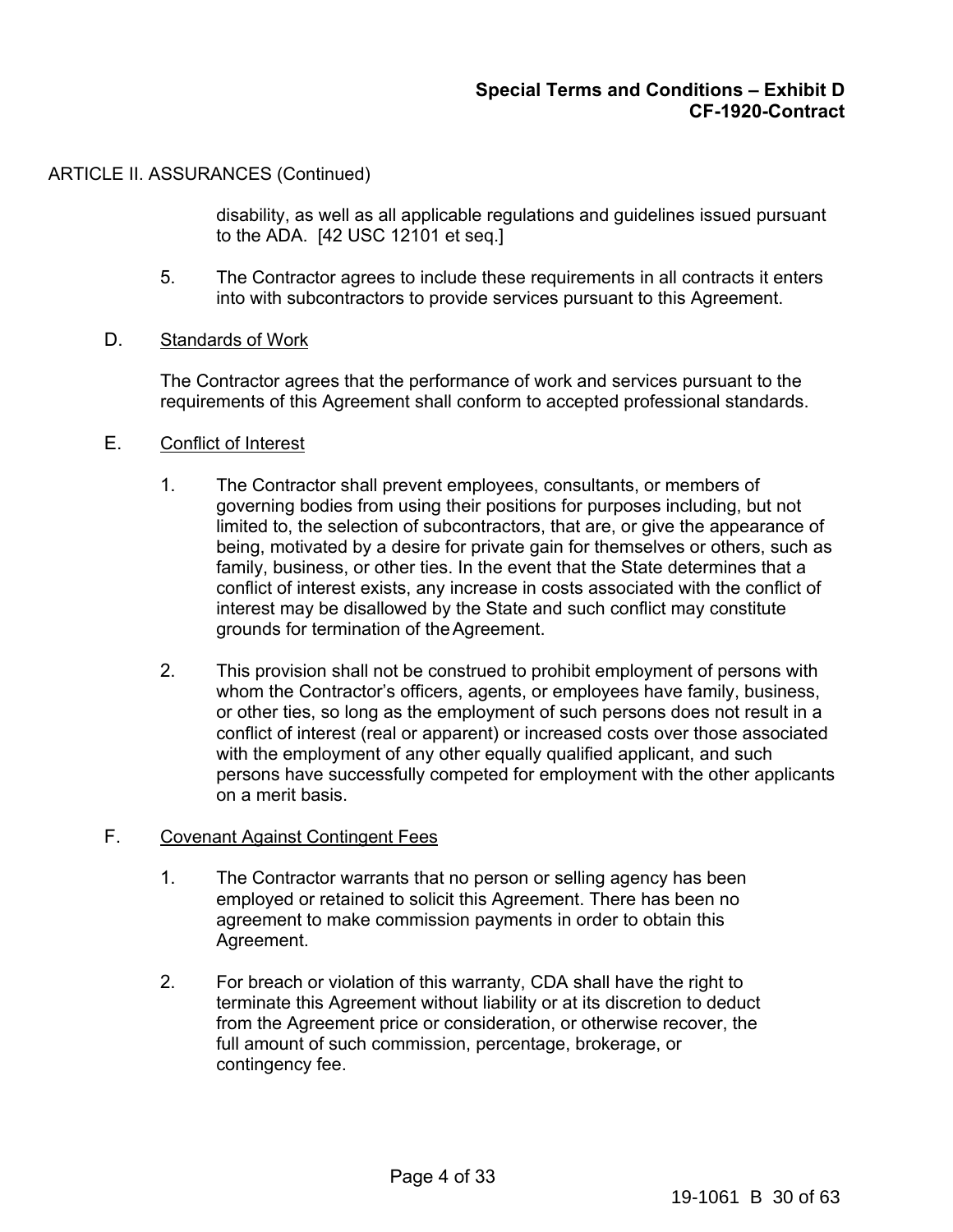disability, as well as all applicable regulations and guidelines issued pursuant to the ADA. [42 USC 12101 et seq.]

- 5. The Contractor agrees to include these requirements in all contracts it enters into with subcontractors to provide services pursuant to this Agreement.
- D. Standards of Work

The Contractor agrees that the performance of work and services pursuant to the requirements of this Agreement shall conform to accepted professional standards.

- E. Conflict of Interest
	- 1. The Contractor shall prevent employees, consultants, or members of governing bodies from using their positions for purposes including, but not limited to, the selection of subcontractors, that are, or give the appearance of being, motivated by a desire for private gain for themselves or others, such as family, business, or other ties. In the event that the State determines that a conflict of interest exists, any increase in costs associated with the conflict of interest may be disallowed by the State and such conflict may constitute grounds for termination of the Agreement.
	- 2. This provision shall not be construed to prohibit employment of persons with whom the Contractor's officers, agents, or employees have family, business, or other ties, so long as the employment of such persons does not result in a conflict of interest (real or apparent) or increased costs over those associated with the employment of any other equally qualified applicant, and such persons have successfully competed for employment with the other applicants on a merit basis.

### F. Covenant Against Contingent Fees

- 1. The Contractor warrants that no person or selling agency has been employed or retained to solicit this Agreement. There has been no agreement to make commission payments in order to obtain this Agreement.
- 2. For breach or violation of this warranty, CDA shall have the right to terminate this Agreement without liability or at its discretion to deduct from the Agreement price or consideration, or otherwise recover, the full amount of such commission, percentage, brokerage, or contingency fee.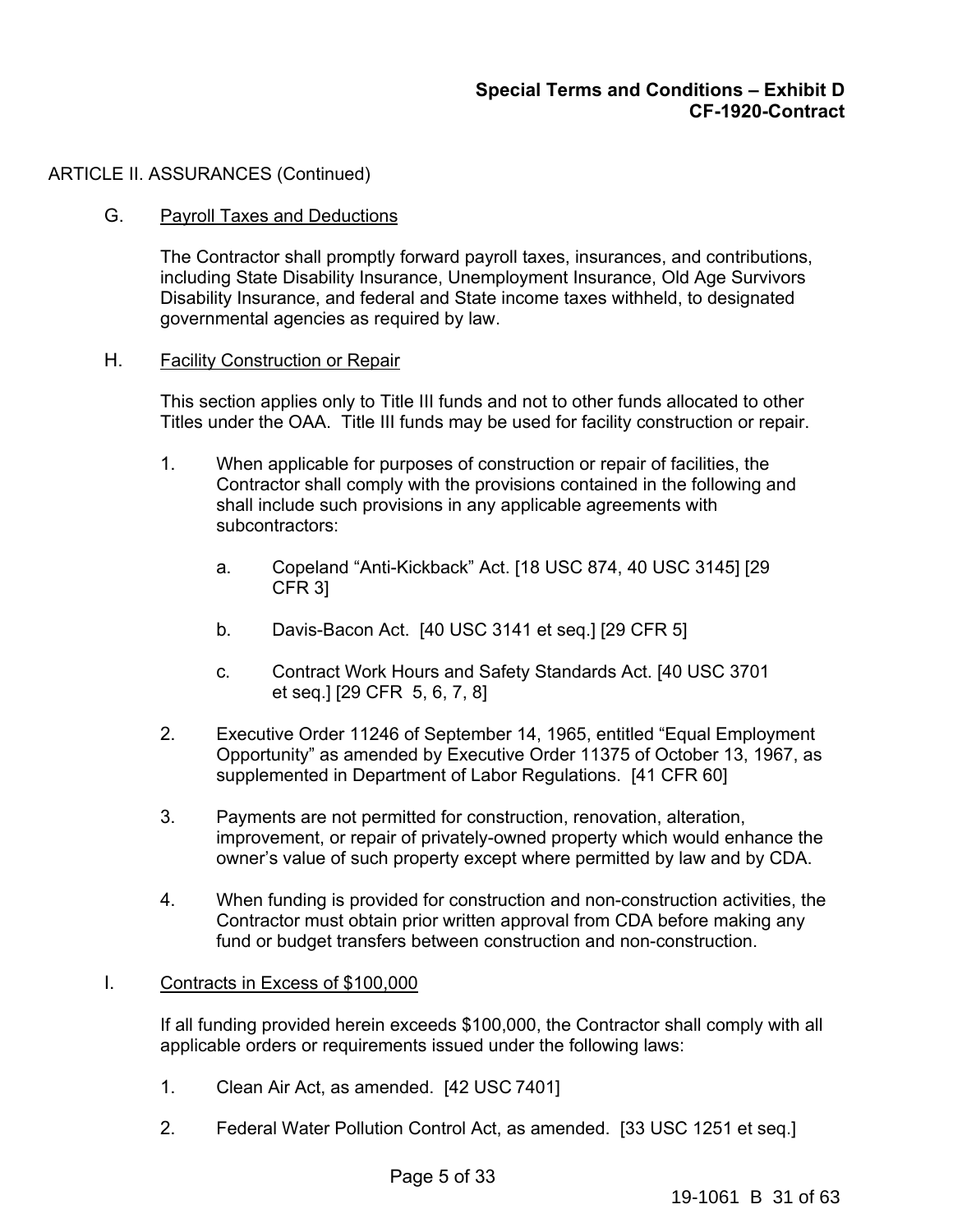### G. Payroll Taxes and Deductions

The Contractor shall promptly forward payroll taxes, insurances, and contributions, including State Disability Insurance, Unemployment Insurance, Old Age Survivors Disability Insurance, and federal and State income taxes withheld, to designated governmental agencies as required by law.

#### H. Facility Construction or Repair

This section applies only to Title III funds and not to other funds allocated to other Titles under the OAA. Title III funds may be used for facility construction or repair.

- 1. When applicable for purposes of construction or repair of facilities, the Contractor shall comply with the provisions contained in the following and shall include such provisions in any applicable agreements with subcontractors:
	- a. Copeland "Anti-Kickback" Act. [18 USC 874, 40 USC 3145] [29 CFR 3]
	- b. Davis-Bacon Act. [40 USC 3141 et seq.] [29 CFR 5]
	- c. Contract Work Hours and Safety Standards Act. [40 USC 3701 et seq.] [29 CFR 5, 6, 7, 8]
- 2. Executive Order 11246 of September 14, 1965, entitled "Equal Employment Opportunity" as amended by Executive Order 11375 of October 13, 1967, as supplemented in Department of Labor Regulations. [41 CFR 60]
- 3. Payments are not permitted for construction, renovation, alteration, improvement, or repair of privately-owned property which would enhance the owner's value of such property except where permitted by law and by CDA.
- 4. When funding is provided for construction and non-construction activities, the Contractor must obtain prior written approval from CDA before making any fund or budget transfers between construction and non-construction.

### I. Contracts in Excess of \$100,000

If all funding provided herein exceeds \$100,000, the Contractor shall comply with all applicable orders or requirements issued under the following laws:

- 1. Clean Air Act, as amended. [42 USC 7401]
- 2. Federal Water Pollution Control Act, as amended. [33 USC 1251 et seq.]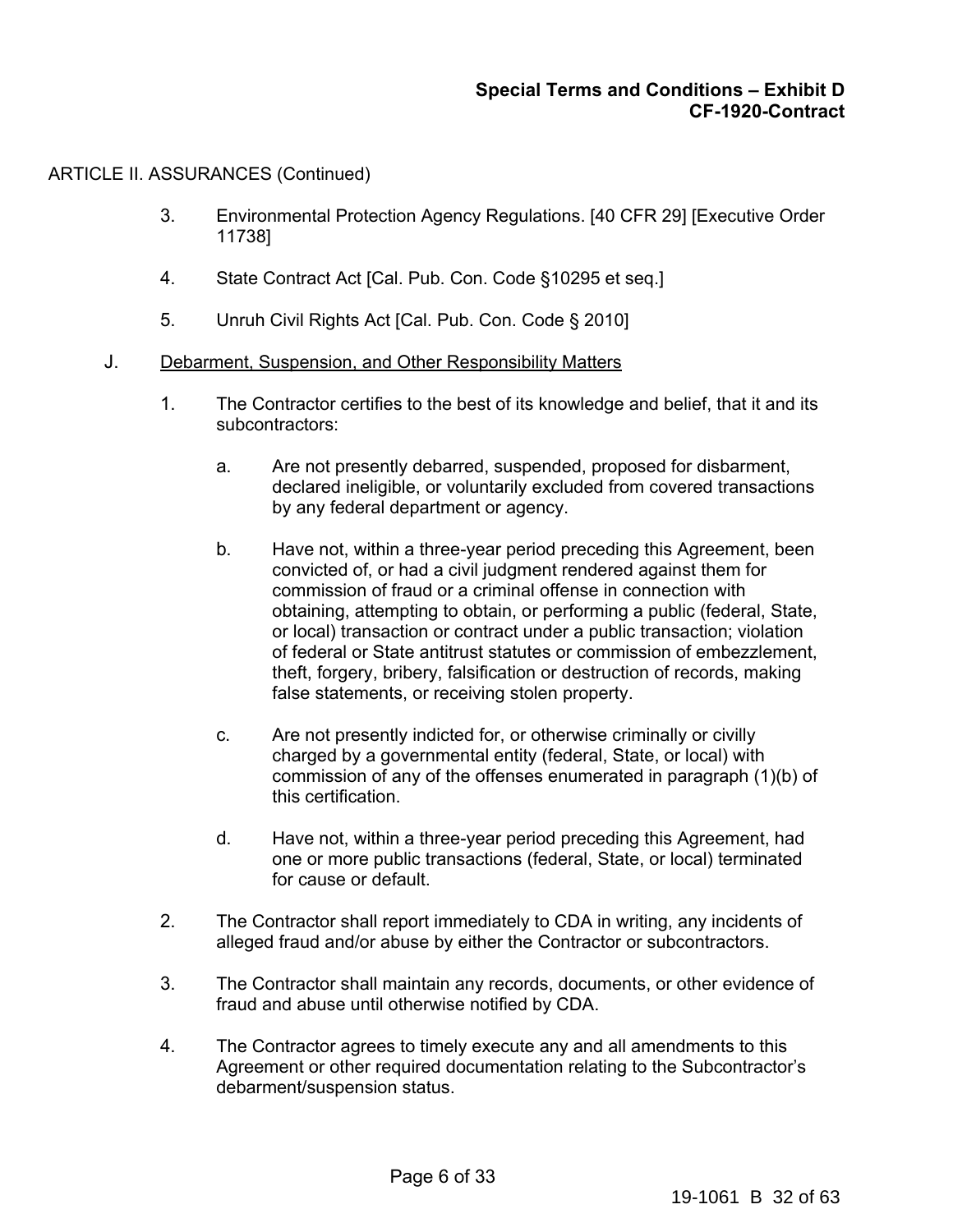- 3. Environmental Protection Agency Regulations. [40 CFR 29] [Executive Order 11738]
- 4. State Contract Act [Cal. Pub. Con. Code §10295 et seq.]
- 5. Unruh Civil Rights Act [Cal. Pub. Con. Code § 2010]
- J. Debarment, Suspension, and Other Responsibility Matters
	- 1. The Contractor certifies to the best of its knowledge and belief, that it and its subcontractors:
		- a. Are not presently debarred, suspended, proposed for disbarment, declared ineligible, or voluntarily excluded from covered transactions by any federal department or agency.
		- b. Have not, within a three-year period preceding this Agreement, been convicted of, or had a civil judgment rendered against them for commission of fraud or a criminal offense in connection with obtaining, attempting to obtain, or performing a public (federal, State, or local) transaction or contract under a public transaction; violation of federal or State antitrust statutes or commission of embezzlement, theft, forgery, bribery, falsification or destruction of records, making false statements, or receiving stolen property.
		- c. Are not presently indicted for, or otherwise criminally or civilly charged by a governmental entity (federal, State, or local) with commission of any of the offenses enumerated in paragraph (1)(b) of this certification.
		- d. Have not, within a three-year period preceding this Agreement, had one or more public transactions (federal, State, or local) terminated for cause or default.
	- 2. The Contractor shall report immediately to CDA in writing, any incidents of alleged fraud and/or abuse by either the Contractor or subcontractors.
	- 3. The Contractor shall maintain any records, documents, or other evidence of fraud and abuse until otherwise notified by CDA.
	- 4. The Contractor agrees to timely execute any and all amendments to this Agreement or other required documentation relating to the Subcontractor's debarment/suspension status.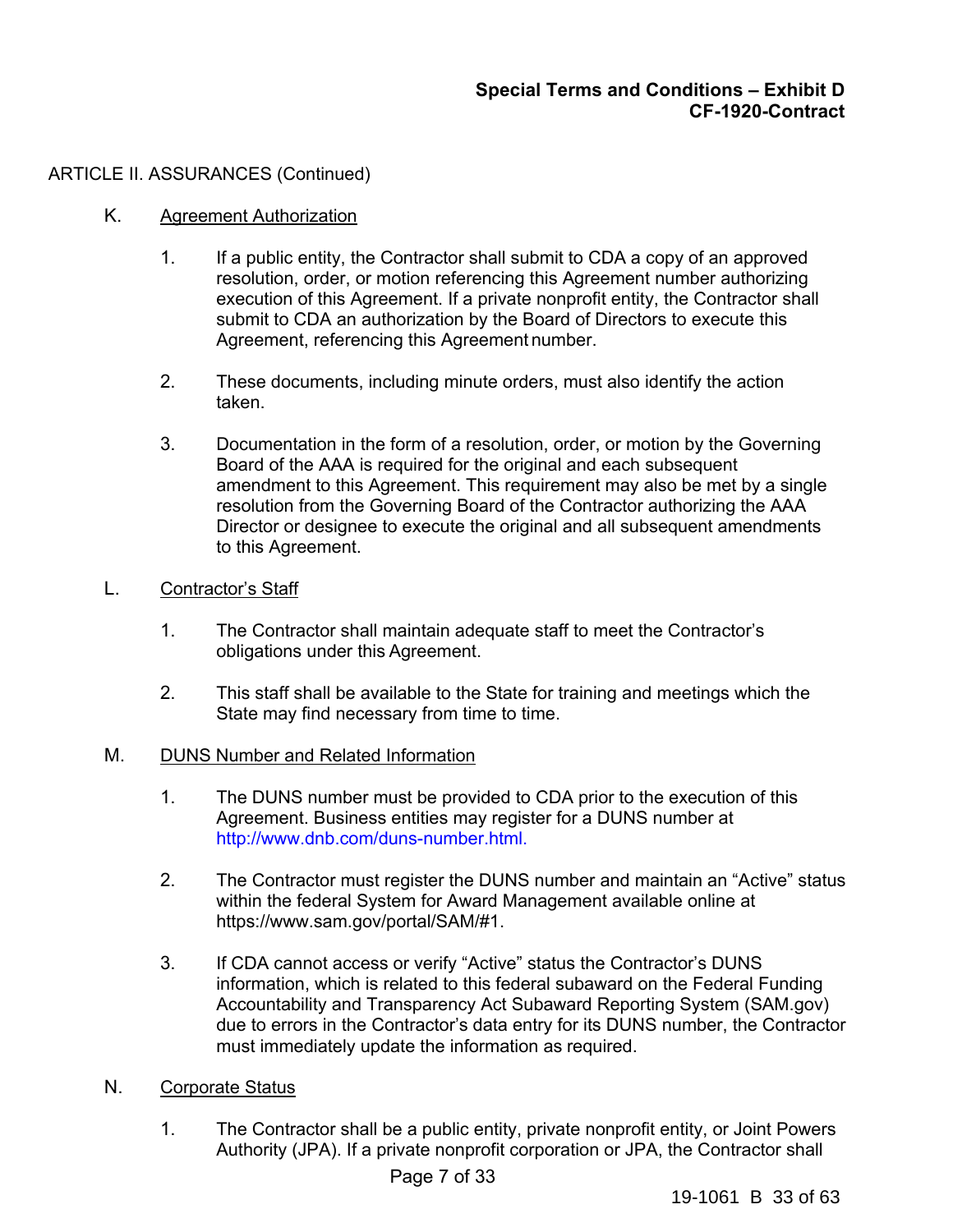# K. Agreement Authorization

- 1. If a public entity, the Contractor shall submit to CDA a copy of an approved resolution, order, or motion referencing this Agreement number authorizing execution of this Agreement. If a private nonprofit entity, the Contractor shall submit to CDA an authorization by the Board of Directors to execute this Agreement, referencing this Agreement number.
- 2. These documents, including minute orders, must also identify the action taken.
- 3. Documentation in the form of a resolution, order, or motion by the Governing Board of the AAA is required for the original and each subsequent amendment to this Agreement. This requirement may also be met by a single resolution from the Governing Board of the Contractor authorizing the AAA Director or designee to execute the original and all subsequent amendments to this Agreement.

# L. Contractor's Staff

- 1. The Contractor shall maintain adequate staff to meet the Contractor's obligations under this Agreement.
- 2. This staff shall be available to the State for training and meetings which the State may find necessary from time to time.

### M. DUNS Number and Related Information

- 1. The DUNS number must be provided to CDA prior to the execution of this Agreement. Business entities may register for a DUNS number at http://www.dnb.com/duns-number.html.
- 2. The Contractor must register the DUNS number and maintain an "Active" status within the federal System for Award Management available online at https://www.sam.gov/portal/SAM/#1.
- 3. If CDA cannot access or verify "Active" status the Contractor's DUNS information, which is related to this federal subaward on the Federal Funding Accountability and Transparency Act Subaward Reporting System (SAM.gov) due to errors in the Contractor's data entry for its DUNS number, the Contractor must immediately update the information as required.

# N. Corporate Status

1. The Contractor shall be a public entity, private nonprofit entity, or Joint Powers Authority (JPA). If a private nonprofit corporation or JPA, the Contractor shall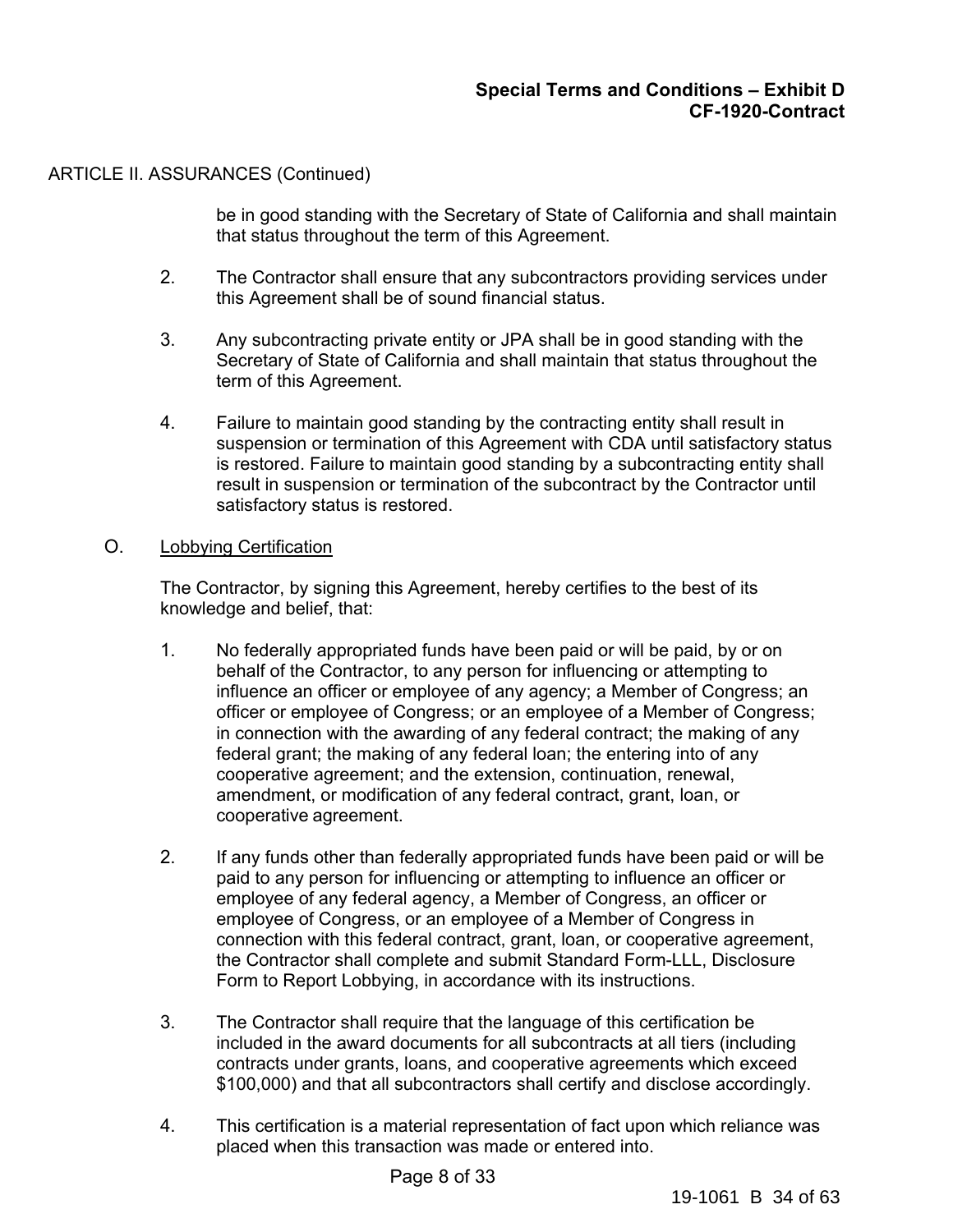be in good standing with the Secretary of State of California and shall maintain that status throughout the term of this Agreement.

- 2. The Contractor shall ensure that any subcontractors providing services under this Agreement shall be of sound financial status.
- 3. Any subcontracting private entity or JPA shall be in good standing with the Secretary of State of California and shall maintain that status throughout the term of this Agreement.
- 4. Failure to maintain good standing by the contracting entity shall result in suspension or termination of this Agreement with CDA until satisfactory status is restored. Failure to maintain good standing by a subcontracting entity shall result in suspension or termination of the subcontract by the Contractor until satisfactory status is restored.

### O. Lobbying Certification

The Contractor, by signing this Agreement, hereby certifies to the best of its knowledge and belief, that:

- 1. No federally appropriated funds have been paid or will be paid, by or on behalf of the Contractor, to any person for influencing or attempting to influence an officer or employee of any agency; a Member of Congress; an officer or employee of Congress; or an employee of a Member of Congress; in connection with the awarding of any federal contract; the making of any federal grant; the making of any federal loan; the entering into of any cooperative agreement; and the extension, continuation, renewal, amendment, or modification of any federal contract, grant, loan, or cooperative agreement.
- 2. If any funds other than federally appropriated funds have been paid or will be paid to any person for influencing or attempting to influence an officer or employee of any federal agency, a Member of Congress, an officer or employee of Congress, or an employee of a Member of Congress in connection with this federal contract, grant, loan, or cooperative agreement, the Contractor shall complete and submit Standard Form-LLL, Disclosure Form to Report Lobbying, in accordance with its instructions.
- 3. The Contractor shall require that the language of this certification be included in the award documents for all subcontracts at all tiers (including contracts under grants, loans, and cooperative agreements which exceed \$100,000) and that all subcontractors shall certify and disclose accordingly.
- 4. This certification is a material representation of fact upon which reliance was placed when this transaction was made or entered into.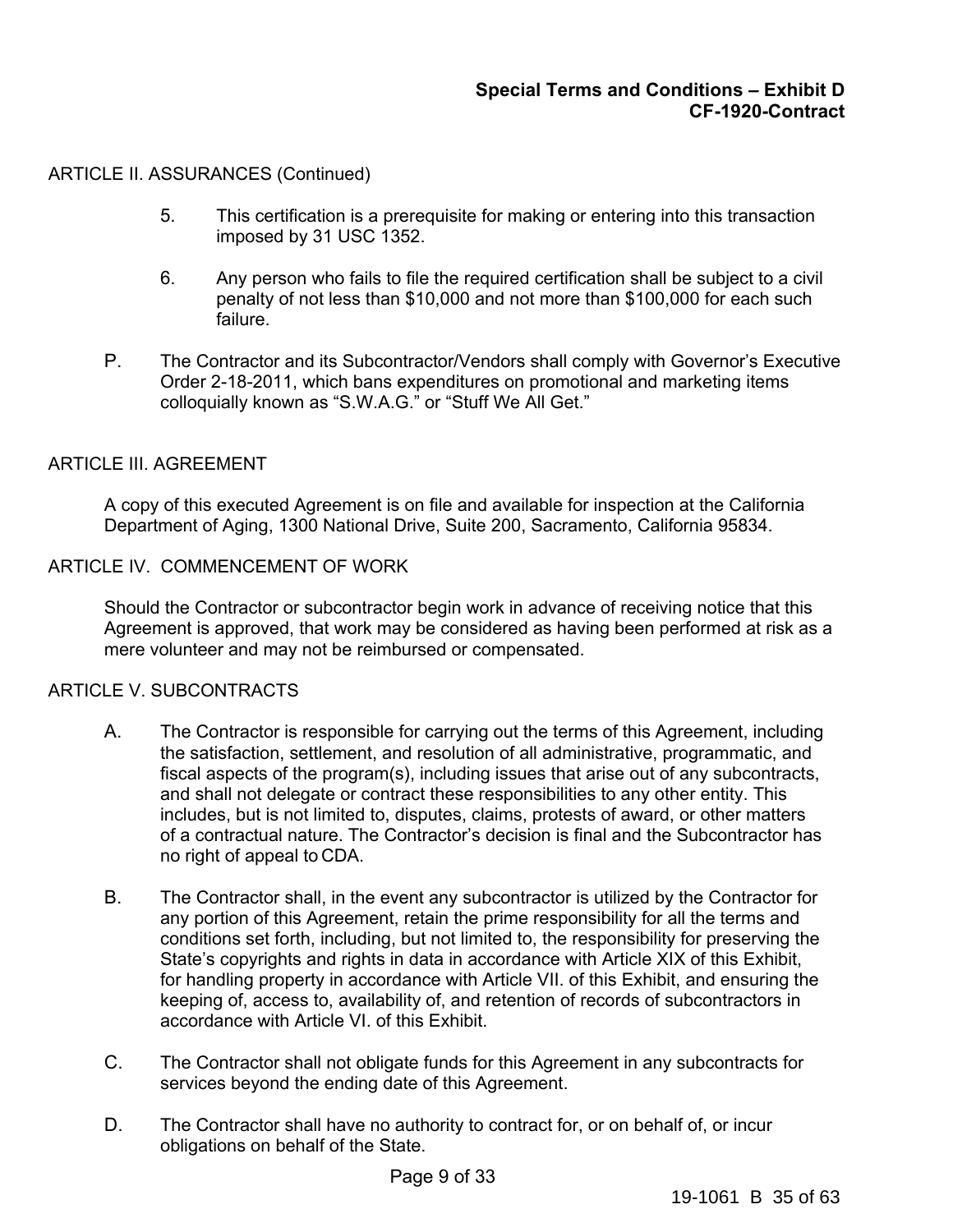- 5. This certification is a prerequisite for making or entering into this transaction imposed by 31 USC 1352.
- 6. Any person who fails to file the required certification shall be subject to a civil penalty of not less than \$10,000 and not more than \$100,000 for each such failure.
- P. The Contractor and its Subcontractor/Vendors shall comply with Governor's Executive Order 2-18-2011, which bans expenditures on promotional and marketing items colloquially known as "S.W.A.G." or "Stuff We All Get."

### ARTICLE III. AGREEMENT

A copy of this executed Agreement is on file and available for inspection at the California Department of Aging, 1300 National Drive, Suite 200, Sacramento, California 95834.

### ARTICLE IV. COMMENCEMENT OF WORK

Should the Contractor or subcontractor begin work in advance of receiving notice that this Agreement is approved, that work may be considered as having been performed at risk as a mere volunteer and may not be reimbursed or compensated.

# ARTICLE V. SUBCONTRACTS

- A. The Contractor is responsible for carrying out the terms of this Agreement, including the satisfaction, settlement, and resolution of all administrative, programmatic, and fiscal aspects of the program(s), including issues that arise out of any subcontracts, and shall not delegate or contract these responsibilities to any other entity. This includes, but is not limited to, disputes, claims, protests of award, or other matters of a contractual nature. The Contractor's decision is final and the Subcontractor has no right of appeal to CDA.
- B. The Contractor shall, in the event any subcontractor is utilized by the Contractor for any portion of this Agreement, retain the prime responsibility for all the terms and conditions set forth, including, but not limited to, the responsibility for preserving the State's copyrights and rights in data in accordance with Article XIX of this Exhibit, for handling property in accordance with Article VII. of this Exhibit, and ensuring the keeping of, access to, availability of, and retention of records of subcontractors in accordance with Article VI. of this Exhibit.
- C. The Contractor shall not obligate funds for this Agreement in any subcontracts for services beyond the ending date of this Agreement.
- D. The Contractor shall have no authority to contract for, or on behalf of, or incur obligations on behalf of the State.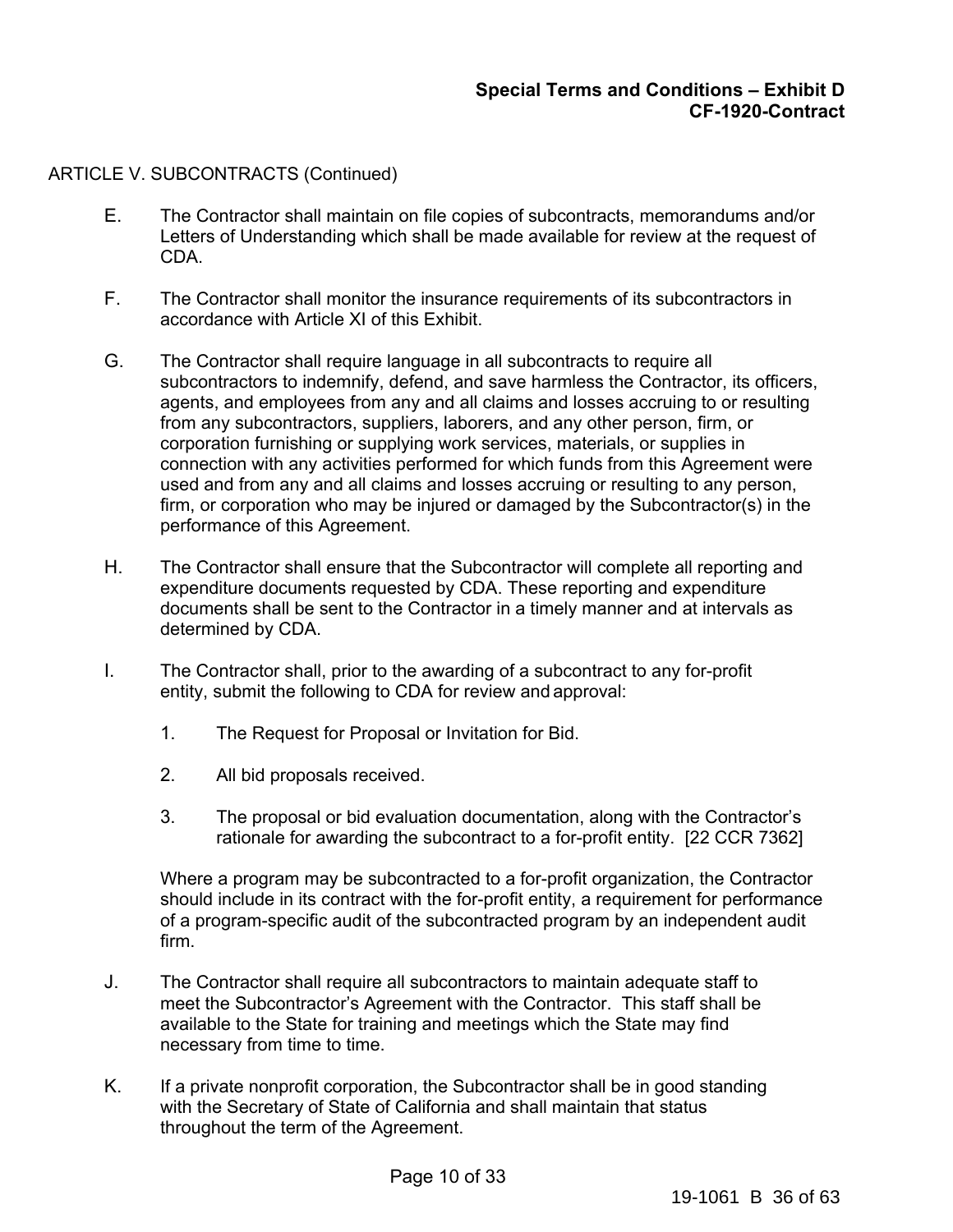### ARTICLE V. SUBCONTRACTS (Continued)

- E. The Contractor shall maintain on file copies of subcontracts, memorandums and/or Letters of Understanding which shall be made available for review at the request of CDA.
- F. The Contractor shall monitor the insurance requirements of its subcontractors in accordance with Article XI of this Exhibit.
- G. The Contractor shall require language in all subcontracts to require all subcontractors to indemnify, defend, and save harmless the Contractor, its officers, agents, and employees from any and all claims and losses accruing to or resulting from any subcontractors, suppliers, laborers, and any other person, firm, or corporation furnishing or supplying work services, materials, or supplies in connection with any activities performed for which funds from this Agreement were used and from any and all claims and losses accruing or resulting to any person, firm, or corporation who may be injured or damaged by the Subcontractor(s) in the performance of this Agreement.
- H. The Contractor shall ensure that the Subcontractor will complete all reporting and expenditure documents requested by CDA. These reporting and expenditure documents shall be sent to the Contractor in a timely manner and at intervals as determined by CDA.
- I. The Contractor shall, prior to the awarding of a subcontract to any for-profit entity, submit the following to CDA for review and approval:
	- 1. The Request for Proposal or Invitation for Bid.
	- 2. All bid proposals received.
	- 3. The proposal or bid evaluation documentation, along with the Contractor's rationale for awarding the subcontract to a for-profit entity. [22 CCR 7362]

Where a program may be subcontracted to a for-profit organization, the Contractor should include in its contract with the for-profit entity, a requirement for performance of a program-specific audit of the subcontracted program by an independent audit firm.

- J. The Contractor shall require all subcontractors to maintain adequate staff to meet the Subcontractor's Agreement with the Contractor. This staff shall be available to the State for training and meetings which the State may find necessary from time to time.
- K. If a private nonprofit corporation, the Subcontractor shall be in good standing with the Secretary of State of California and shall maintain that status throughout the term of the Agreement.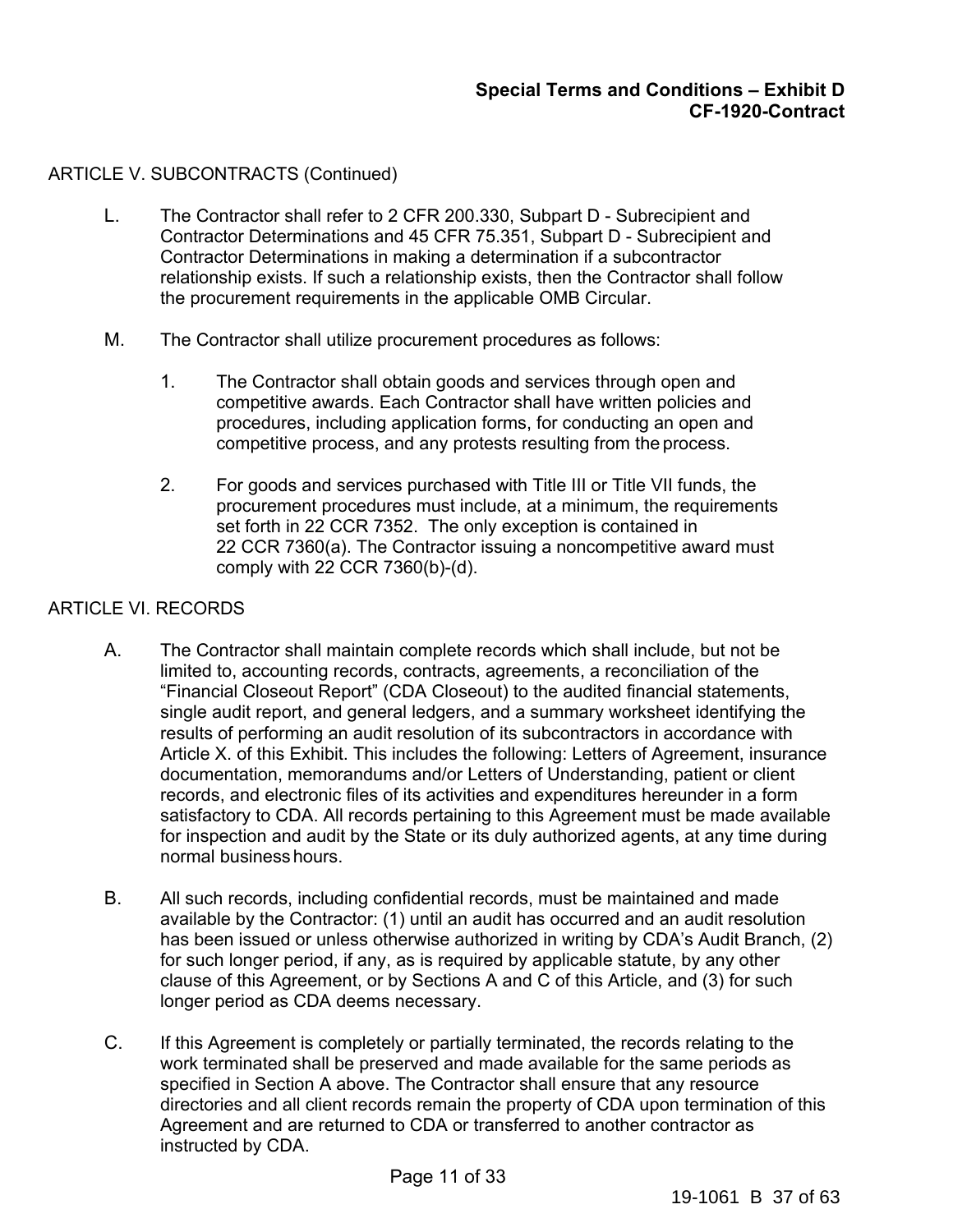# ARTICLE V. SUBCONTRACTS (Continued)

- L. The Contractor shall refer to 2 CFR 200.330, Subpart D Subrecipient and Contractor Determinations and 45 CFR 75.351, Subpart D - Subrecipient and Contractor Determinations in making a determination if a subcontractor relationship exists. If such a relationship exists, then the Contractor shall follow the procurement requirements in the applicable OMB Circular.
- M. The Contractor shall utilize procurement procedures as follows:
	- 1. The Contractor shall obtain goods and services through open and competitive awards. Each Contractor shall have written policies and procedures, including application forms, for conducting an open and competitive process, and any protests resulting from the process.
	- 2. For goods and services purchased with Title III or Title VII funds, the procurement procedures must include, at a minimum, the requirements set forth in 22 CCR 7352. The only exception is contained in 22 CCR 7360(a). The Contractor issuing a noncompetitive award must comply with 22 CCR 7360(b)-(d).

#### ARTICLE VI. RECORDS

- A. The Contractor shall maintain complete records which shall include, but not be limited to, accounting records, contracts, agreements, a reconciliation of the "Financial Closeout Report" (CDA Closeout) to the audited financial statements, single audit report, and general ledgers, and a summary worksheet identifying the results of performing an audit resolution of its subcontractors in accordance with Article X. of this Exhibit. This includes the following: Letters of Agreement, insurance documentation, memorandums and/or Letters of Understanding, patient or client records, and electronic files of its activities and expenditures hereunder in a form satisfactory to CDA. All records pertaining to this Agreement must be made available for inspection and audit by the State or its duly authorized agents, at any time during normal business hours.
- B. All such records, including confidential records, must be maintained and made available by the Contractor: (1) until an audit has occurred and an audit resolution has been issued or unless otherwise authorized in writing by CDA's Audit Branch, (2) for such longer period, if any, as is required by applicable statute, by any other clause of this Agreement, or by Sections A and C of this Article, and (3) for such longer period as CDA deems necessary.
- C. If this Agreement is completely or partially terminated, the records relating to the work terminated shall be preserved and made available for the same periods as specified in Section A above. The Contractor shall ensure that any resource directories and all client records remain the property of CDA upon termination of this Agreement and are returned to CDA or transferred to another contractor as instructed by CDA.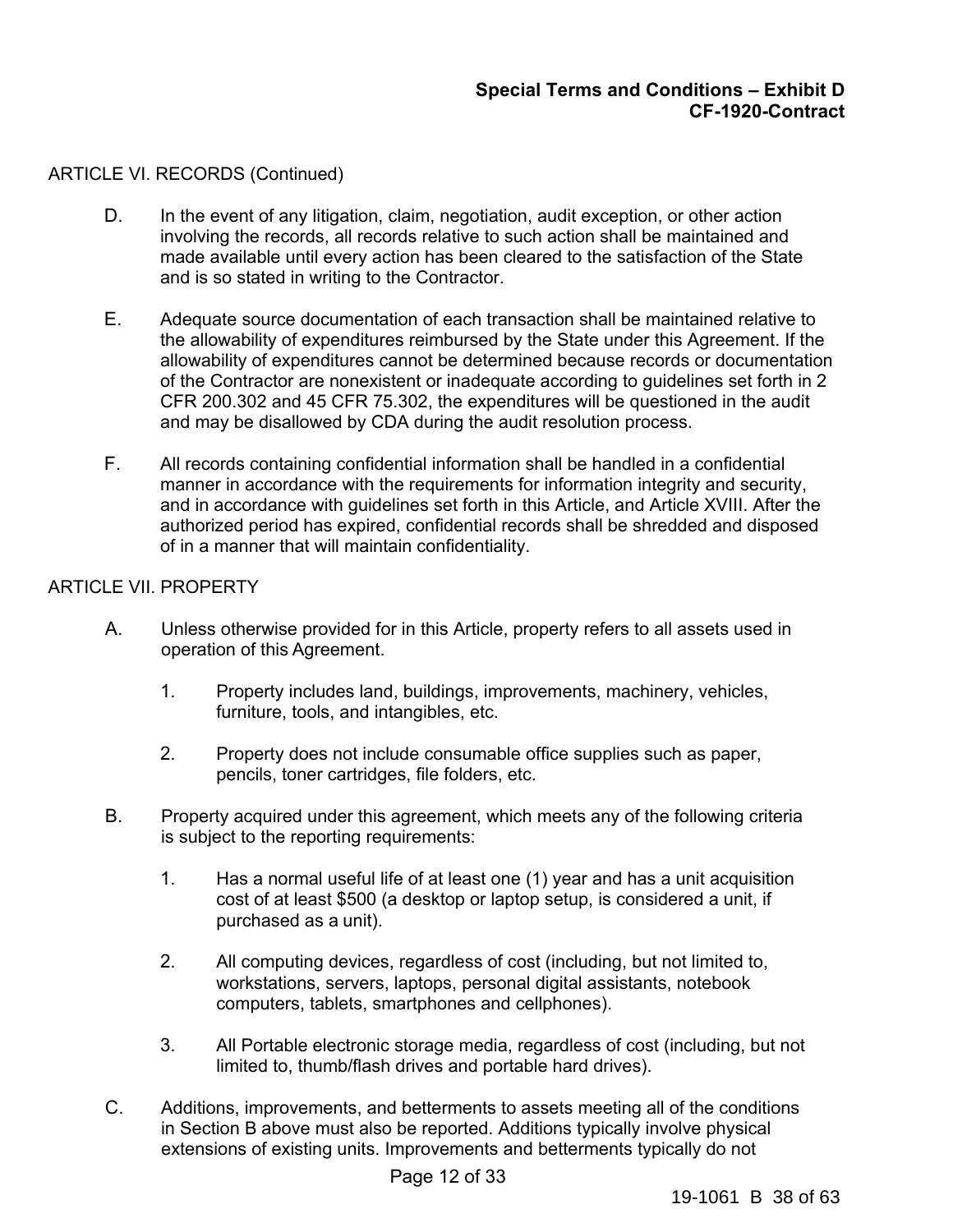# ARTICLE VI. RECORDS (Continued)

- D. In the event of any litigation, claim, negotiation, audit exception, or other action involving the records, all records relative to such action shall be maintained and made available until every action has been cleared to the satisfaction of the State and is so stated in writing to the Contractor.
- E. Adequate source documentation of each transaction shall be maintained relative to the allowability of expenditures reimbursed by the State under this Agreement. If the allowability of expenditures cannot be determined because records or documentation of the Contractor are nonexistent or inadequate according to guidelines set forth in 2 CFR 200.302 and 45 CFR 75.302, the expenditures will be questioned in the audit and may be disallowed by CDA during the audit resolution process.
- F. All records containing confidential information shall be handled in a confidential manner in accordance with the requirements for information integrity and security, and in accordance with guidelines set forth in this Article, and Article XVIII. After the authorized period has expired, confidential records shall be shredded and disposed of in a manner that will maintain confidentiality.

# ARTICLE VII. PROPERTY

- A. Unless otherwise provided for in this Article, property refers to all assets used in operation of this Agreement.
	- 1. Property includes land, buildings, improvements, machinery, vehicles, furniture, tools, and intangibles, etc.
	- 2. Property does not include consumable office supplies such as paper, pencils, toner cartridges, file folders, etc.
- B. Property acquired under this agreement, which meets any of the following criteria is subject to the reporting requirements:
	- 1. Has a normal useful life of at least one (1) year and has a unit acquisition cost of at least \$500 (a desktop or laptop setup, is considered a unit, if purchased as a unit).
	- 2. All computing devices, regardless of cost (including, but not limited to, workstations, servers, laptops, personal digital assistants, notebook computers, tablets, smartphones and cellphones).
	- 3. All Portable electronic storage media, regardless of cost (including, but not limited to, thumb/flash drives and portable hard drives).
- C. Additions, improvements, and betterments to assets meeting all of the conditions in Section B above must also be reported. Additions typically involve physical extensions of existing units. Improvements and betterments typically do not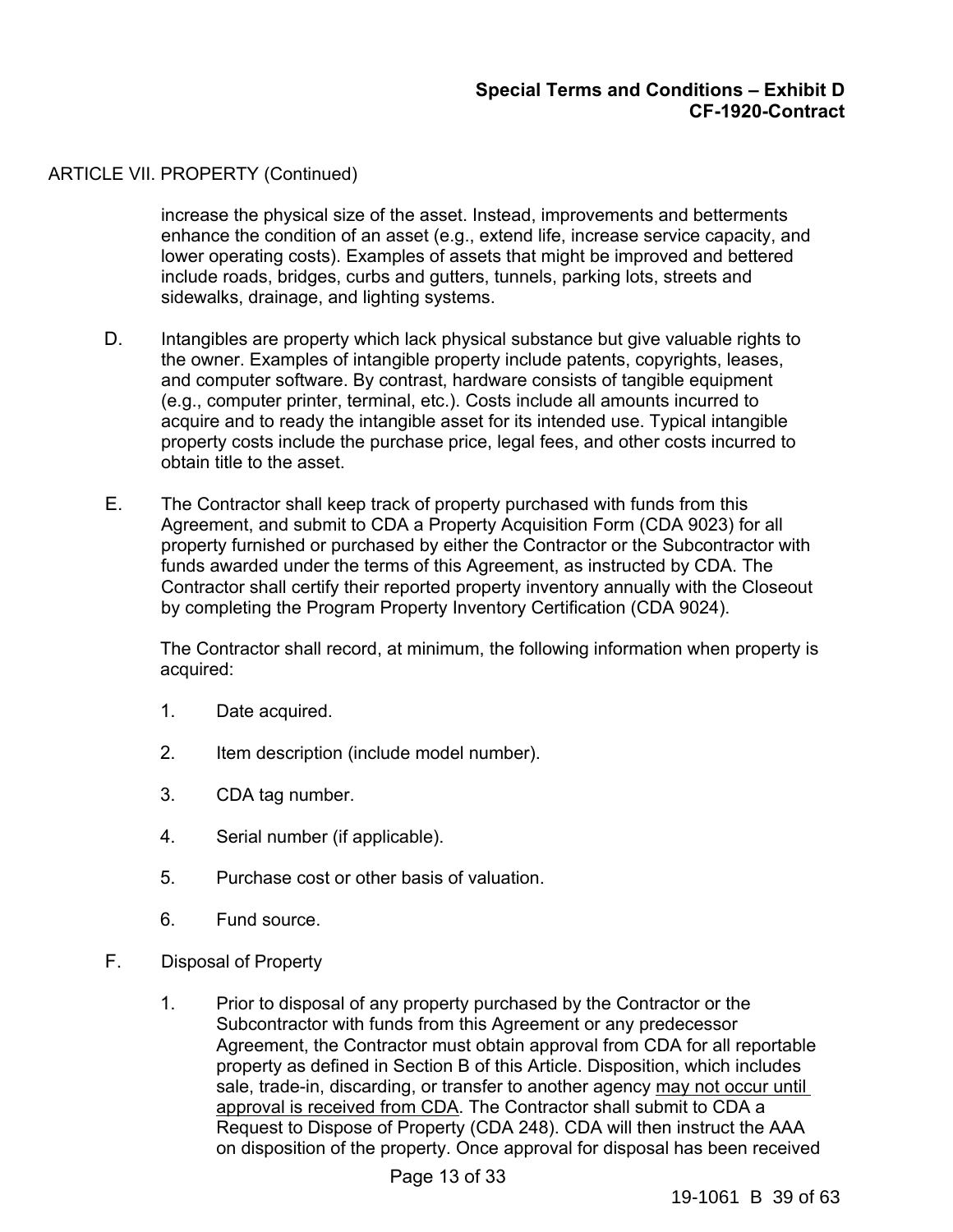### ARTICLE VII. PROPERTY (Continued)

increase the physical size of the asset. Instead, improvements and betterments enhance the condition of an asset (e.g., extend life, increase service capacity, and lower operating costs). Examples of assets that might be improved and bettered include roads, bridges, curbs and gutters, tunnels, parking lots, streets and sidewalks, drainage, and lighting systems.

- D. Intangibles are property which lack physical substance but give valuable rights to the owner. Examples of intangible property include patents, copyrights, leases, and computer software. By contrast, hardware consists of tangible equipment (e.g., computer printer, terminal, etc.). Costs include all amounts incurred to acquire and to ready the intangible asset for its intended use. Typical intangible property costs include the purchase price, legal fees, and other costs incurred to obtain title to the asset.
- E. The Contractor shall keep track of property purchased with funds from this Agreement, and submit to CDA a Property Acquisition Form (CDA 9023) for all property furnished or purchased by either the Contractor or the Subcontractor with funds awarded under the terms of this Agreement, as instructed by CDA. The Contractor shall certify their reported property inventory annually with the Closeout by completing the Program Property Inventory Certification (CDA 9024).

The Contractor shall record, at minimum, the following information when property is acquired:

- 1. Date acquired.
- 2. Item description (include model number).
- 3. CDA tag number.
- 4. Serial number (if applicable).
- 5. Purchase cost or other basis of valuation.
- 6. Fund source.
- F. Disposal of Property
	- 1. Prior to disposal of any property purchased by the Contractor or the Subcontractor with funds from this Agreement or any predecessor Agreement, the Contractor must obtain approval from CDA for all reportable property as defined in Section B of this Article. Disposition, which includes sale, trade-in, discarding, or transfer to another agency may not occur until approval is received from CDA. The Contractor shall submit to CDA a Request to Dispose of Property (CDA 248). CDA will then instruct the AAA on disposition of the property. Once approval for disposal has been received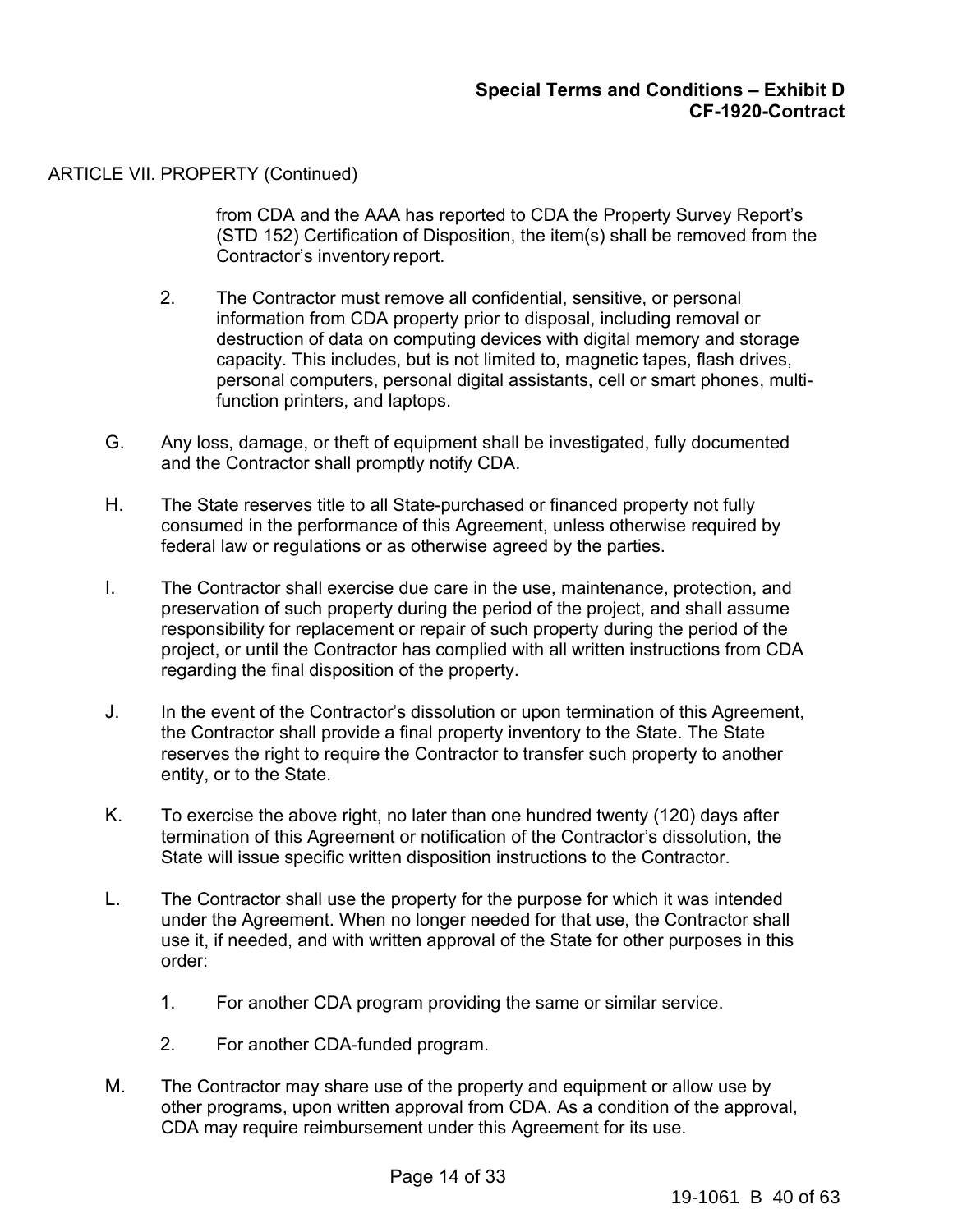### ARTICLE VII. PROPERTY (Continued)

from CDA and the AAA has reported to CDA the Property Survey Report's (STD 152) Certification of Disposition, the item(s) shall be removed from the Contractor's inventory report.

- 2. The Contractor must remove all confidential, sensitive, or personal information from CDA property prior to disposal, including removal or destruction of data on computing devices with digital memory and storage capacity. This includes, but is not limited to, magnetic tapes, flash drives, personal computers, personal digital assistants, cell or smart phones, multifunction printers, and laptops.
- G. Any loss, damage, or theft of equipment shall be investigated, fully documented and the Contractor shall promptly notify CDA.
- H. The State reserves title to all State-purchased or financed property not fully consumed in the performance of this Agreement, unless otherwise required by federal law or regulations or as otherwise agreed by the parties.
- I. The Contractor shall exercise due care in the use, maintenance, protection, and preservation of such property during the period of the project, and shall assume responsibility for replacement or repair of such property during the period of the project, or until the Contractor has complied with all written instructions from CDA regarding the final disposition of the property.
- J. In the event of the Contractor's dissolution or upon termination of this Agreement, the Contractor shall provide a final property inventory to the State. The State reserves the right to require the Contractor to transfer such property to another entity, or to the State.
- K. To exercise the above right, no later than one hundred twenty (120) days after termination of this Agreement or notification of the Contractor's dissolution, the State will issue specific written disposition instructions to the Contractor.
- L. The Contractor shall use the property for the purpose for which it was intended under the Agreement. When no longer needed for that use, the Contractor shall use it, if needed, and with written approval of the State for other purposes in this order:
	- 1. For another CDA program providing the same or similar service.
	- 2. For another CDA-funded program.
- M. The Contractor may share use of the property and equipment or allow use by other programs, upon written approval from CDA. As a condition of the approval, CDA may require reimbursement under this Agreement for its use.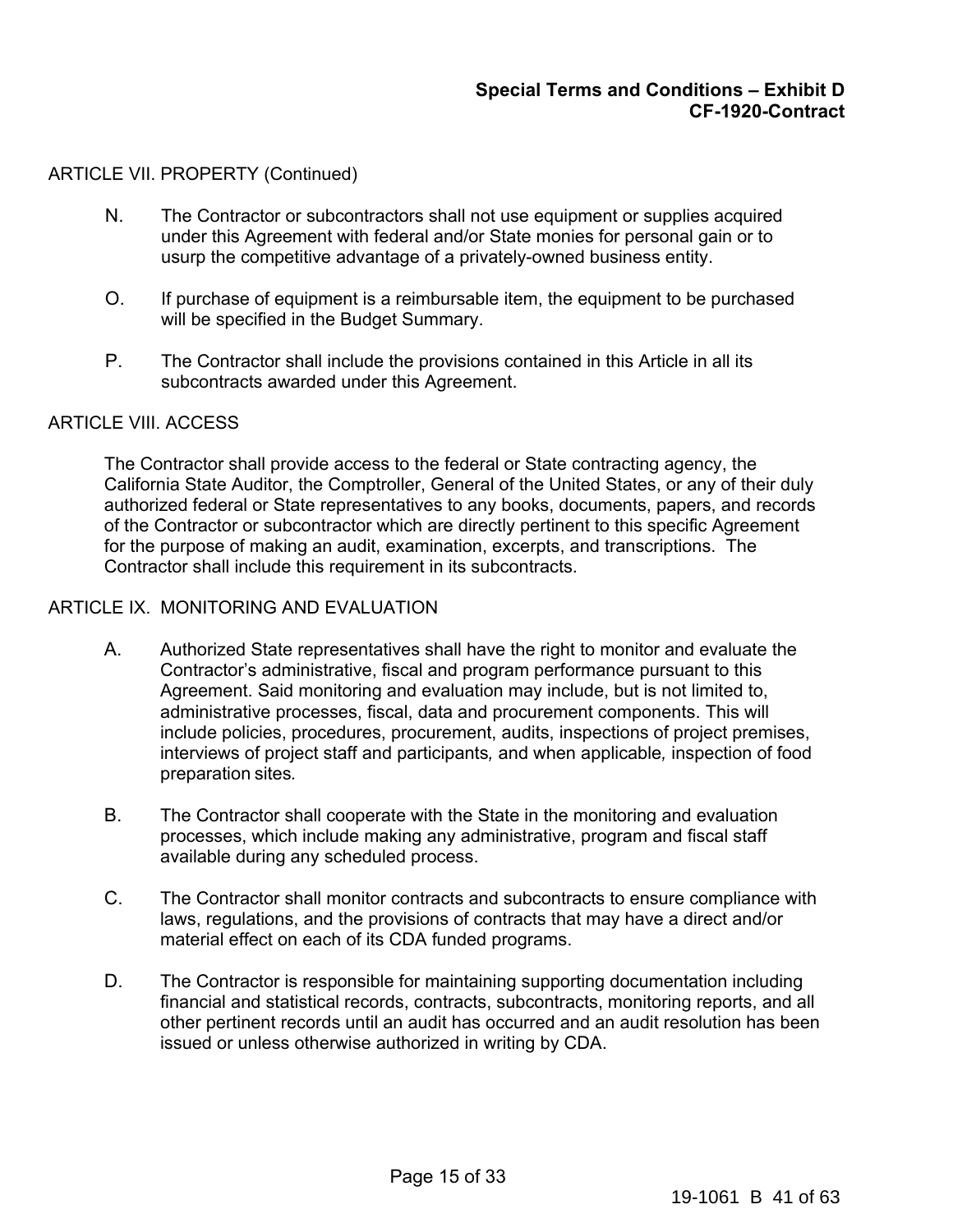### ARTICLE VII. PROPERTY (Continued)

- N. The Contractor or subcontractors shall not use equipment or supplies acquired under this Agreement with federal and/or State monies for personal gain or to usurp the competitive advantage of a privately-owned business entity.
- O. If purchase of equipment is a reimbursable item, the equipment to be purchased will be specified in the Budget Summary.
- P. The Contractor shall include the provisions contained in this Article in all its subcontracts awarded under this Agreement.

#### ARTICLE VIII. ACCESS

The Contractor shall provide access to the federal or State contracting agency, the California State Auditor, the Comptroller, General of the United States, or any of their duly authorized federal or State representatives to any books, documents, papers, and records of the Contractor or subcontractor which are directly pertinent to this specific Agreement for the purpose of making an audit, examination, excerpts, and transcriptions. The Contractor shall include this requirement in its subcontracts.

#### ARTICLE IX. MONITORING AND EVALUATION

- A. Authorized State representatives shall have the right to monitor and evaluate the Contractor's administrative, fiscal and program performance pursuant to this Agreement. Said monitoring and evaluation may include, but is not limited to, administrative processes, fiscal, data and procurement components. This will include policies, procedures, procurement, audits, inspections of project premises, interviews of project staff and participants*,* and when applicable*,* inspection of food preparation sites*.*
- B. The Contractor shall cooperate with the State in the monitoring and evaluation processes, which include making any administrative, program and fiscal staff available during any scheduled process.
- C. The Contractor shall monitor contracts and subcontracts to ensure compliance with laws, regulations, and the provisions of contracts that may have a direct and/or material effect on each of its CDA funded programs.
- D. The Contractor is responsible for maintaining supporting documentation including financial and statistical records, contracts, subcontracts, monitoring reports, and all other pertinent records until an audit has occurred and an audit resolution has been issued or unless otherwise authorized in writing by CDA.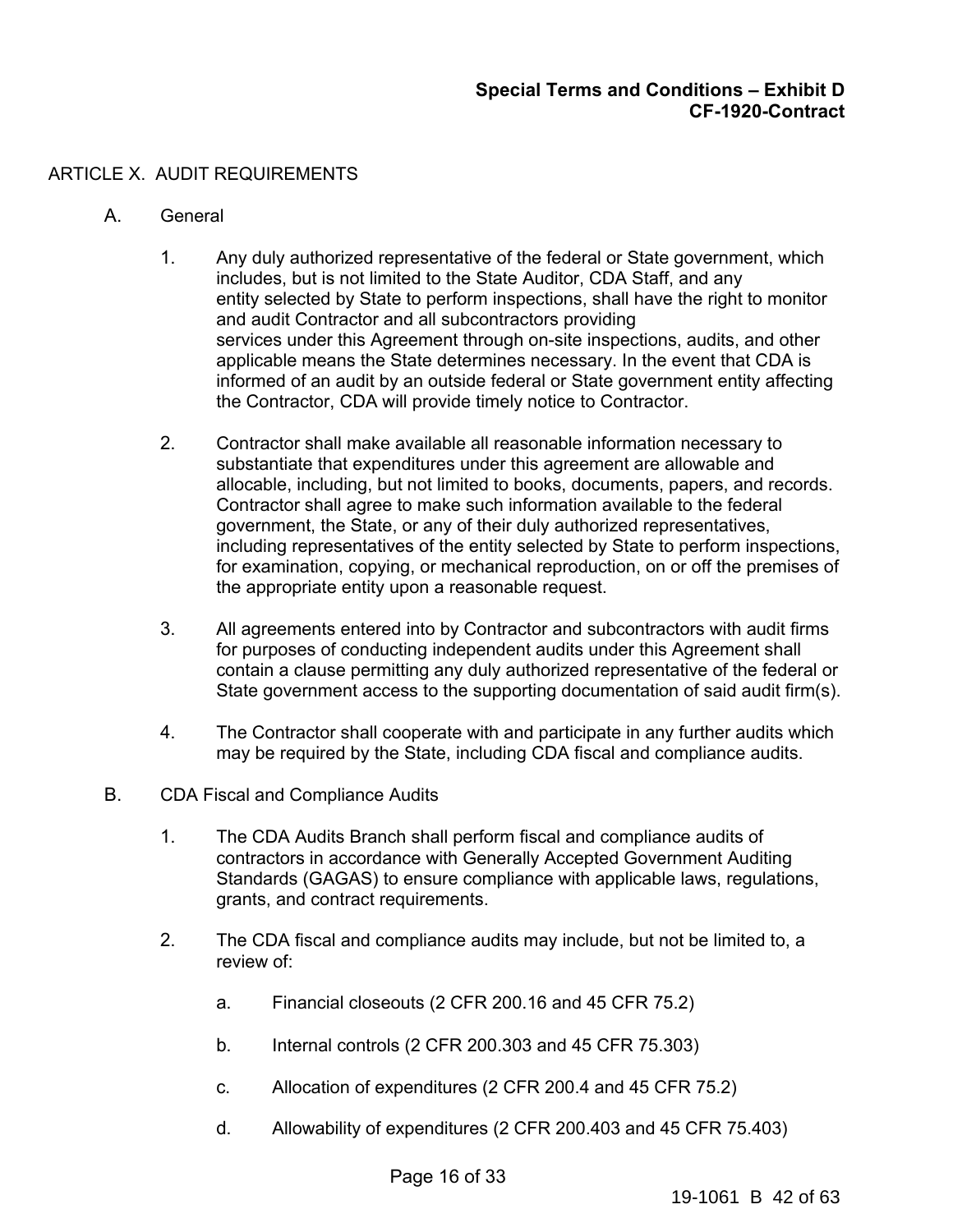# ARTICLE X. AUDIT REQUIREMENTS

- A. General
	- 1. Any duly authorized representative of the federal or State government, which includes, but is not limited to the State Auditor, CDA Staff, and any entity selected by State to perform inspections, shall have the right to monitor and audit Contractor and all subcontractors providing services under this Agreement through on-site inspections, audits, and other applicable means the State determines necessary. In the event that CDA is informed of an audit by an outside federal or State government entity affecting the Contractor, CDA will provide timely notice to Contractor.
	- 2. Contractor shall make available all reasonable information necessary to substantiate that expenditures under this agreement are allowable and allocable, including, but not limited to books, documents, papers, and records. Contractor shall agree to make such information available to the federal government, the State, or any of their duly authorized representatives, including representatives of the entity selected by State to perform inspections, for examination, copying, or mechanical reproduction, on or off the premises of the appropriate entity upon a reasonable request.
	- 3. All agreements entered into by Contractor and subcontractors with audit firms for purposes of conducting independent audits under this Agreement shall contain a clause permitting any duly authorized representative of the federal or State government access to the supporting documentation of said audit firm(s).
	- 4. The Contractor shall cooperate with and participate in any further audits which may be required by the State, including CDA fiscal and compliance audits.
- B. CDA Fiscal and Compliance Audits
	- 1. The CDA Audits Branch shall perform fiscal and compliance audits of contractors in accordance with Generally Accepted Government Auditing Standards (GAGAS) to ensure compliance with applicable laws, regulations, grants, and contract requirements.
	- 2. The CDA fiscal and compliance audits may include, but not be limited to, a review of:
		- a. Financial closeouts (2 CFR 200.16 and 45 CFR 75.2)
		- b. Internal controls (2 CFR 200.303 and 45 CFR 75.303)
		- c. Allocation of expenditures (2 CFR 200.4 and 45 CFR 75.2)
		- d. Allowability of expenditures (2 CFR 200.403 and 45 CFR 75.403)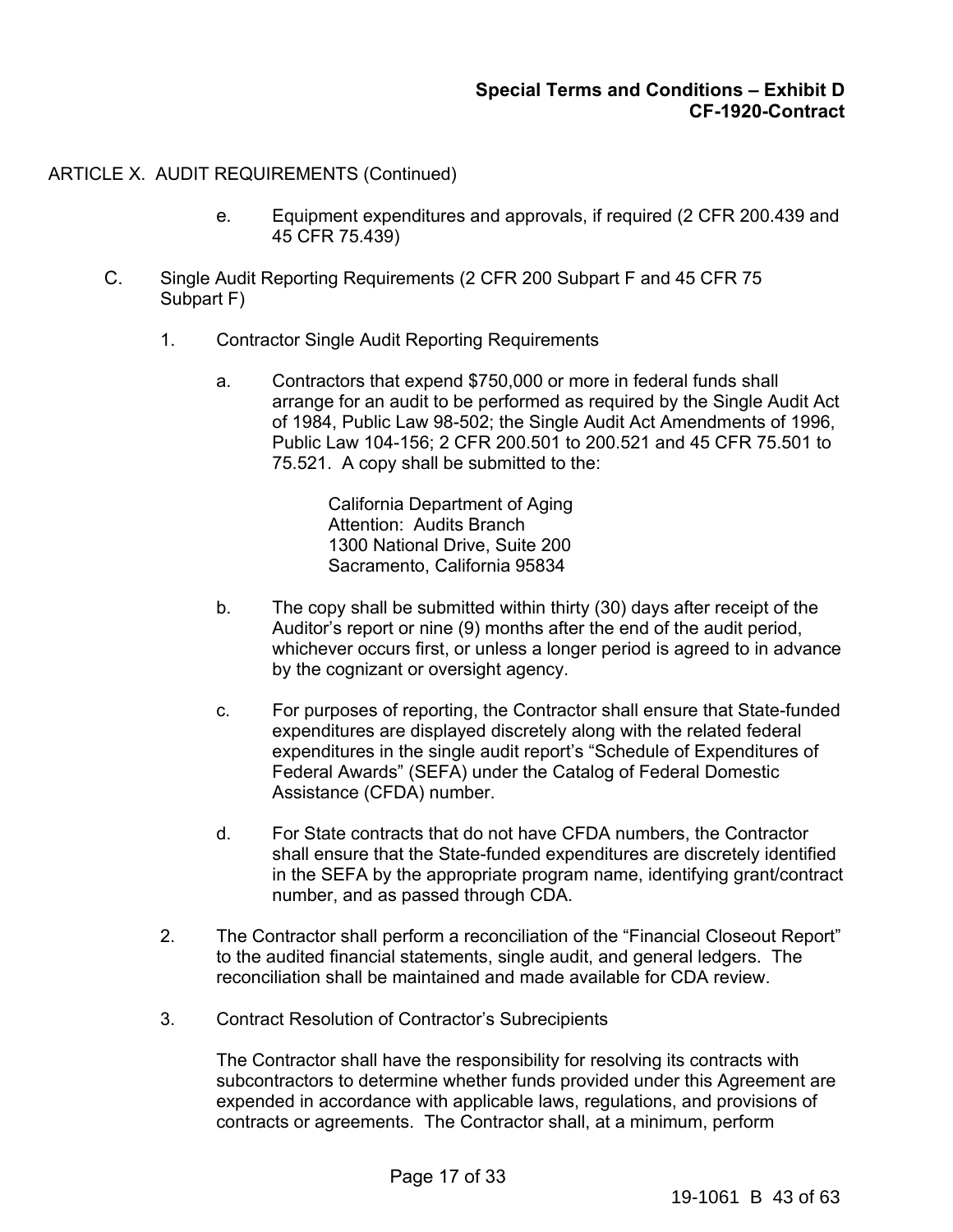- e. Equipment expenditures and approvals, if required (2 CFR 200.439 and 45 CFR 75.439)
- C. Single Audit Reporting Requirements (2 CFR 200 Subpart F and 45 CFR 75 Subpart F)
	- 1. Contractor Single Audit Reporting Requirements
		- a. Contractors that expend \$750,000 or more in federal funds shall arrange for an audit to be performed as required by the Single Audit Act of 1984, Public Law 98-502; the Single Audit Act Amendments of 1996, Public Law 104-156; 2 CFR 200.501 to 200.521 and 45 CFR 75.501 to 75.521. A copy shall be submitted to the:

California Department of Aging Attention: Audits Branch 1300 National Drive, Suite 200 Sacramento, California 95834

- b. The copy shall be submitted within thirty (30) days after receipt of the Auditor's report or nine (9) months after the end of the audit period, whichever occurs first, or unless a longer period is agreed to in advance by the cognizant or oversight agency.
- c. For purposes of reporting, the Contractor shall ensure that State-funded expenditures are displayed discretely along with the related federal expenditures in the single audit report's "Schedule of Expenditures of Federal Awards" (SEFA) under the Catalog of Federal Domestic Assistance (CFDA) number.
- d. For State contracts that do not have CFDA numbers, the Contractor shall ensure that the State-funded expenditures are discretely identified in the SEFA by the appropriate program name, identifying grant/contract number, and as passed through CDA.
- 2. The Contractor shall perform a reconciliation of the "Financial Closeout Report" to the audited financial statements, single audit, and general ledgers. The reconciliation shall be maintained and made available for CDA review.
- 3. Contract Resolution of Contractor's Subrecipients

The Contractor shall have the responsibility for resolving its contracts with subcontractors to determine whether funds provided under this Agreement are expended in accordance with applicable laws, regulations, and provisions of contracts or agreements. The Contractor shall, at a minimum, perform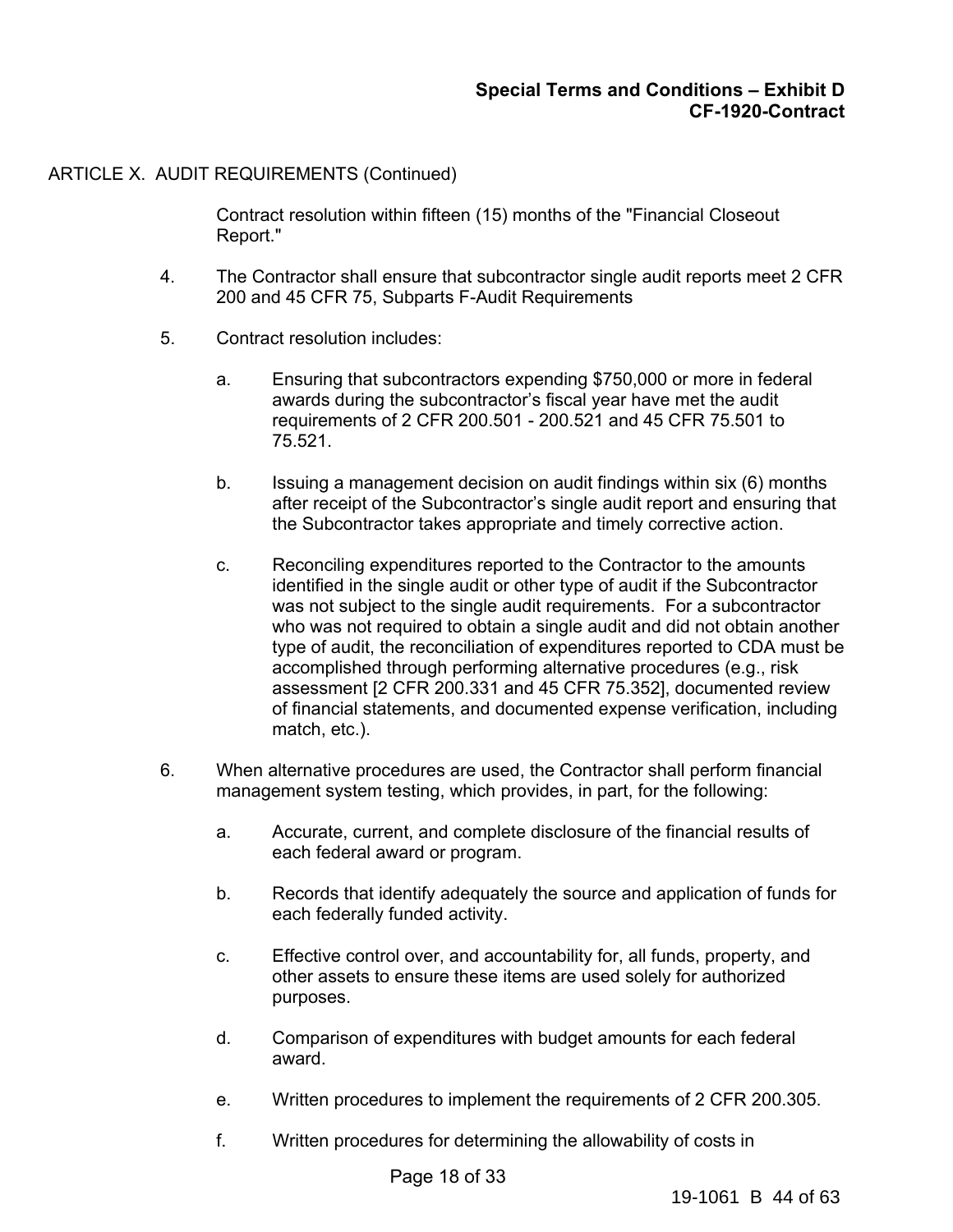Contract resolution within fifteen (15) months of the "Financial Closeout Report."

- 4. The Contractor shall ensure that subcontractor single audit reports meet 2 CFR 200 and 45 CFR 75, Subparts F-Audit Requirements
- 5. Contract resolution includes:
	- a. Ensuring that subcontractors expending \$750,000 or more in federal awards during the subcontractor's fiscal year have met the audit requirements of 2 CFR 200.501 - 200.521 and 45 CFR 75.501 to 75.521.
	- b. Issuing a management decision on audit findings within six (6) months after receipt of the Subcontractor's single audit report and ensuring that the Subcontractor takes appropriate and timely corrective action.
	- c. Reconciling expenditures reported to the Contractor to the amounts identified in the single audit or other type of audit if the Subcontractor was not subject to the single audit requirements. For a subcontractor who was not required to obtain a single audit and did not obtain another type of audit, the reconciliation of expenditures reported to CDA must be accomplished through performing alternative procedures (e.g., risk assessment [2 CFR 200.331 and 45 CFR 75.352], documented review of financial statements, and documented expense verification, including match, etc.).
- 6. When alternative procedures are used, the Contractor shall perform financial management system testing, which provides, in part, for the following:
	- a. Accurate, current, and complete disclosure of the financial results of each federal award or program.
	- b. Records that identify adequately the source and application of funds for each federally funded activity.
	- c. Effective control over, and accountability for, all funds, property, and other assets to ensure these items are used solely for authorized purposes.
	- d. Comparison of expenditures with budget amounts for each federal award.
	- e. Written procedures to implement the requirements of 2 CFR 200.305.
	- f. Written procedures for determining the allowability of costs in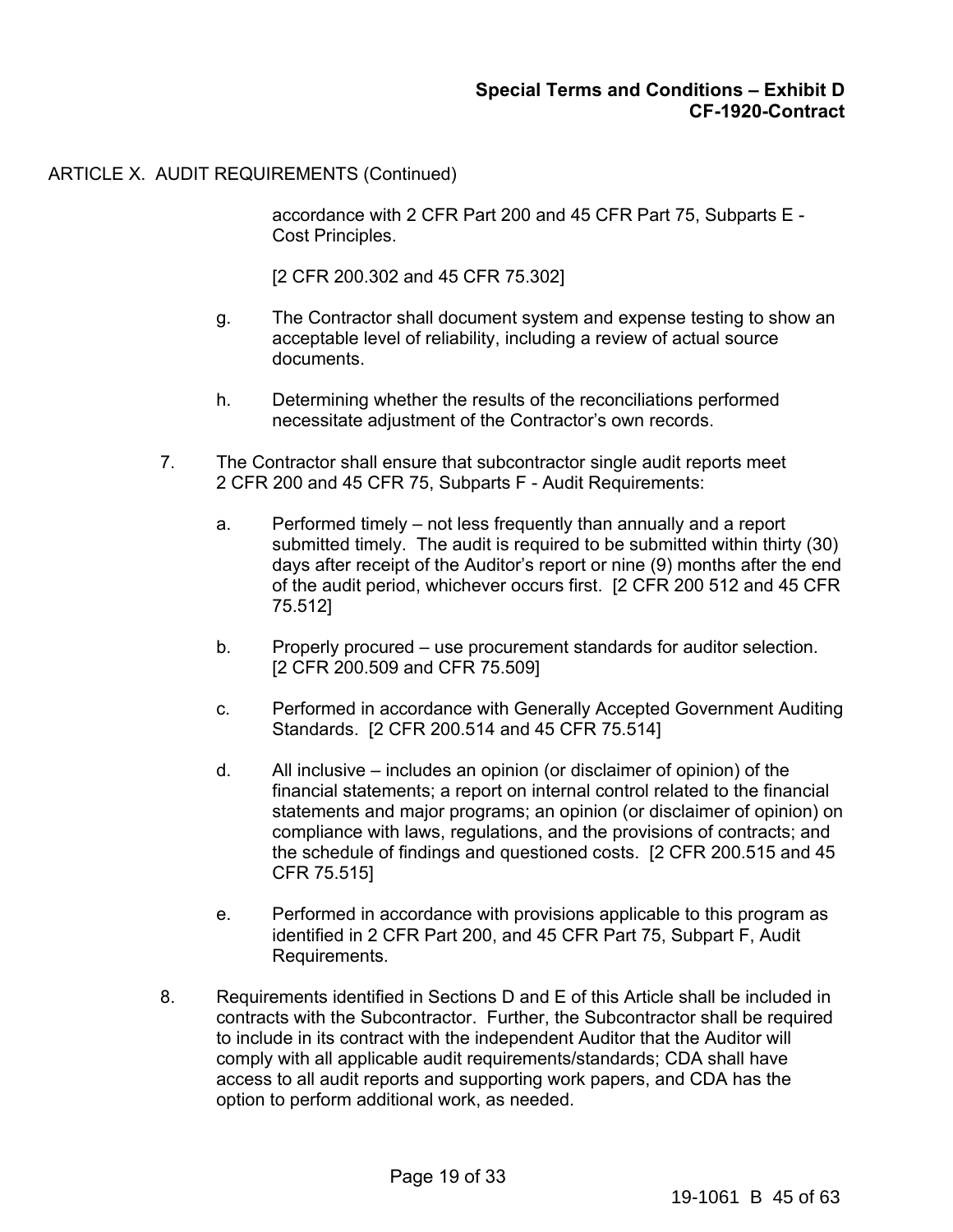accordance with 2 CFR Part 200 and 45 CFR Part 75, Subparts E - Cost Principles.

[2 CFR 200.302 and 45 CFR 75.302]

- g. The Contractor shall document system and expense testing to show an acceptable level of reliability, including a review of actual source documents.
- h. Determining whether the results of the reconciliations performed necessitate adjustment of the Contractor's own records.
- 7. The Contractor shall ensure that subcontractor single audit reports meet 2 CFR 200 and 45 CFR 75, Subparts F - Audit Requirements:
	- a. Performed timely not less frequently than annually and a report submitted timely. The audit is required to be submitted within thirty (30) days after receipt of the Auditor's report or nine (9) months after the end of the audit period, whichever occurs first. [2 CFR 200 512 and 45 CFR 75.512]
	- b. Properly procured use procurement standards for auditor selection. [2 CFR 200.509 and CFR 75.509]
	- c. Performed in accordance with Generally Accepted Government Auditing Standards. [2 CFR 200.514 and 45 CFR 75.514]
	- d. All inclusive includes an opinion (or disclaimer of opinion) of the financial statements; a report on internal control related to the financial statements and major programs; an opinion (or disclaimer of opinion) on compliance with laws, regulations, and the provisions of contracts; and the schedule of findings and questioned costs. [2 CFR 200.515 and 45 CFR 75.515]
	- e. Performed in accordance with provisions applicable to this program as identified in 2 CFR Part 200, and 45 CFR Part 75, Subpart F, Audit Requirements.
- 8. Requirements identified in Sections D and E of this Article shall be included in contracts with the Subcontractor. Further, the Subcontractor shall be required to include in its contract with the independent Auditor that the Auditor will comply with all applicable audit requirements/standards; CDA shall have access to all audit reports and supporting work papers, and CDA has the option to perform additional work, as needed.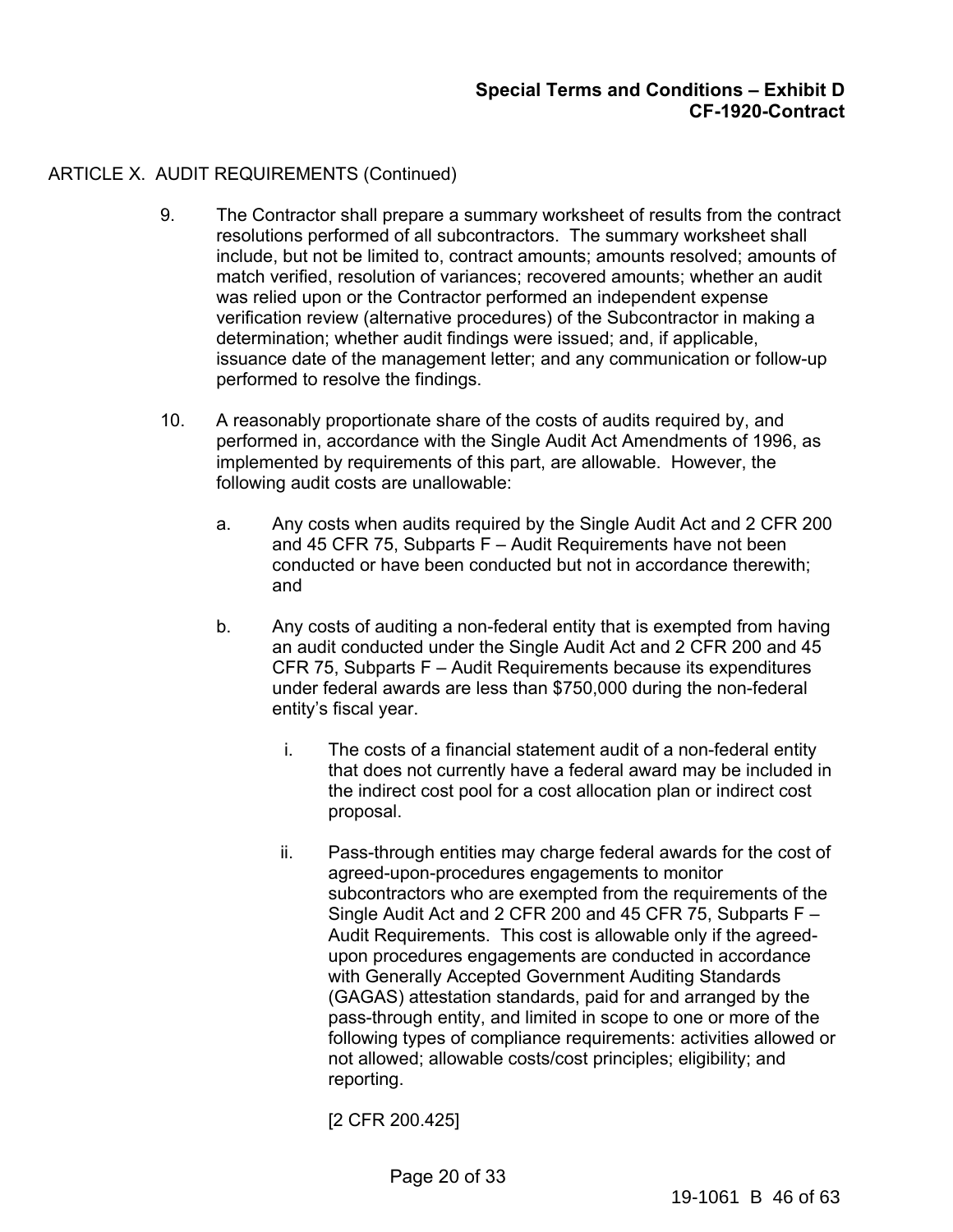- 9. The Contractor shall prepare a summary worksheet of results from the contract resolutions performed of all subcontractors. The summary worksheet shall include, but not be limited to, contract amounts; amounts resolved; amounts of match verified, resolution of variances; recovered amounts; whether an audit was relied upon or the Contractor performed an independent expense verification review (alternative procedures) of the Subcontractor in making a determination; whether audit findings were issued; and, if applicable, issuance date of the management letter; and any communication or follow-up performed to resolve the findings.
- 10. A reasonably proportionate share of the costs of audits required by, and performed in, accordance with the Single Audit Act Amendments of 1996, as implemented by requirements of this part, are allowable. However, the following audit costs are unallowable:
	- a. Any costs when audits required by the Single Audit Act and 2 CFR 200 and 45 CFR 75, Subparts F – Audit Requirements have not been conducted or have been conducted but not in accordance therewith; and
	- b. Any costs of auditing a non-federal entity that is exempted from having an audit conducted under the Single Audit Act and 2 CFR 200 and 45 CFR 75, Subparts F – Audit Requirements because its expenditures under federal awards are less than \$750,000 during the non-federal entity's fiscal year.
		- i. The costs of a financial statement audit of a non-federal entity that does not currently have a federal award may be included in the indirect cost pool for a cost allocation plan or indirect cost proposal.
		- ii. Pass-through entities may charge federal awards for the cost of agreed-upon-procedures engagements to monitor subcontractors who are exempted from the requirements of the Single Audit Act and 2 CFR 200 and 45 CFR 75, Subparts F – Audit Requirements. This cost is allowable only if the agreedupon procedures engagements are conducted in accordance with Generally Accepted Government Auditing Standards (GAGAS) attestation standards, paid for and arranged by the pass-through entity, and limited in scope to one or more of the following types of compliance requirements: activities allowed or not allowed; allowable costs/cost principles; eligibility; and reporting.

[2 CFR 200.425]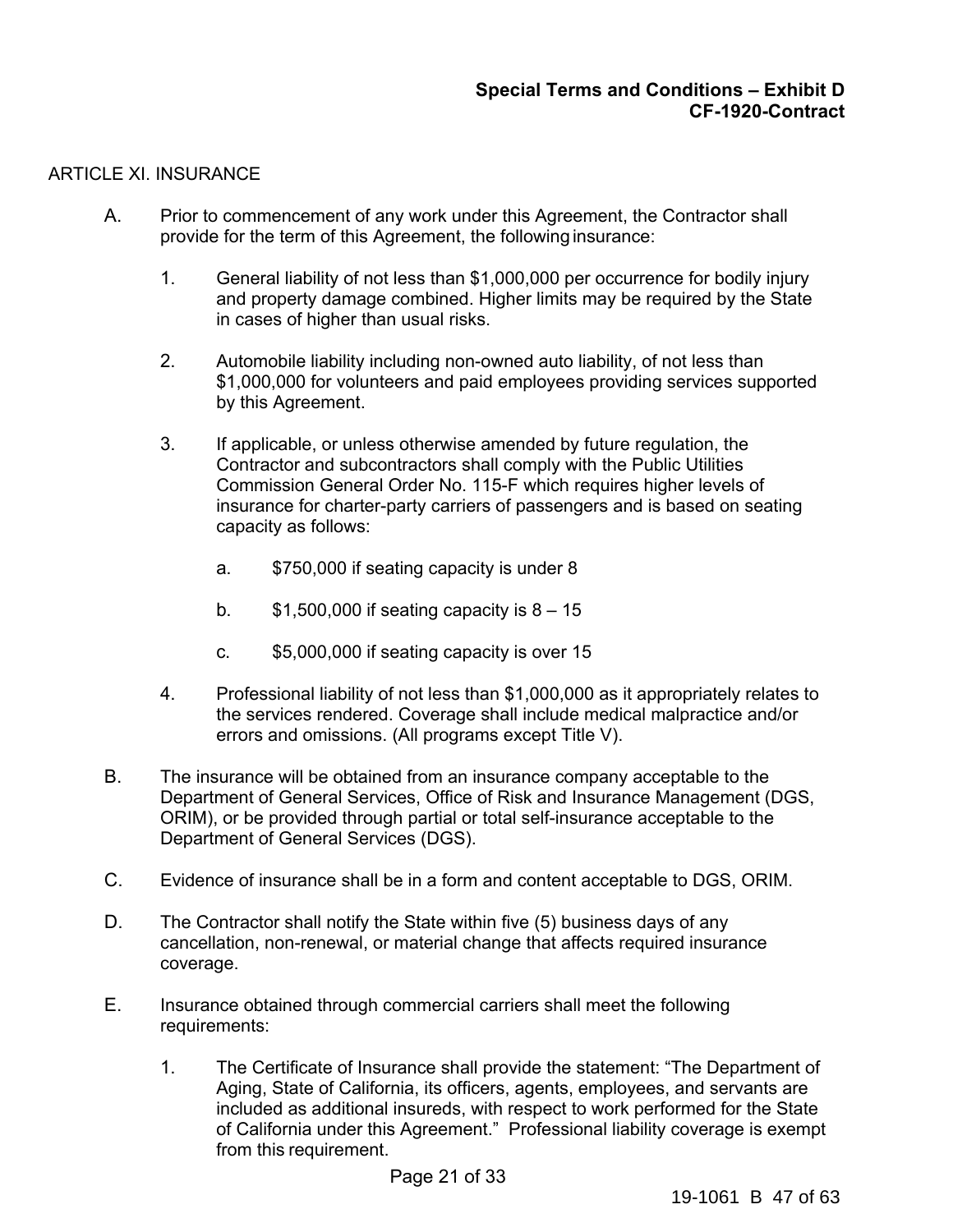### ARTICLE XI. INSURANCE

- A. Prior to commencement of any work under this Agreement, the Contractor shall provide for the term of this Agreement, the following insurance:
	- 1. General liability of not less than \$1,000,000 per occurrence for bodily injury and property damage combined. Higher limits may be required by the State in cases of higher than usual risks.
	- 2. Automobile liability including non-owned auto liability, of not less than \$1,000,000 for volunteers and paid employees providing services supported by this Agreement.
	- 3. If applicable, or unless otherwise amended by future regulation, the Contractor and subcontractors shall comply with the Public Utilities Commission General Order No. 115-F which requires higher levels of insurance for charter-party carriers of passengers and is based on seating capacity as follows:
		- a. \$750,000 if seating capacity is under 8
		- b.  $$1,500,000$  if seating capacity is  $8 15$
		- c. \$5,000,000 if seating capacity is over 15
	- 4. Professional liability of not less than \$1,000,000 as it appropriately relates to the services rendered. Coverage shall include medical malpractice and/or errors and omissions. (All programs except Title V).
- B. The insurance will be obtained from an insurance company acceptable to the Department of General Services, Office of Risk and Insurance Management (DGS, ORIM), or be provided through partial or total self-insurance acceptable to the Department of General Services (DGS).
- C. Evidence of insurance shall be in a form and content acceptable to DGS, ORIM.
- D. The Contractor shall notify the State within five (5) business days of any cancellation, non-renewal, or material change that affects required insurance coverage.
- E. Insurance obtained through commercial carriers shall meet the following requirements:
	- 1. The Certificate of Insurance shall provide the statement: "The Department of Aging, State of California, its officers, agents, employees, and servants are included as additional insureds, with respect to work performed for the State of California under this Agreement." Professional liability coverage is exempt from this requirement.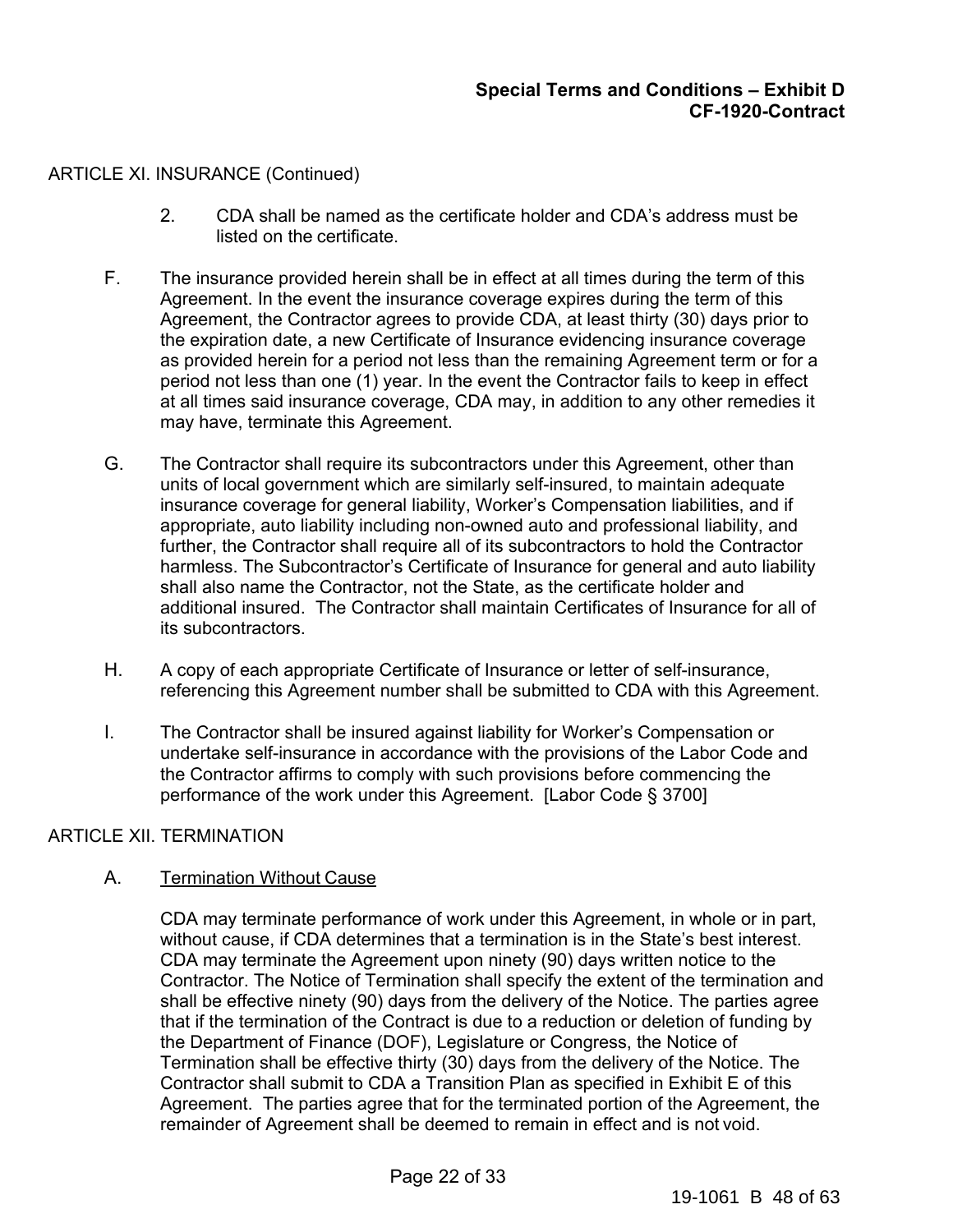### ARTICLE XI. INSURANCE (Continued)

- 2. CDA shall be named as the certificate holder and CDA's address must be listed on the certificate.
- F. The insurance provided herein shall be in effect at all times during the term of this Agreement. In the event the insurance coverage expires during the term of this Agreement, the Contractor agrees to provide CDA, at least thirty (30) days prior to the expiration date, a new Certificate of Insurance evidencing insurance coverage as provided herein for a period not less than the remaining Agreement term or for a period not less than one (1) year. In the event the Contractor fails to keep in effect at all times said insurance coverage, CDA may, in addition to any other remedies it may have, terminate this Agreement.
- G. The Contractor shall require its subcontractors under this Agreement, other than units of local government which are similarly self-insured, to maintain adequate insurance coverage for general liability, Worker's Compensation liabilities, and if appropriate, auto liability including non-owned auto and professional liability, and further, the Contractor shall require all of its subcontractors to hold the Contractor harmless. The Subcontractor's Certificate of Insurance for general and auto liability shall also name the Contractor, not the State, as the certificate holder and additional insured. The Contractor shall maintain Certificates of Insurance for all of its subcontractors.
- H. A copy of each appropriate Certificate of Insurance or letter of self-insurance, referencing this Agreement number shall be submitted to CDA with this Agreement.
- I. The Contractor shall be insured against liability for Worker's Compensation or undertake self-insurance in accordance with the provisions of the Labor Code and the Contractor affirms to comply with such provisions before commencing the performance of the work under this Agreement. [Labor Code § 3700]

### ARTICLE XII. TERMINATION

# A. Termination Without Cause

CDA may terminate performance of work under this Agreement, in whole or in part, without cause, if CDA determines that a termination is in the State's best interest. CDA may terminate the Agreement upon ninety (90) days written notice to the Contractor. The Notice of Termination shall specify the extent of the termination and shall be effective ninety (90) days from the delivery of the Notice. The parties agree that if the termination of the Contract is due to a reduction or deletion of funding by the Department of Finance (DOF), Legislature or Congress, the Notice of Termination shall be effective thirty (30) days from the delivery of the Notice. The Contractor shall submit to CDA a Transition Plan as specified in Exhibit E of this Agreement. The parties agree that for the terminated portion of the Agreement, the remainder of Agreement shall be deemed to remain in effect and is not void.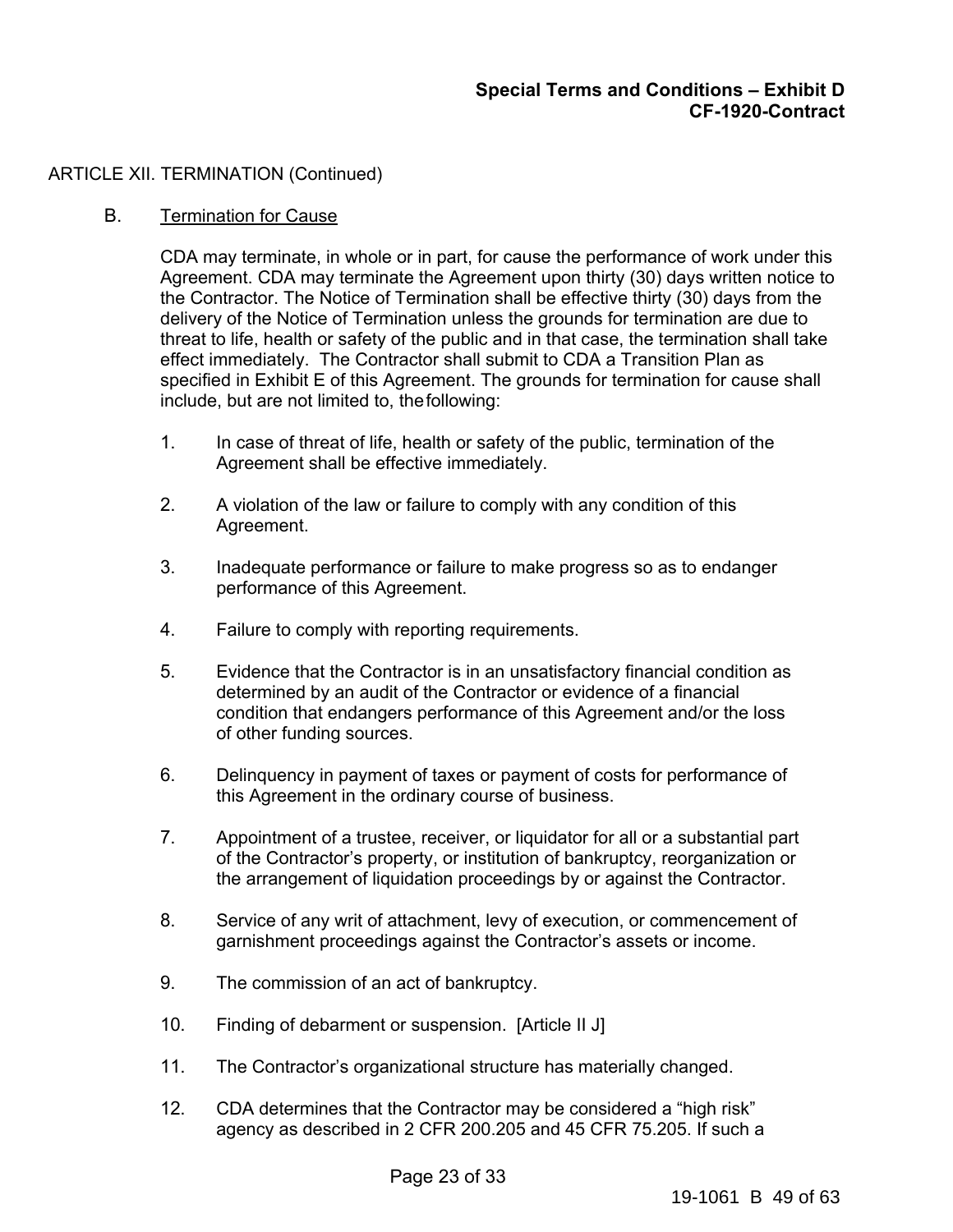### ARTICLE XII. TERMINATION (Continued)

### B. Termination for Cause

CDA may terminate, in whole or in part, for cause the performance of work under this Agreement. CDA may terminate the Agreement upon thirty (30) days written notice to the Contractor. The Notice of Termination shall be effective thirty (30) days from the delivery of the Notice of Termination unless the grounds for termination are due to threat to life, health or safety of the public and in that case, the termination shall take effect immediately. The Contractor shall submit to CDA a Transition Plan as specified in Exhibit E of this Agreement. The grounds for termination for cause shall include, but are not limited to, the following:

- 1. In case of threat of life, health or safety of the public, termination of the Agreement shall be effective immediately.
- 2. A violation of the law or failure to comply with any condition of this Agreement.
- 3. Inadequate performance or failure to make progress so as to endanger performance of this Agreement.
- 4. Failure to comply with reporting requirements.
- 5. Evidence that the Contractor is in an unsatisfactory financial condition as determined by an audit of the Contractor or evidence of a financial condition that endangers performance of this Agreement and/or the loss of other funding sources.
- 6. Delinquency in payment of taxes or payment of costs for performance of this Agreement in the ordinary course of business.
- 7. Appointment of a trustee, receiver, or liquidator for all or a substantial part of the Contractor's property, or institution of bankruptcy, reorganization or the arrangement of liquidation proceedings by or against the Contractor.
- 8. Service of any writ of attachment, levy of execution, or commencement of garnishment proceedings against the Contractor's assets or income.
- 9. The commission of an act of bankruptcy.
- 10. Finding of debarment or suspension. [Article II J]
- 11. The Contractor's organizational structure has materially changed.
- 12. CDA determines that the Contractor may be considered a "high risk" agency as described in 2 CFR 200.205 and 45 CFR 75.205. If such a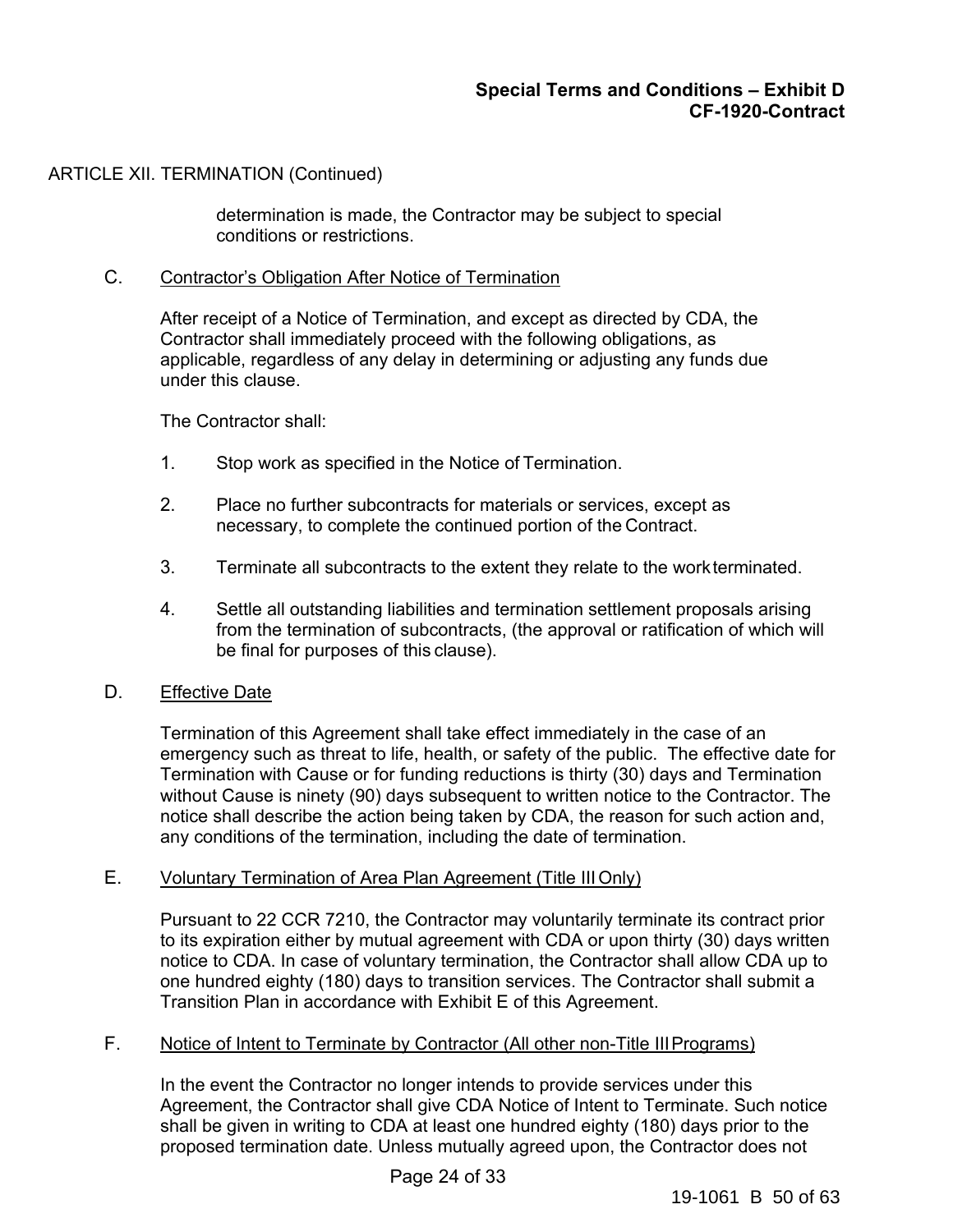# ARTICLE XII. TERMINATION (Continued)

determination is made, the Contractor may be subject to special conditions or restrictions.

### C. Contractor's Obligation After Notice of Termination

After receipt of a Notice of Termination, and except as directed by CDA, the Contractor shall immediately proceed with the following obligations, as applicable, regardless of any delay in determining or adjusting any funds due under this clause.

The Contractor shall:

- 1. Stop work as specified in the Notice of Termination.
- 2. Place no further subcontracts for materials or services, except as necessary, to complete the continued portion of the Contract.
- 3. Terminate all subcontracts to the extent they relate to the work terminated.
- 4. Settle all outstanding liabilities and termination settlement proposals arising from the termination of subcontracts, (the approval or ratification of which will be final for purposes of this clause).

### D. Effective Date

Termination of this Agreement shall take effect immediately in the case of an emergency such as threat to life, health, or safety of the public. The effective date for Termination with Cause or for funding reductions is thirty (30) days and Termination without Cause is ninety (90) days subsequent to written notice to the Contractor. The notice shall describe the action being taken by CDA, the reason for such action and, any conditions of the termination, including the date of termination.

### E. Voluntary Termination of Area Plan Agreement (Title III Only)

Pursuant to 22 CCR 7210, the Contractor may voluntarily terminate its contract prior to its expiration either by mutual agreement with CDA or upon thirty (30) days written notice to CDA. In case of voluntary termination, the Contractor shall allow CDA up to one hundred eighty (180) days to transition services. The Contractor shall submit a Transition Plan in accordance with Exhibit E of this Agreement.

### F. Notice of Intent to Terminate by Contractor (All other non-Title III Programs)

In the event the Contractor no longer intends to provide services under this Agreement, the Contractor shall give CDA Notice of Intent to Terminate. Such notice shall be given in writing to CDA at least one hundred eighty (180) days prior to the proposed termination date. Unless mutually agreed upon, the Contractor does not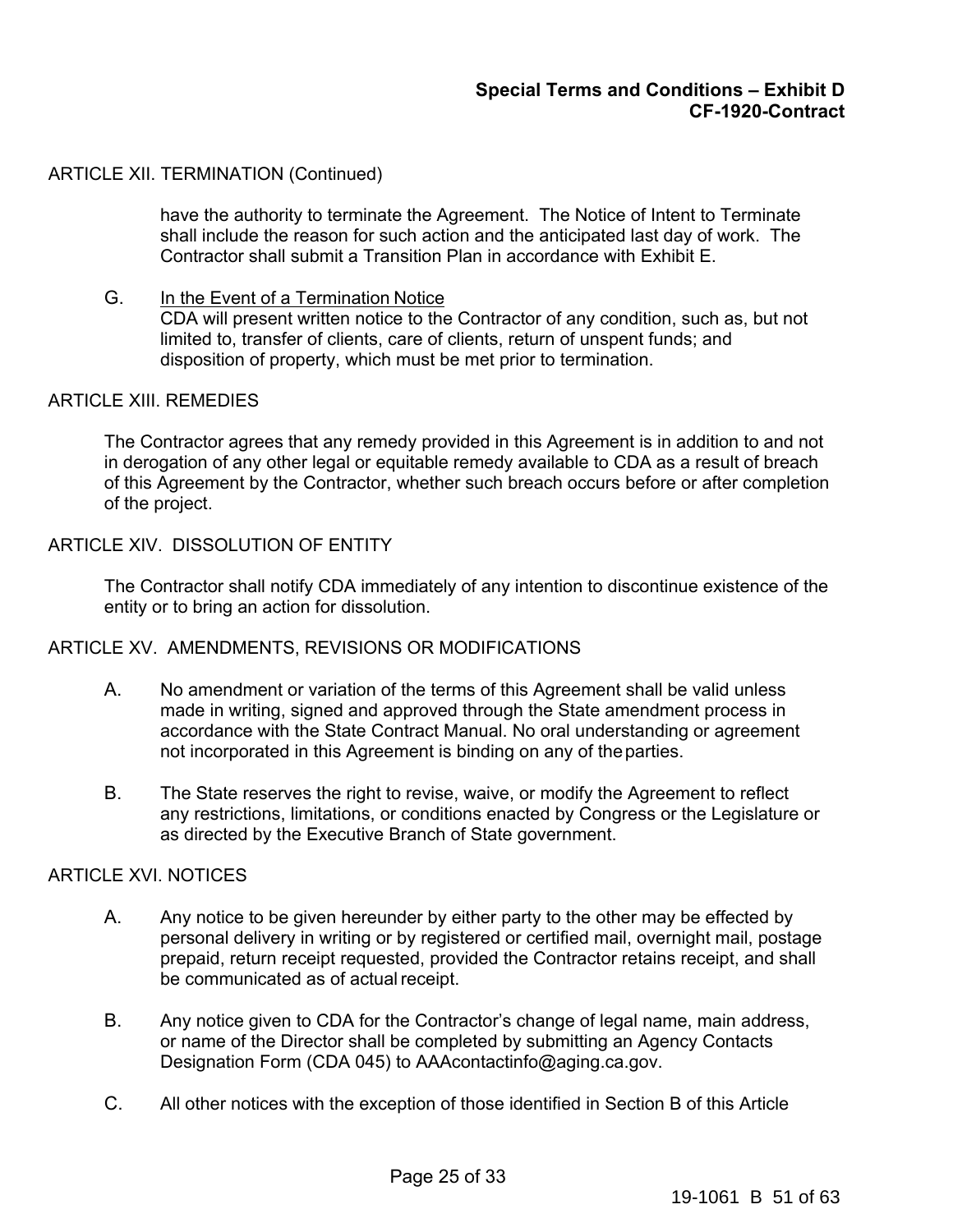### ARTICLE XII. TERMINATION (Continued)

have the authority to terminate the Agreement. The Notice of Intent to Terminate shall include the reason for such action and the anticipated last day of work. The Contractor shall submit a Transition Plan in accordance with Exhibit E.

#### G. In the Event of a Termination Notice

CDA will present written notice to the Contractor of any condition, such as, but not limited to, transfer of clients, care of clients, return of unspent funds; and disposition of property, which must be met prior to termination.

#### ARTICLE XIII. REMEDIES

The Contractor agrees that any remedy provided in this Agreement is in addition to and not in derogation of any other legal or equitable remedy available to CDA as a result of breach of this Agreement by the Contractor, whether such breach occurs before or after completion of the project.

### ARTICLE XIV. DISSOLUTION OF ENTITY

The Contractor shall notify CDA immediately of any intention to discontinue existence of the entity or to bring an action for dissolution.

### ARTICLE XV. AMENDMENTS, REVISIONS OR MODIFICATIONS

- A. No amendment or variation of the terms of this Agreement shall be valid unless made in writing, signed and approved through the State amendment process in accordance with the State Contract Manual. No oral understanding or agreement not incorporated in this Agreement is binding on any of the parties.
- B. The State reserves the right to revise, waive, or modify the Agreement to reflect any restrictions, limitations, or conditions enacted by Congress or the Legislature or as directed by the Executive Branch of State government.

### ARTICLE XVI. NOTICES

- A. Any notice to be given hereunder by either party to the other may be effected by personal delivery in writing or by registered or certified mail, overnight mail, postage prepaid, return receipt requested, provided the Contractor retains receipt, and shall be communicated as of actual receipt.
- B. Any notice given to CDA for the Contractor's change of legal name, main address, or name of the Director shall be completed by submitting an Agency Contacts Designation Form (CDA 045) to AAAcontactinfo@aging.ca.gov.
- C. All other notices with the exception of those identified in Section B of this Article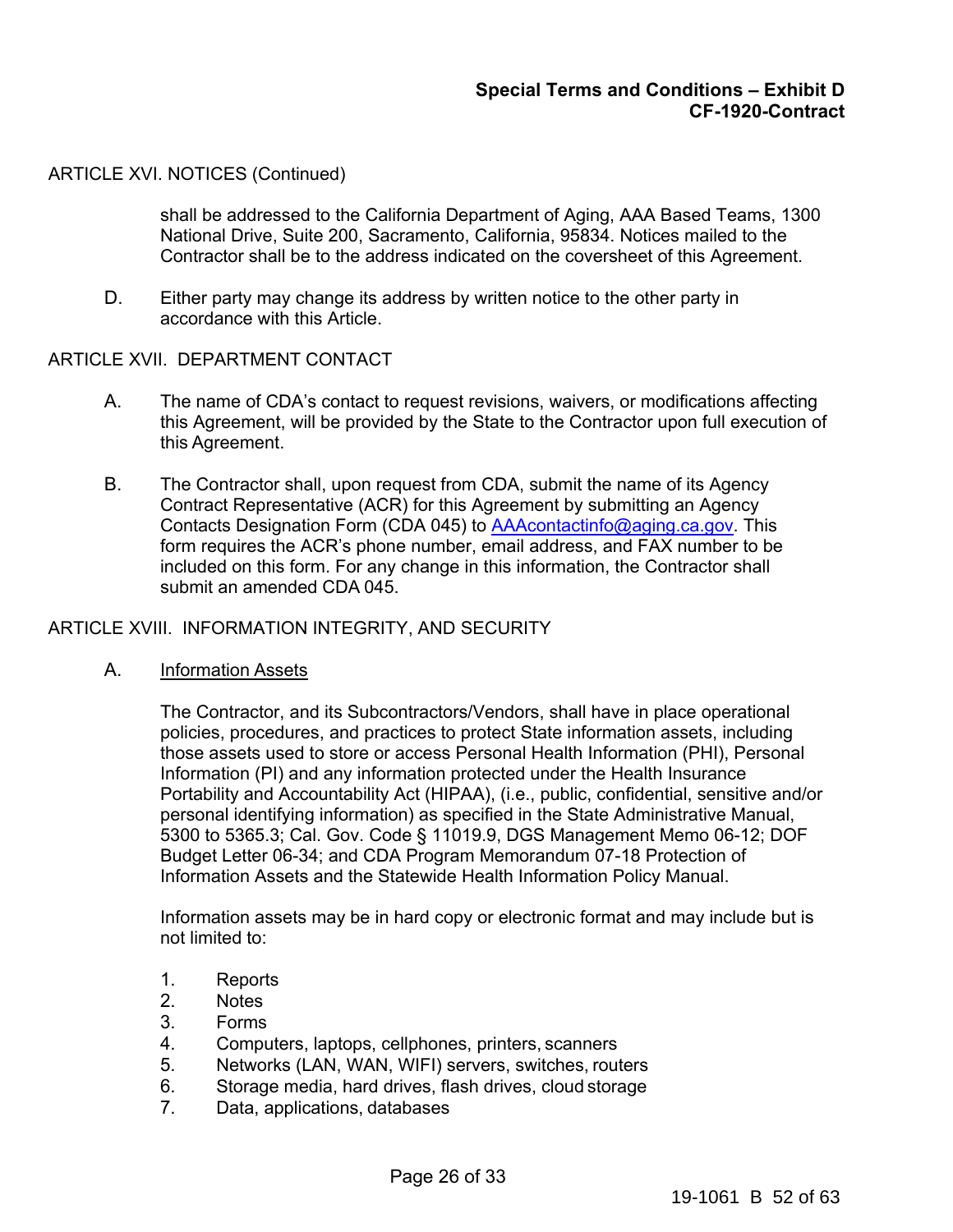#### ARTICLE XVI. NOTICES (Continued)

shall be addressed to the California Department of Aging, AAA Based Teams, 1300 National Drive, Suite 200, Sacramento, California, 95834. Notices mailed to the Contractor shall be to the address indicated on the coversheet of this Agreement.

D. Either party may change its address by written notice to the other party in accordance with this Article.

#### ARTICLE XVII. DEPARTMENT CONTACT

- A. The name of CDA's contact to request revisions, waivers, or modifications affecting this Agreement, will be provided by the State to the Contractor upon full execution of this Agreement.
- B. The Contractor shall, upon request from CDA, submit the name of its Agency Contract Representative (ACR) for this Agreement by submitting an Agency Contacts Designation Form (CDA 045) to AAAcontactinfo@aging.ca.gov. This form requires the ACR's phone number, email address, and FAX number to be included on this form. For any change in this information, the Contractor shall submit an amended CDA 045.

### ARTICLE XVIII. INFORMATION INTEGRITY, AND SECURITY

A. Information Assets

The Contractor, and its Subcontractors/Vendors, shall have in place operational policies, procedures, and practices to protect State information assets, including those assets used to store or access Personal Health Information (PHI), Personal Information (PI) and any information protected under the Health Insurance Portability and Accountability Act (HIPAA), (i.e., public, confidential, sensitive and/or personal identifying information) as specified in the State Administrative Manual, 5300 to 5365.3; Cal. Gov. Code § 11019.9, DGS Management Memo 06-12; DOF Budget Letter 06-34; and CDA Program Memorandum 07-18 Protection of Information Assets and the Statewide Health Information Policy Manual.

Information assets may be in hard copy or electronic format and may include but is not limited to:

- 1. Reports
- 2. Notes
- 3. Forms
- 4. Computers, laptops, cellphones, printers, scanners
- 5. Networks (LAN, WAN, WIFI) servers, switches, routers
- 6. Storage media, hard drives, flash drives, cloud storage
- 7. Data, applications, databases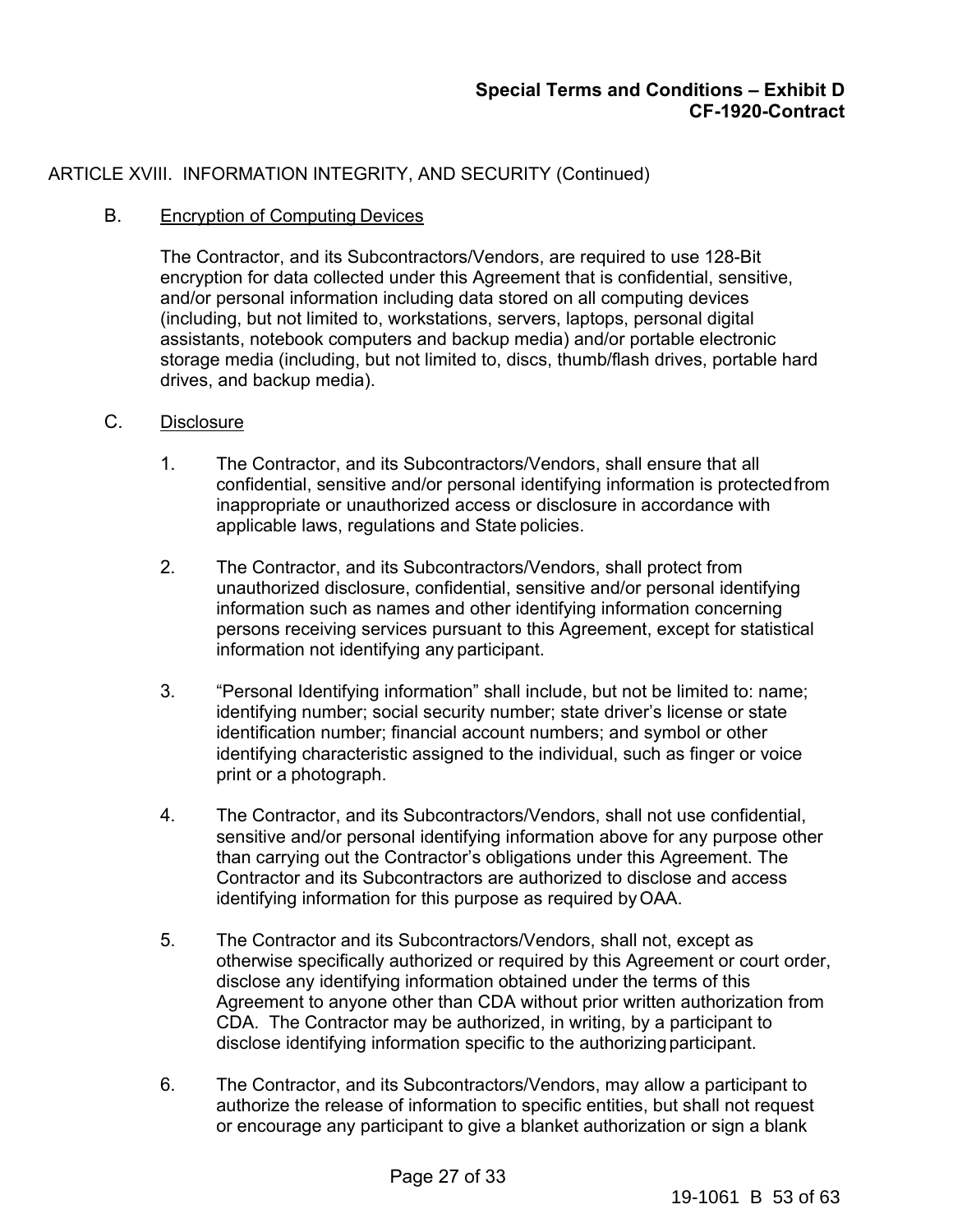# ARTICLE XVIII. INFORMATION INTEGRITY, AND SECURITY (Continued)

### B. Encryption of Computing Devices

The Contractor, and its Subcontractors/Vendors, are required to use 128-Bit encryption for data collected under this Agreement that is confidential, sensitive, and/or personal information including data stored on all computing devices (including, but not limited to, workstations, servers, laptops, personal digital assistants, notebook computers and backup media) and/or portable electronic storage media (including, but not limited to, discs, thumb/flash drives, portable hard drives, and backup media).

### C. Disclosure

- 1. The Contractor, and its Subcontractors/Vendors, shall ensure that all confidential, sensitive and/or personal identifying information is protected from inappropriate or unauthorized access or disclosure in accordance with applicable laws, regulations and State policies.
- 2. The Contractor, and its Subcontractors/Vendors, shall protect from unauthorized disclosure, confidential, sensitive and/or personal identifying information such as names and other identifying information concerning persons receiving services pursuant to this Agreement, except for statistical information not identifying any participant.
- 3. "Personal Identifying information" shall include, but not be limited to: name; identifying number; social security number; state driver's license or state identification number; financial account numbers; and symbol or other identifying characteristic assigned to the individual, such as finger or voice print or a photograph.
- 4. The Contractor, and its Subcontractors/Vendors, shall not use confidential, sensitive and/or personal identifying information above for any purpose other than carrying out the Contractor's obligations under this Agreement. The Contractor and its Subcontractors are authorized to disclose and access identifying information for this purpose as required by OAA.
- 5. The Contractor and its Subcontractors/Vendors, shall not, except as otherwise specifically authorized or required by this Agreement or court order, disclose any identifying information obtained under the terms of this Agreement to anyone other than CDA without prior written authorization from CDA. The Contractor may be authorized, in writing, by a participant to disclose identifying information specific to the authorizing participant.
- 6. The Contractor, and its Subcontractors/Vendors, may allow a participant to authorize the release of information to specific entities, but shall not request or encourage any participant to give a blanket authorization or sign a blank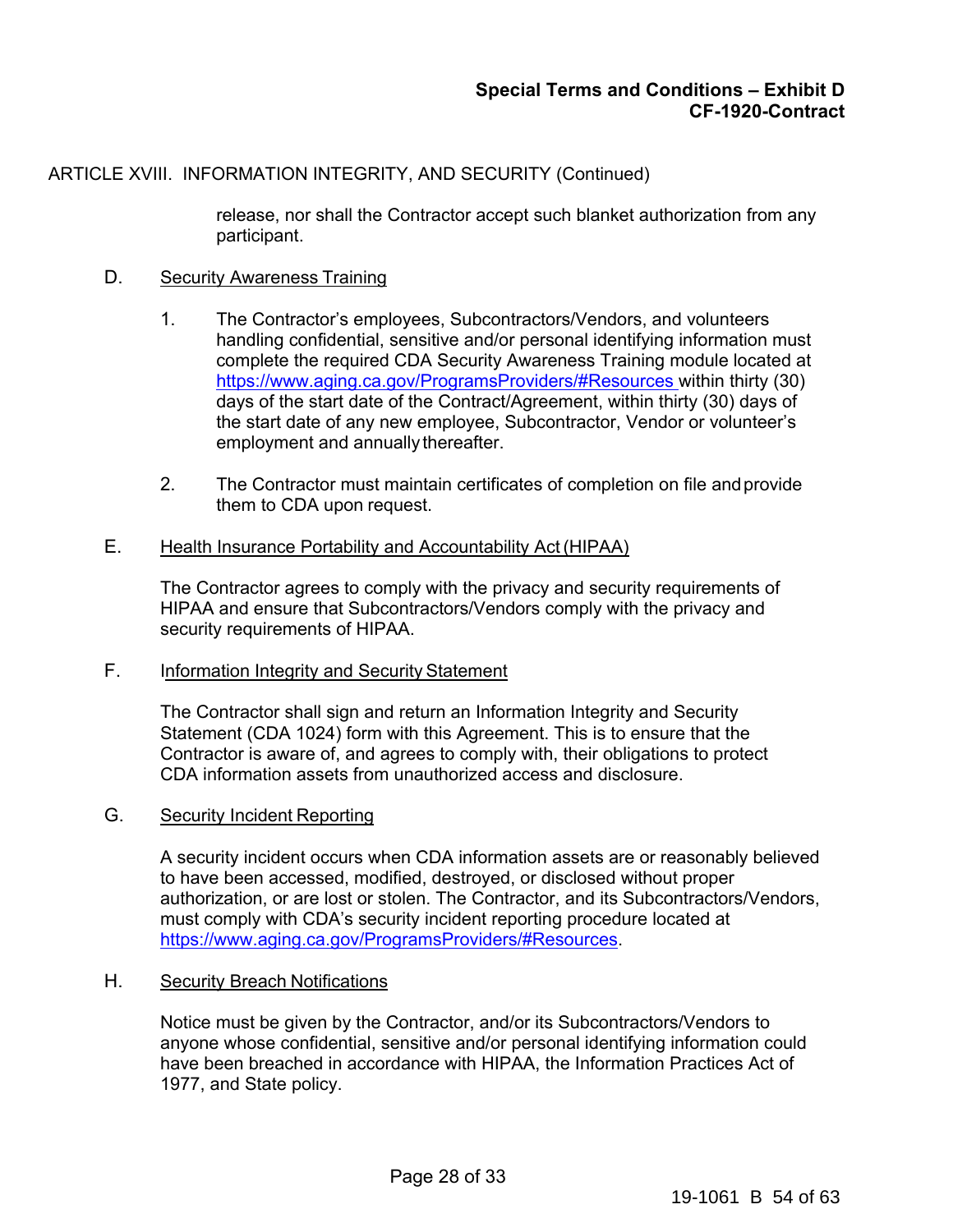# ARTICLE XVIII. INFORMATION INTEGRITY, AND SECURITY (Continued)

release, nor shall the Contractor accept such blanket authorization from any participant.

### D. Security Awareness Training

- 1. The Contractor's employees, Subcontractors/Vendors, and volunteers handling confidential, sensitive and/or personal identifying information must complete the required CDA Security Awareness Training module located at https://www.aging.ca.gov/ProgramsProviders/#Resources within thirty (30) days of the start date of the Contract/Agreement, within thirty (30) days of the start date of any new employee, Subcontractor, Vendor or volunteer's employment and annually thereafter.
- 2. The Contractor must maintain certificates of completion on file and provide them to CDA upon request.

#### E. Health Insurance Portability and Accountability Act (HIPAA)

The Contractor agrees to comply with the privacy and security requirements of HIPAA and ensure that Subcontractors/Vendors comply with the privacy and security requirements of HIPAA.

### F. Information Integrity and Security Statement

The Contractor shall sign and return an Information Integrity and Security Statement (CDA 1024) form with this Agreement. This is to ensure that the Contractor is aware of, and agrees to comply with, their obligations to protect CDA information assets from unauthorized access and disclosure.

### G. Security Incident Reporting

A security incident occurs when CDA information assets are or reasonably believed to have been accessed, modified, destroyed, or disclosed without proper authorization, or are lost or stolen. The Contractor, and its Subcontractors/Vendors, must comply with CDA's security incident reporting procedure located at https://www.aging.ca.gov/ProgramsProviders/#Resources.

#### H. Security Breach Notifications

Notice must be given by the Contractor, and/or its Subcontractors/Vendors to anyone whose confidential, sensitive and/or personal identifying information could have been breached in accordance with HIPAA, the Information Practices Act of 1977, and State policy.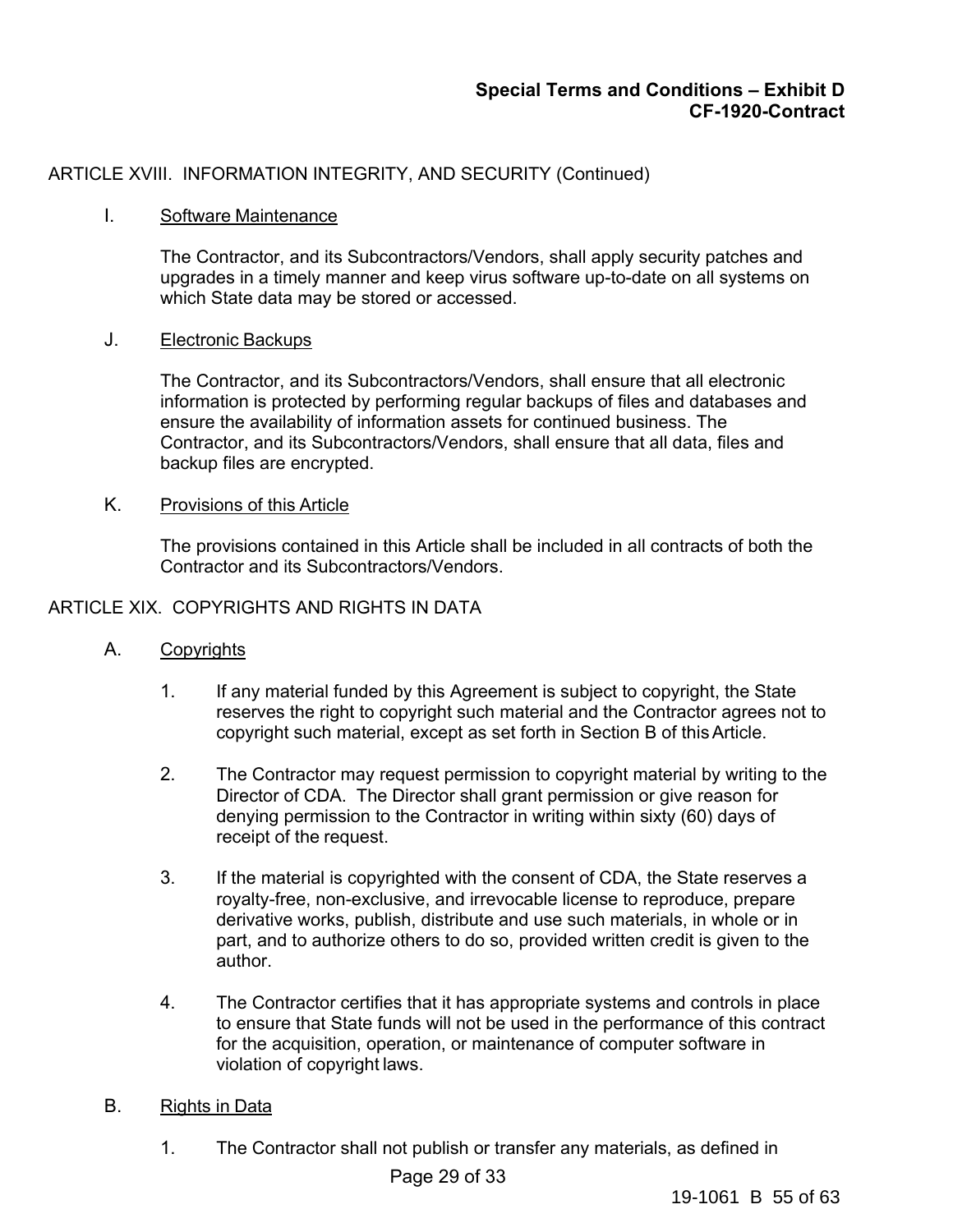# ARTICLE XVIII. INFORMATION INTEGRITY, AND SECURITY (Continued)

#### I. Software Maintenance

The Contractor, and its Subcontractors/Vendors, shall apply security patches and upgrades in a timely manner and keep virus software up-to-date on all systems on which State data may be stored or accessed.

#### J. Electronic Backups

The Contractor, and its Subcontractors/Vendors, shall ensure that all electronic information is protected by performing regular backups of files and databases and ensure the availability of information assets for continued business. The Contractor, and its Subcontractors/Vendors, shall ensure that all data, files and backup files are encrypted.

#### K. Provisions of this Article

The provisions contained in this Article shall be included in all contracts of both the Contractor and its Subcontractors/Vendors.

#### ARTICLE XIX. COPYRIGHTS AND RIGHTS IN DATA

### A. Copyrights

- 1. If any material funded by this Agreement is subject to copyright, the State reserves the right to copyright such material and the Contractor agrees not to copyright such material, except as set forth in Section B of this Article.
- 2. The Contractor may request permission to copyright material by writing to the Director of CDA. The Director shall grant permission or give reason for denying permission to the Contractor in writing within sixty (60) days of receipt of the request.
- 3. If the material is copyrighted with the consent of CDA, the State reserves a royalty-free, non-exclusive, and irrevocable license to reproduce, prepare derivative works, publish, distribute and use such materials, in whole or in part, and to authorize others to do so, provided written credit is given to the author.
- 4. The Contractor certifies that it has appropriate systems and controls in place to ensure that State funds will not be used in the performance of this contract for the acquisition, operation, or maintenance of computer software in violation of copyright laws.

#### B. Rights in Data

1. The Contractor shall not publish or transfer any materials, as defined in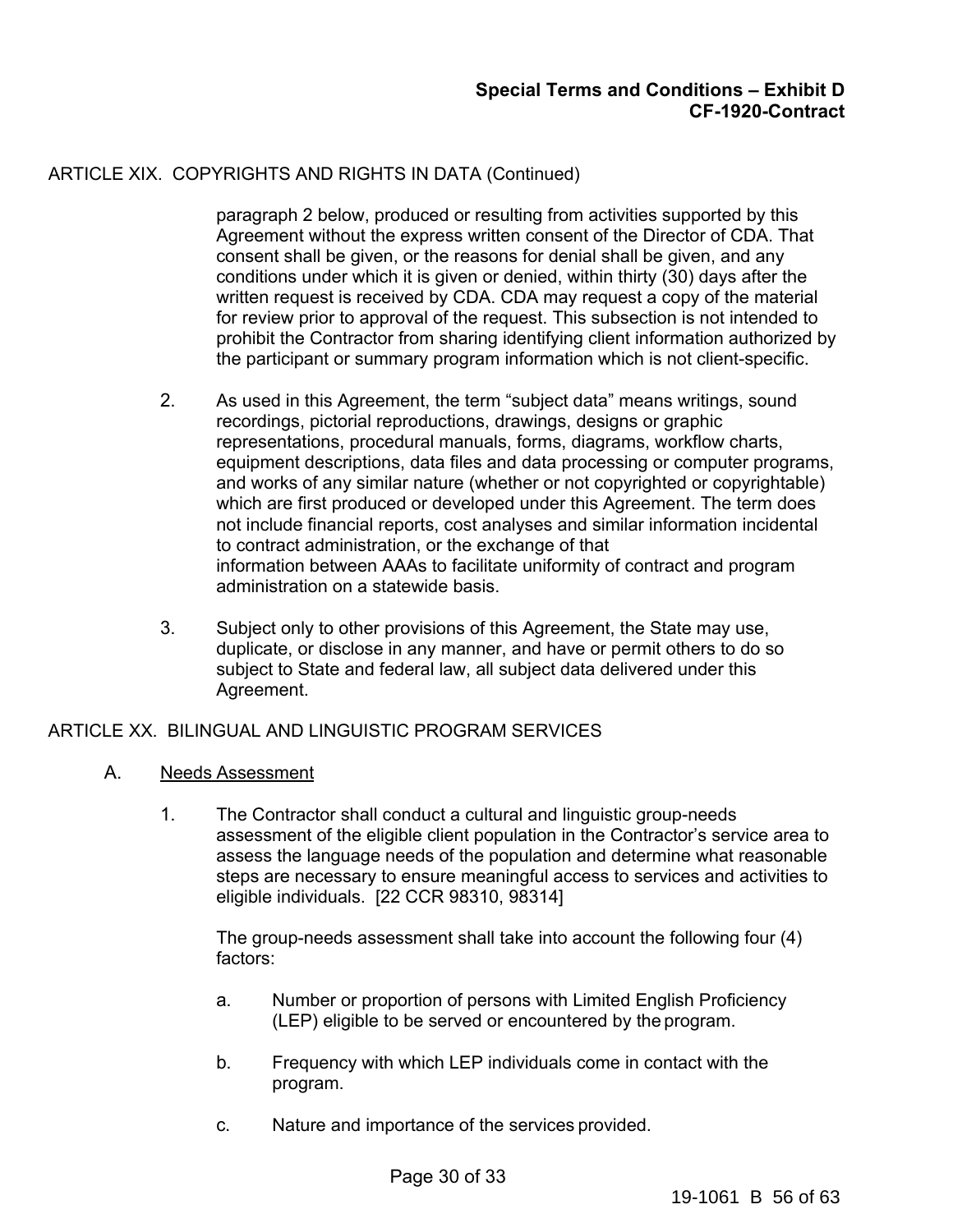# ARTICLE XIX. COPYRIGHTS AND RIGHTS IN DATA (Continued)

paragraph 2 below, produced or resulting from activities supported by this Agreement without the express written consent of the Director of CDA. That consent shall be given, or the reasons for denial shall be given, and any conditions under which it is given or denied, within thirty (30) days after the written request is received by CDA. CDA may request a copy of the material for review prior to approval of the request. This subsection is not intended to prohibit the Contractor from sharing identifying client information authorized by the participant or summary program information which is not client-specific.

- 2. As used in this Agreement, the term "subject data" means writings, sound recordings, pictorial reproductions, drawings, designs or graphic representations, procedural manuals, forms, diagrams, workflow charts, equipment descriptions, data files and data processing or computer programs, and works of any similar nature (whether or not copyrighted or copyrightable) which are first produced or developed under this Agreement. The term does not include financial reports, cost analyses and similar information incidental to contract administration, or the exchange of that information between AAAs to facilitate uniformity of contract and program administration on a statewide basis.
- 3. Subject only to other provisions of this Agreement, the State may use, duplicate, or disclose in any manner, and have or permit others to do so subject to State and federal law, all subject data delivered under this Agreement.

### ARTICLE XX. BILINGUAL AND LINGUISTIC PROGRAM SERVICES

- A. Needs Assessment
	- 1. The Contractor shall conduct a cultural and linguistic group-needs assessment of the eligible client population in the Contractor's service area to assess the language needs of the population and determine what reasonable steps are necessary to ensure meaningful access to services and activities to eligible individuals. [22 CCR 98310, 98314]

The group-needs assessment shall take into account the following four (4) factors:

- a. Number or proportion of persons with Limited English Proficiency (LEP) eligible to be served or encountered by the program.
- b. Frequency with which LEP individuals come in contact with the program.
- c. Nature and importance of the services provided.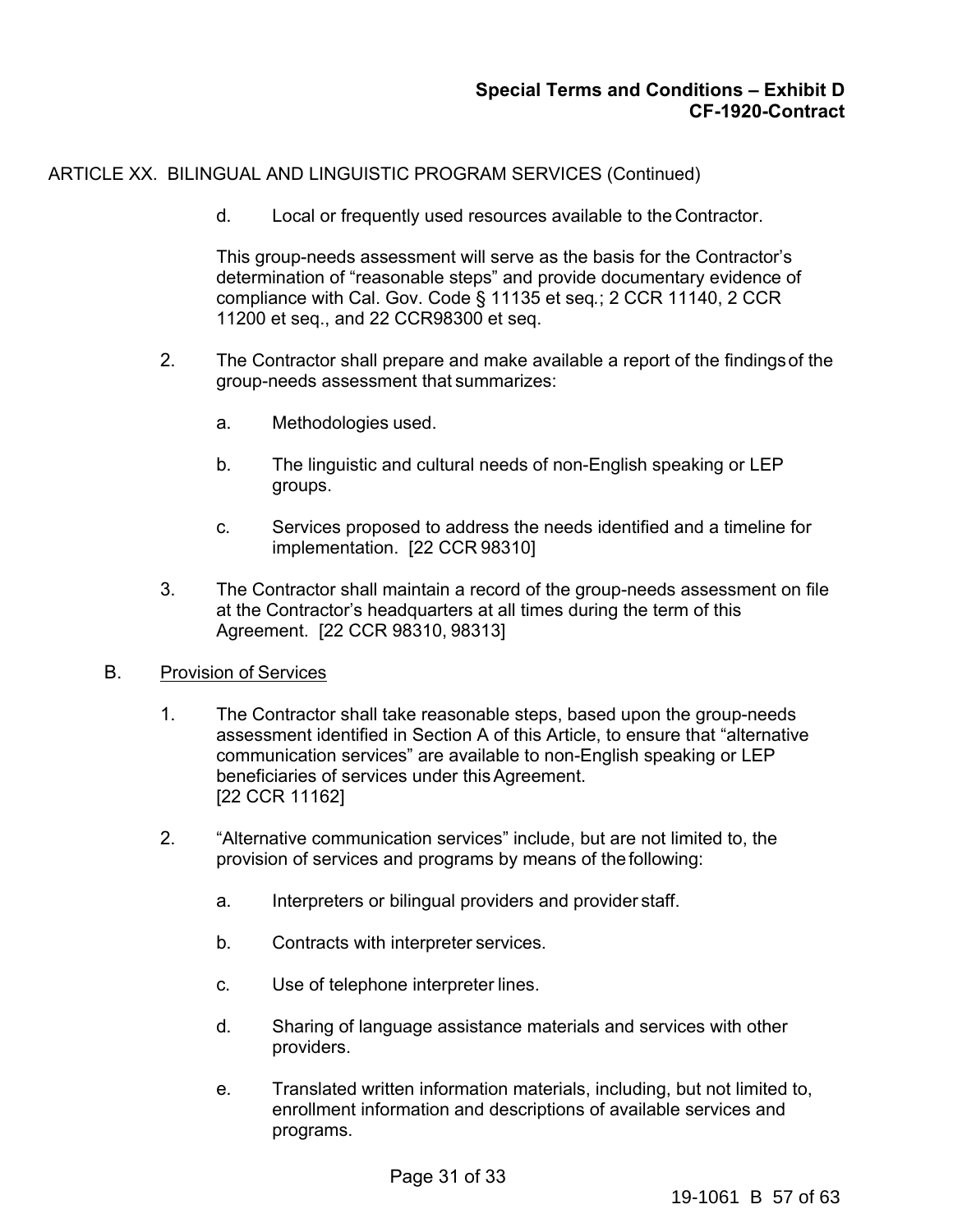ARTICLE XX. BILINGUAL AND LINGUISTIC PROGRAM SERVICES (Continued)

d. Local or frequently used resources available to the Contractor.

This group-needs assessment will serve as the basis for the Contractor's determination of "reasonable steps" and provide documentary evidence of compliance with Cal. Gov. Code § 11135 et seq*.*; 2 CCR 11140, 2 CCR 11200 et seq., and 22 CCR98300 et seq.

- 2. The Contractor shall prepare and make available a report of the findings of the group-needs assessment that summarizes:
	- a. Methodologies used.
	- b. The linguistic and cultural needs of non-English speaking or LEP groups.
	- c. Services proposed to address the needs identified and a timeline for implementation. [22 CCR 98310]
- 3. The Contractor shall maintain a record of the group-needs assessment on file at the Contractor's headquarters at all times during the term of this Agreement. [22 CCR 98310, 98313]

### B. Provision of Services

- 1. The Contractor shall take reasonable steps, based upon the group-needs assessment identified in Section A of this Article, to ensure that "alternative communication services" are available to non-English speaking or LEP beneficiaries of services under this Agreement. [22 CCR 11162]
- 2. "Alternative communication services" include, but are not limited to, the provision of services and programs by means of the following:
	- a. Interpreters or bilingual providers and provider staff.
	- b. Contracts with interpreter services.
	- c. Use of telephone interpreter lines.
	- d. Sharing of language assistance materials and services with other providers.
	- e. Translated written information materials, including, but not limited to, enrollment information and descriptions of available services and programs.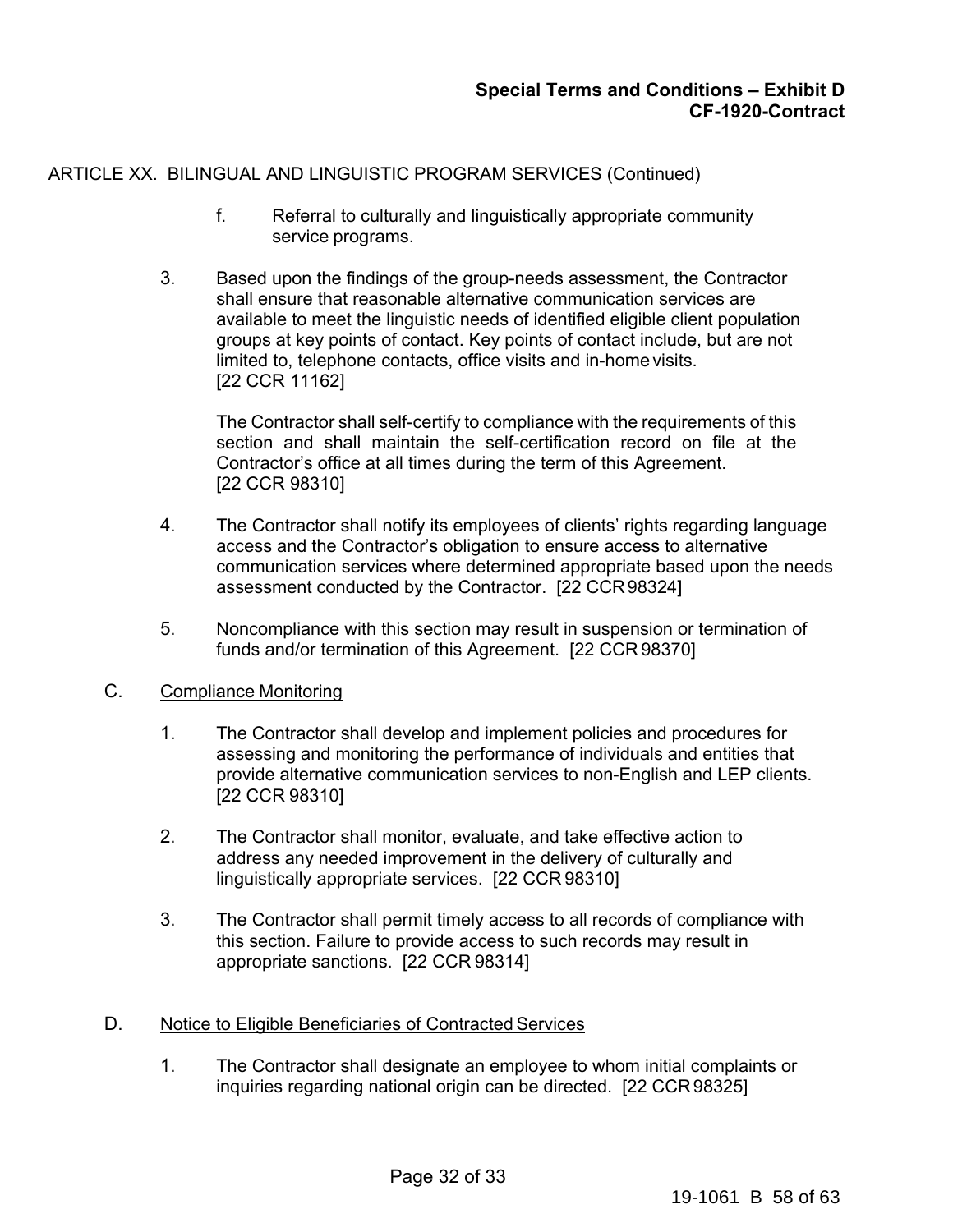# ARTICLE XX. BILINGUAL AND LINGUISTIC PROGRAM SERVICES (Continued)

- f. Referral to culturally and linguistically appropriate community service programs.
- 3. Based upon the findings of the group-needs assessment, the Contractor shall ensure that reasonable alternative communication services are available to meet the linguistic needs of identified eligible client population groups at key points of contact. Key points of contact include, but are not limited to, telephone contacts, office visits and in-home visits. [22 CCR 11162]

The Contractor shall self-certify to compliance with the requirements of this section and shall maintain the self-certification record on file at the Contractor's office at all times during the term of this Agreement. [22 CCR 98310]

- 4. The Contractor shall notify its employees of clients' rights regarding language access and the Contractor's obligation to ensure access to alternative communication services where determined appropriate based upon the needs assessment conducted by the Contractor. [22 CCR 98324]
- 5. Noncompliance with this section may result in suspension or termination of funds and/or termination of this Agreement. [22 CCR 98370]

### C. Compliance Monitoring

- 1. The Contractor shall develop and implement policies and procedures for assessing and monitoring the performance of individuals and entities that provide alternative communication services to non-English and LEP clients. [22 CCR 98310]
- 2. The Contractor shall monitor, evaluate, and take effective action to address any needed improvement in the delivery of culturally and linguistically appropriate services. [22 CCR 98310]
- 3. The Contractor shall permit timely access to all records of compliance with this section. Failure to provide access to such records may result in appropriate sanctions. [22 CCR 98314]

### D. Notice to Eligible Beneficiaries of Contracted Services

1. The Contractor shall designate an employee to whom initial complaints or inquiries regarding national origin can be directed. [22 CCR 98325]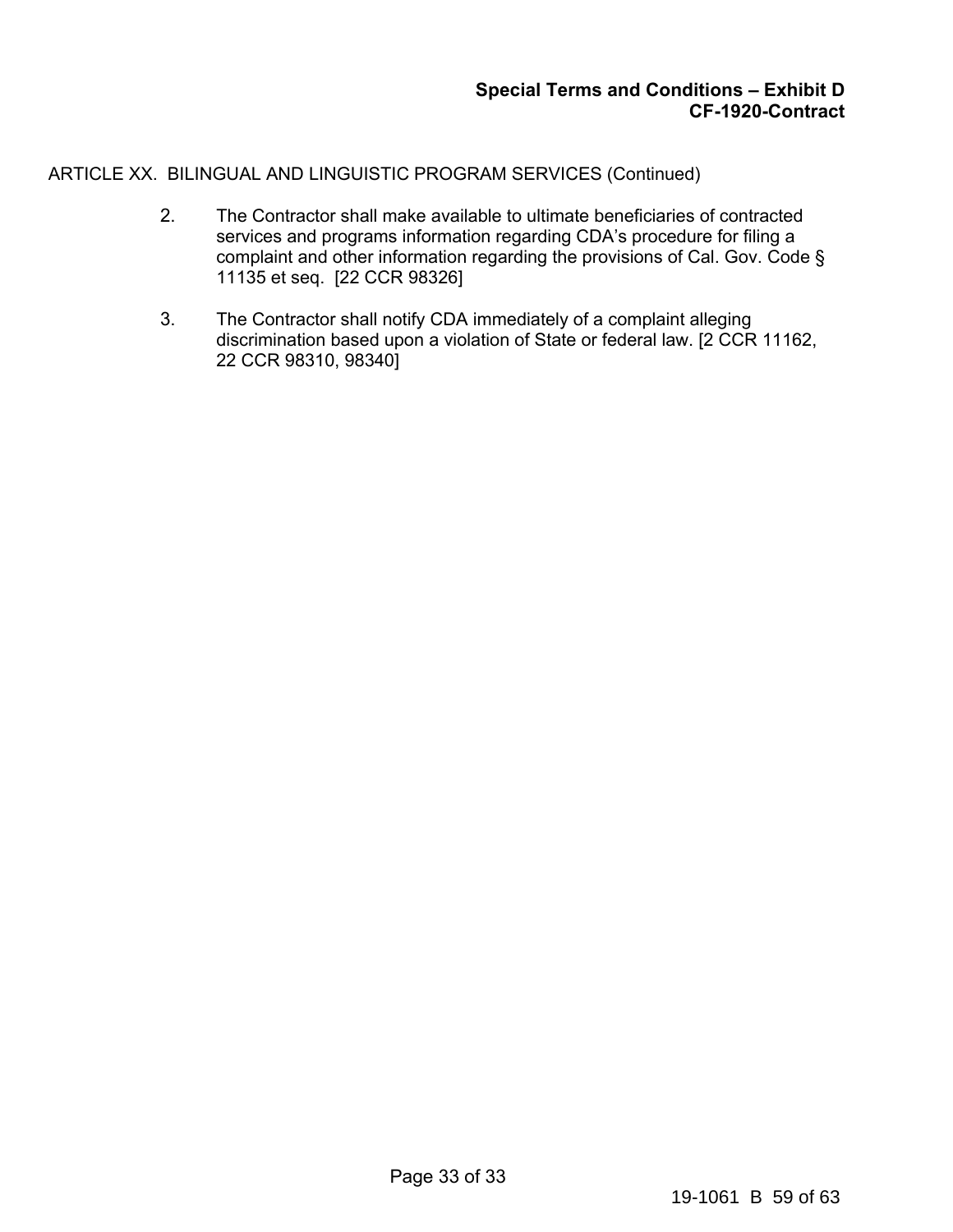ARTICLE XX. BILINGUAL AND LINGUISTIC PROGRAM SERVICES (Continued)

- 2. The Contractor shall make available to ultimate beneficiaries of contracted services and programs information regarding CDA's procedure for filing a complaint and other information regarding the provisions of Cal. Gov. Code § 11135 et seq. [22 CCR 98326]
- 3. The Contractor shall notify CDA immediately of a complaint alleging discrimination based upon a violation of State or federal law. [2 CCR 11162, 22 CCR 98310, 98340]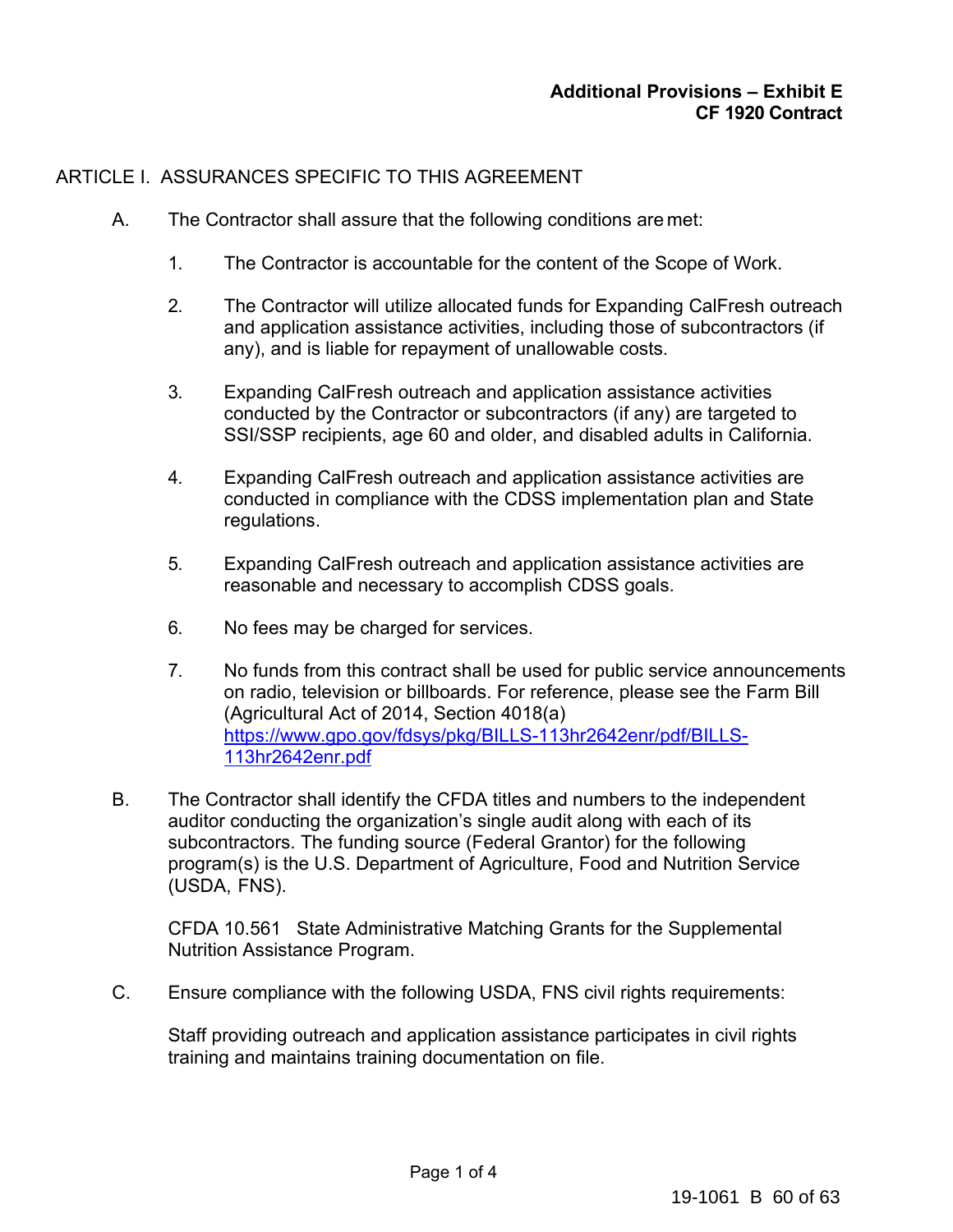# ARTICLE I. ASSURANCES SPECIFIC TO THIS AGREEMENT.

- A. The Contractor shall assure that the following conditions are met:
	- 1. The Contractor is accountable for the content of the Scope of Work.
	- 2. The Contractor will utilize allocated funds for Expanding CalFresh outreach and application assistance activities, including those of subcontractors (if any), and is liable for repayment of unallowable costs.
	- 3. Expanding CalFresh outreach and application assistance activities conducted by the Contractor or subcontractors (if any) are targeted to SSI/SSP recipients, age 60 and older, and disabled adults in California.
	- 4. Expanding CalFresh outreach and application assistance activities are conducted in compliance with the CDSS implementation plan and State regulations.
	- 5. Expanding CalFresh outreach and application assistance activities are reasonable and necessary to accomplish CDSS goals.
	- 6. No fees may be charged for services.
	- 7. No funds from this contract shall be used for public service announcements on radio, television or billboards. For reference, please see the Farm Bill (Agricultural Act of 2014, Section 4018(a) https://www.gpo.gov/fdsys/pkg/BILLS-113hr2642enr/pdf/BILLS-113hr2642enr.pdf
- B. The Contractor shall identify the CFDA titles and numbers to the independent auditor conducting the organization's single audit along with each of its subcontractors. The funding source (Federal Grantor) for the following program(s) is the U.S. Department of Agriculture, Food and Nutrition Service (USDA, FNS).

CFDA 10.561 State Administrative Matching Grants for the Supplemental Nutrition Assistance Program.

C. Ensure compliance with the following USDA, FNS civil rights requirements:

Staff providing outreach and application assistance participates in civil rights training and maintains training documentation on file.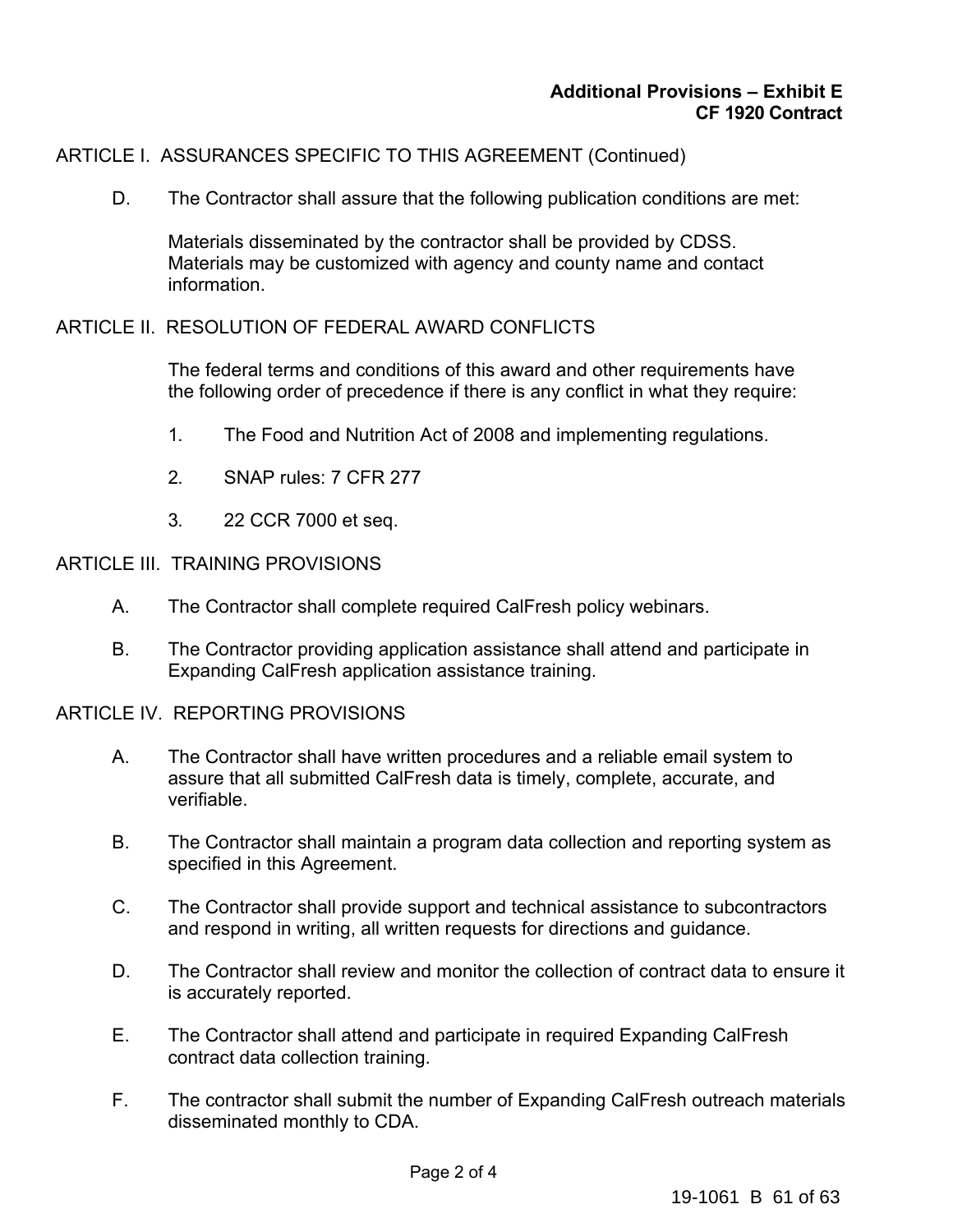# ARTICLE I. ASSURANCES SPECIFIC TO THIS AGREEMENT (Continued)

D. The Contractor shall assure that the following publication conditions are met:

Materials disseminated by the contractor shall be provided by CDSS. Materials may be customized with agency and county name and contact information.

# ARTICLE II. RESOLUTION OF FEDERAL AWARD CONFLICTS

The federal terms and conditions of this award and other requirements have the following order of precedence if there is any conflict in what they require:

- 1. The Food and Nutrition Act of 2008 and implementing regulations.
- 2. SNAP rules: 7 CFR 277
- 3. 22 CCR 7000 et seq.

# ARTICLE III. TRAINING PROVISIONS

- A. The Contractor shall complete required CalFresh policy webinars.
- B. The Contractor providing application assistance shall attend and participate in Expanding CalFresh application assistance training.

# ARTICLE IV. REPORTING PROVISIONS

- A. The Contractor shall have written procedures and a reliable email system to assure that all submitted CalFresh data is timely, complete, accurate, and verifiable.
- B. The Contractor shall maintain a program data collection and reporting system as specified in this Agreement.
- C. The Contractor shall provide support and technical assistance to subcontractors and respond in writing, all written requests for directions and guidance.
- D. The Contractor shall review and monitor the collection of contract data to ensure it is accurately reported.
- E. The Contractor shall attend and participate in required Expanding CalFresh contract data collection training.
- F. The contractor shall submit the number of Expanding CalFresh outreach materials disseminated monthly to CDA.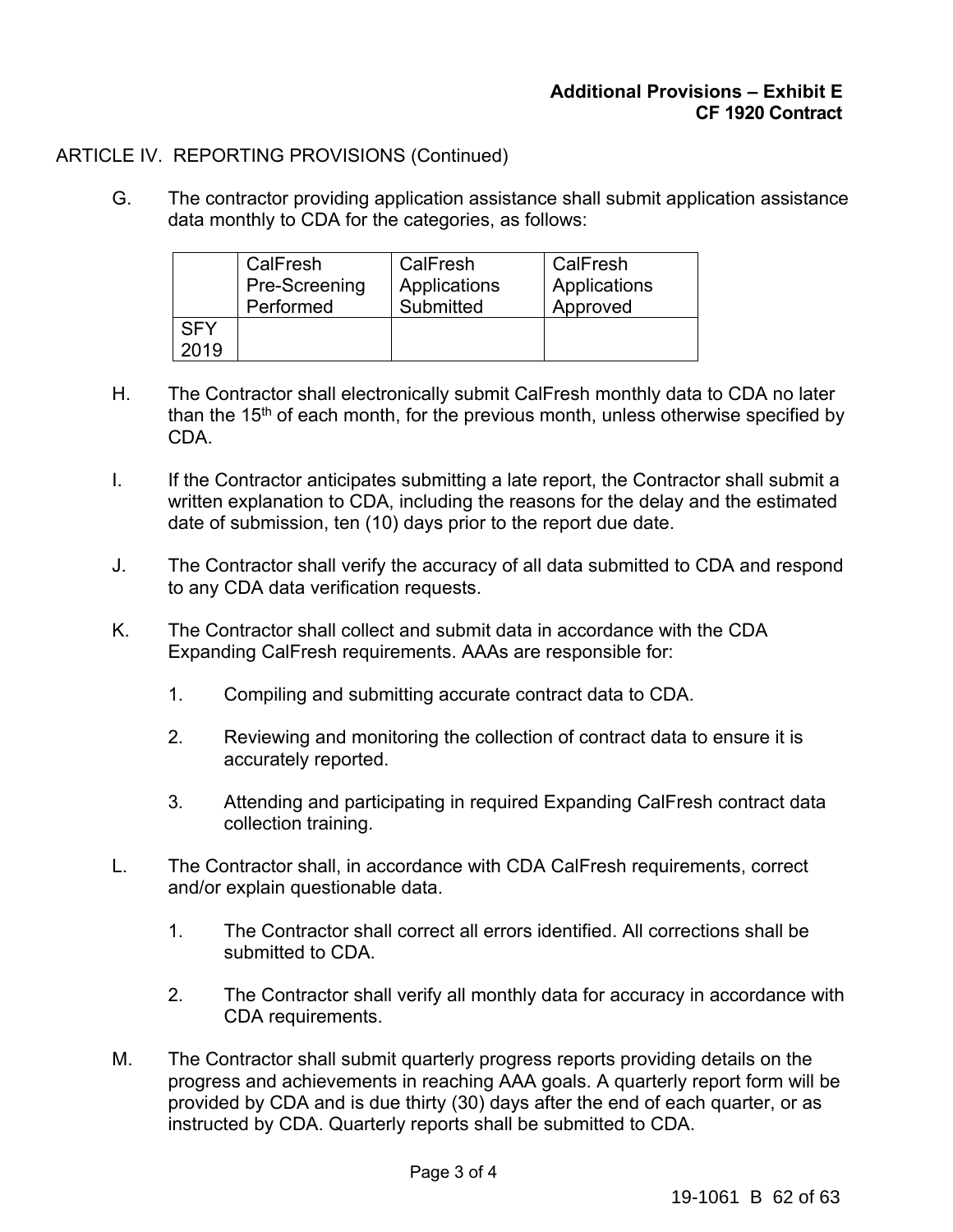# **Additional Provisions – Exhibit E CF 1920 Contract**

# ARTICLE IV. REPORTING PROVISIONS (Continued)

G. The contractor providing application assistance shall submit application assistance data monthly to CDA for the categories, as follows:

|            | CalFresh<br>Pre-Screening<br>Performed | CalFresh<br>Applications<br>Submitted | CalFresh<br>Applications<br>Approved |
|------------|----------------------------------------|---------------------------------------|--------------------------------------|
| <b>SFY</b> |                                        |                                       |                                      |
| 2019       |                                        |                                       |                                      |

- H. The Contractor shall electronically submit CalFresh monthly data to CDA no later than the 15<sup>th</sup> of each month, for the previous month, unless otherwise specified by CDA.
- I. If the Contractor anticipates submitting a late report, the Contractor shall submit a written explanation to CDA, including the reasons for the delay and the estimated date of submission, ten (10) days prior to the report due date.
- J. The Contractor shall verify the accuracy of all data submitted to CDA and respond to any CDA data verification requests.
- K. The Contractor shall collect and submit data in accordance with the CDA Expanding CalFresh requirements. AAAs are responsible for:
	- 1. Compiling and submitting accurate contract data to CDA.
	- 2. Reviewing and monitoring the collection of contract data to ensure it is accurately reported.
	- 3. Attending and participating in required Expanding CalFresh contract data collection training.
- L. The Contractor shall, in accordance with CDA CalFresh requirements, correct and/or explain questionable data.
	- 1. The Contractor shall correct all errors identified. All corrections shall be submitted to CDA.
	- 2. The Contractor shall verify all monthly data for accuracy in accordance with CDA requirements.
- M. The Contractor shall submit quarterly progress reports providing details on the progress and achievements in reaching AAA goals. A quarterly report form will be provided by CDA and is due thirty (30) days after the end of each quarter, or as instructed by CDA. Quarterly reports shall be submitted to CDA.